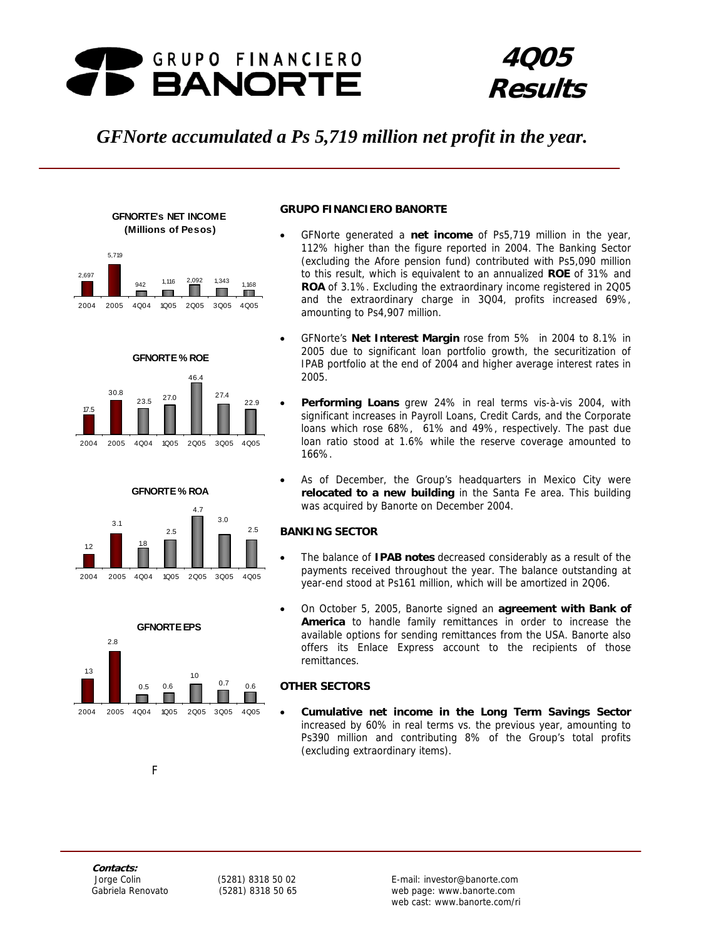

# **4Q05 Results**

## *GFNorte accumulated a Ps 5,719 million net profit in the year.*



**GFNORTE's NET INCOME** 













## **GRUPO FINANCIERO BANORTE**

- GFNorte generated a **net income** of Ps5,719 million in the year, 112% higher than the figure reported in 2004. The Banking Sector (excluding the Afore pension fund) contributed with Ps5,090 million to this result, which is equivalent to an annualized **ROE** of 31% and **ROA** of 3.1%. Excluding the extraordinary income registered in 2Q05 and the extraordinary charge in 3Q04, profits increased 69%, amounting to Ps4,907 million.
- GFNorte's **Net Interest Margin** rose from 5% in 2004 to 8.1% in 2005 due to significant loan portfolio growth, the securitization of IPAB portfolio at the end of 2004 and higher average interest rates in 2005.
- **Performing Loans** grew 24% in real terms vis-à-vis 2004, with significant increases in Payroll Loans, Credit Cards, and the Corporate loans which rose 68%, 61% and 49%, respectively. The past due loan ratio stood at 1.6% while the reserve coverage amounted to 166%.
- As of December, the Group's headquarters in Mexico City were **relocated to a new building** in the Santa Fe area. This building was acquired by Banorte on December 2004.

## **BANKING SECTOR**

- The balance of **IPAB notes** decreased considerably as a result of the payments received throughout the year. The balance outstanding at year-end stood at Ps161 million, which will be amortized in 2Q06.
- On October 5, 2005, Banorte signed an **agreement with Bank of America** to handle family remittances in order to increase the available options for sending remittances from the USA. Banorte also offers its Enlace Express account to the recipients of those remittances.

## **OTHER SECTORS**

• **Cumulative net income in the Long Term Savings Sector**  increased by 60% in real terms vs. the previous year, amounting to Ps390 million and contributing 8% of the Group's total profits (excluding extraordinary items).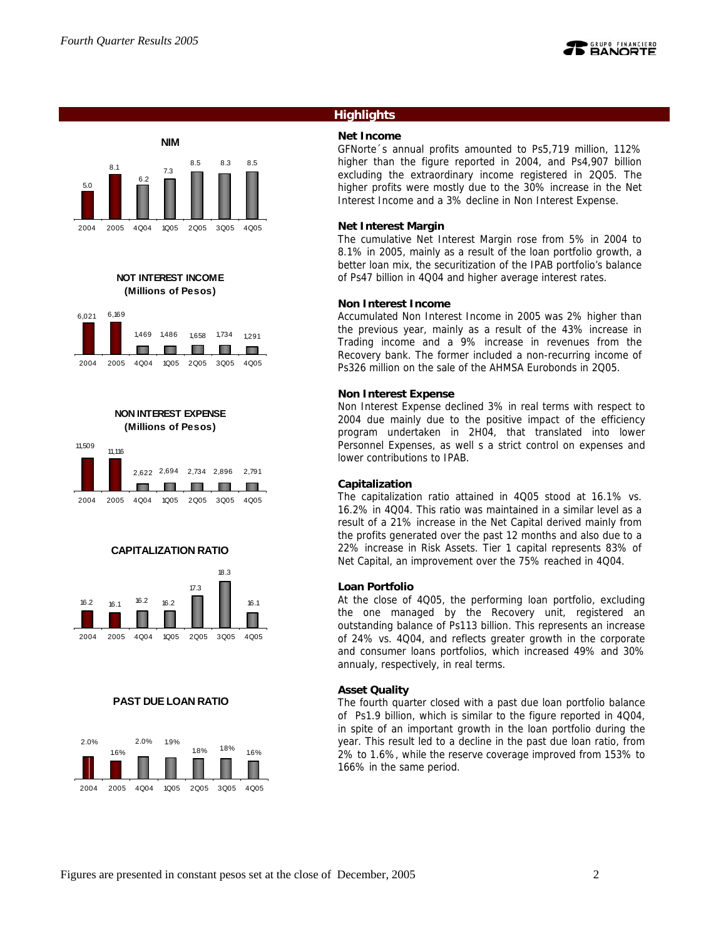



**NOT INTEREST INCOME (Millions of Pesos)**











### **PAST DUE LOAN RATIO**



## **Highlights**

## **Net Income**

GFNorte´s annual profits amounted to Ps5,719 million, 112% higher than the figure reported in 2004, and Ps4,907 billion excluding the extraordinary income registered in 2Q05. The higher profits were mostly due to the 30% increase in the Net Interest Income and a 3% decline in Non Interest Expense.

### **Net Interest Margin**

The cumulative Net Interest Margin rose from 5% in 2004 to 8.1% in 2005, mainly as a result of the loan portfolio growth, a better loan mix, the securitization of the IPAB portfolio's balance of Ps47 billion in 4Q04 and higher average interest rates.

### **Non Interest Income**

Accumulated Non Interest Income in 2005 was 2% higher than the previous year, mainly as a result of the 43% increase in Trading income and a 9% increase in revenues from the Recovery bank. The former included a non-recurring income of Ps326 million on the sale of the AHMSA Eurobonds in 2Q05.

#### **Non Interest Expense**

Non Interest Expense declined 3% in real terms with respect to 2004 due mainly due to the positive impact of the efficiency program undertaken in 2H04, that translated into lower Personnel Expenses, as well s a strict control on expenses and lower contributions to IPAB.

#### **Capitalization**

The capitalization ratio attained in 4Q05 stood at 16.1% vs. 16.2% in 4Q04. This ratio was maintained in a similar level as a result of a 21% increase in the Net Capital derived mainly from the profits generated over the past 12 months and also due to a 22% increase in Risk Assets. Tier 1 capital represents 83% of Net Capital, an improvement over the 75% reached in 4Q04.

### **Loan Portfolio**

At the close of 4Q05, the performing loan portfolio, excluding the one managed by the Recovery unit, registered an outstanding balance of Ps113 billion. This represents an increase of 24% vs. 4Q04, and reflects greater growth in the corporate and consumer loans portfolios, which increased 49% and 30% annualy, respectively, in real terms.

### **Asset Quality**

The fourth quarter closed with a past due loan portfolio balance of Ps1.9 billion, which is similar to the figure reported in 4Q04, in spite of an important growth in the loan portfolio during the year. This result led to a decline in the past due loan ratio, from 2% to 1.6%, while the reserve coverage improved from 153% to 166% in the same period.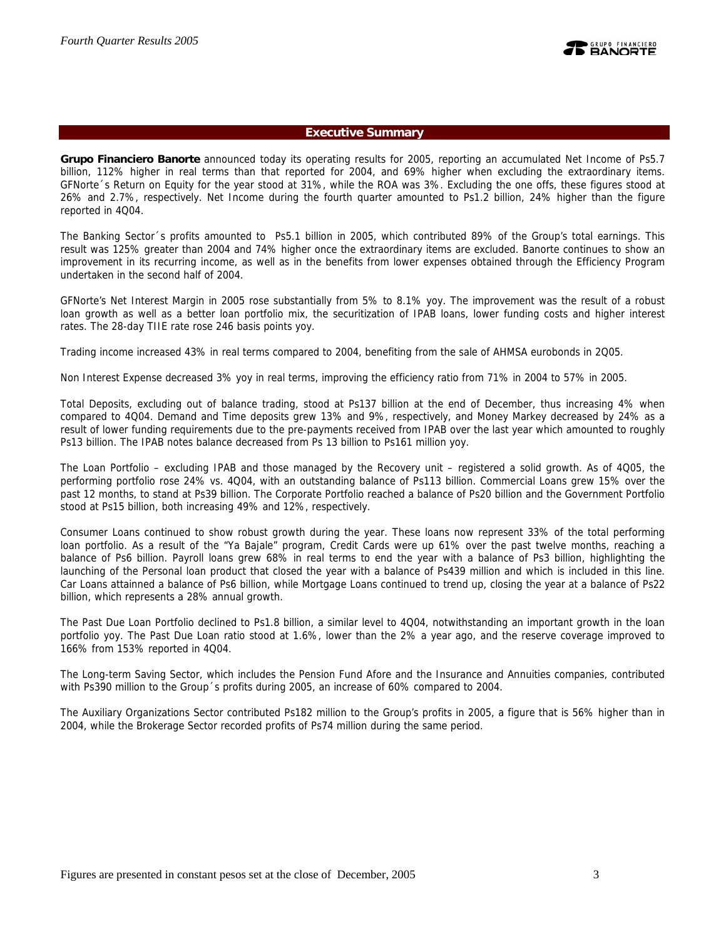## **Executive Summary**

**Grupo Financiero Banorte** announced today its operating results for 2005, reporting an accumulated Net Income of Ps5.7 billion, 112% higher in real terms than that reported for 2004, and 69% higher when excluding the extraordinary items. GFNorte´s Return on Equity for the year stood at 31%, while the ROA was 3%. Excluding the one offs, these figures stood at 26% and 2.7%, respectively. Net Income during the fourth quarter amounted to Ps1.2 billion, 24% higher than the figure reported in 4Q04.

The Banking Sector´s profits amounted to Ps5.1 billion in 2005, which contributed 89% of the Group's total earnings. This result was 125% greater than 2004 and 74% higher once the extraordinary items are excluded. Banorte continues to show an improvement in its recurring income, as well as in the benefits from lower expenses obtained through the Efficiency Program undertaken in the second half of 2004.

GFNorte's Net Interest Margin in 2005 rose substantially from 5% to 8.1% yoy. The improvement was the result of a robust loan growth as well as a better loan portfolio mix, the securitization of IPAB loans, lower funding costs and higher interest rates. The 28-day TIIE rate rose 246 basis points yoy.

Trading income increased 43% in real terms compared to 2004, benefiting from the sale of AHMSA eurobonds in 2Q05.

Non Interest Expense decreased 3% yoy in real terms, improving the efficiency ratio from 71% in 2004 to 57% in 2005.

Total Deposits, excluding out of balance trading, stood at Ps137 billion at the end of December, thus increasing 4% when compared to 4Q04. Demand and Time deposits grew 13% and 9%, respectively, and Money Markey decreased by 24% as a result of lower funding requirements due to the pre-payments received from IPAB over the last year which amounted to roughly Ps13 billion. The IPAB notes balance decreased from Ps 13 billion to Ps161 million yoy.

The Loan Portfolio – excluding IPAB and those managed by the Recovery unit – registered a solid growth. As of 4Q05, the performing portfolio rose 24% vs. 4Q04, with an outstanding balance of Ps113 billion. Commercial Loans grew 15% over the past 12 months, to stand at Ps39 billion. The Corporate Portfolio reached a balance of Ps20 billion and the Government Portfolio stood at Ps15 billion, both increasing 49% and 12%, respectively.

Consumer Loans continued to show robust growth during the year. These loans now represent 33% of the total performing loan portfolio. As a result of the "Ya Bajale" program, Credit Cards were up 61% over the past twelve months, reaching a balance of Ps6 billion. Payroll loans grew 68% in real terms to end the year with a balance of Ps3 billion, highlighting the launching of the Personal loan product that closed the year with a balance of Ps439 million and which is included in this line. Car Loans attainned a balance of Ps6 billion, while Mortgage Loans continued to trend up, closing the year at a balance of Ps22 billion, which represents a 28% annual growth.

The Past Due Loan Portfolio declined to Ps1.8 billion, a similar level to 4Q04, notwithstanding an important growth in the loan portfolio yoy. The Past Due Loan ratio stood at 1.6%, lower than the 2% a year ago, and the reserve coverage improved to 166% from 153% reported in 4Q04.

The Long-term Saving Sector, which includes the Pension Fund Afore and the Insurance and Annuities companies, contributed with Ps390 million to the Group´s profits during 2005, an increase of 60% compared to 2004.

The Auxiliary Organizations Sector contributed Ps182 million to the Group's profits in 2005, a figure that is 56% higher than in 2004, while the Brokerage Sector recorded profits of Ps74 million during the same period.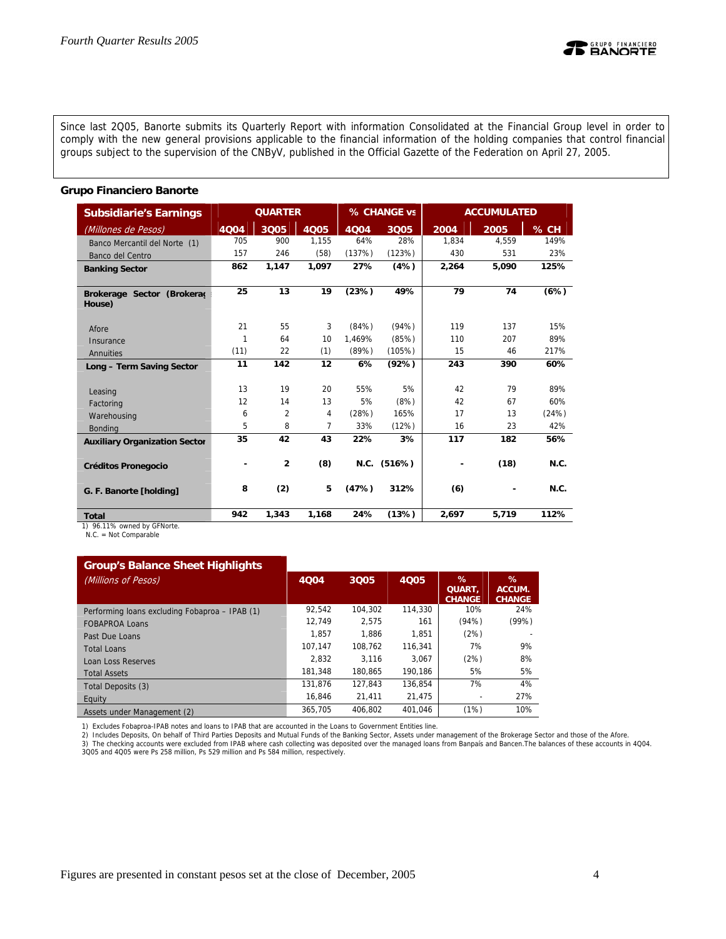

#### **Grupo Financiero Banorte**

| <b>Subsidiarie's Earnings</b>               |      | <b>QUARTER</b> |       |        | % CHANGE vs   |       | <b>ACCUMULATED</b> |       |
|---------------------------------------------|------|----------------|-------|--------|---------------|-------|--------------------|-------|
| (Millones de Pesos)                         | 4004 | 3Q05           | 4Q05  | 4004   | 3Q05          | 2004  | 2005               | % CH  |
| Banco Mercantil del Norte (1)               | 705  | 900            | 1.155 | 64%    | 28%           | 1.834 | 4.559              | 149%  |
| Banco del Centro                            | 157  | 246            | (58)  | (137%) | (123%)        | 430   | 531                | 23%   |
| <b>Banking Sector</b>                       | 862  | 1,147          | 1,097 | 27%    | (4%)          | 2,264 | 5,090              | 125%  |
|                                             |      |                |       |        |               |       |                    |       |
| Brokerage Sector (Brokeraç                  | 25   | 13             | 19    | (23%)  | 49%           | 79    | 74                 | (6%)  |
| House)                                      |      |                |       |        |               |       |                    |       |
|                                             | 21   | 55             | 3     | (84%)  | (94%)         | 119   | 137                | 15%   |
| Afore                                       | 1    | 64             | 10    | 1,469% | (85%)         | 110   | 207                | 89%   |
| Insurance                                   |      | 22             |       |        | (105%)        | 15    | 46                 | 217%  |
| Annuities                                   | (11) |                | (1)   | (89%)  |               |       |                    |       |
| Long - Term Saving Sector                   | 11   | 142            | 12    | 6%     | (92%)         | 243   | 390                | 60%   |
|                                             | 13   | 19             | 20    |        | 5%            | 42    | 79                 | 89%   |
| Leasing                                     |      |                |       | 55%    |               |       |                    |       |
| Factoring                                   | 12   | 14             | 13    | 5%     | (8%)          | 42    | 67                 | 60%   |
| Warehousing                                 | 6    | 2              | 4     | (28%)  | 165%          | 17    | 13                 | (24%) |
| <b>Bonding</b>                              | 5    | 8              | 7     | 33%    | (12%)         | 16    | 23                 | 42%   |
| <b>Auxiliary Organization Sector</b>        | 35   | 42             | 43    | 22%    | 3%            | 117   | 182                | 56%   |
|                                             |      |                |       |        |               |       |                    |       |
| <b>Créditos Pronegocio</b>                  |      | $\overline{2}$ | (8)   |        | $N.C.$ (516%) |       | (18)               | N.C.  |
|                                             |      |                |       |        |               |       |                    |       |
| G. F. Banorte [holding]                     | 8    | (2)            | 5     | (47%)  | 312%          | (6)   |                    | N.C.  |
|                                             | 942  | 1,343          | 1,168 | 24%    | (13%)         | 2,697 | 5,719              | 112%  |
| <b>Total</b><br>1) 96.11% owned by GENorte. |      |                |       |        |               |       |                    |       |

1) 96.11% owned by GFNorte. N.C. = Not Comparable

#### **Group's Balance Sheet Highlights**

| $\sim$ . $\sim$ . $\sim$ . $\sim$ . $\sim$ . $\sim$ . $\sim$ . $\sim$ . $\sim$ . $\sim$ . $\sim$ |         |         |             |                                     |                              |
|--------------------------------------------------------------------------------------------------|---------|---------|-------------|-------------------------------------|------------------------------|
| (Millions of Pesos)                                                                              | 4004    | 3Q05    | <b>4Q05</b> | %<br><b>QUART.</b><br><b>CHANGE</b> | ℅<br>ACCUM.<br><b>CHANGE</b> |
| Performing loans excluding Fobaproa - IPAB (1)                                                   | 92.542  | 104.302 | 114,330     | 10%                                 | 24%                          |
| <b>FOBAPROA Loans</b>                                                                            | 12.749  | 2.575   | 161         | (94%)                               | (99%)                        |
| Past Due Loans                                                                                   | 1.857   | 1.886   | 1.851       | (2%)                                |                              |
| <b>Total Loans</b>                                                                               | 107.147 | 108.762 | 116.341     | 7%                                  | 9%                           |
| Loan Loss Reserves                                                                               | 2.832   | 3.116   | 3.067       | (2%)                                | 8%                           |
| <b>Total Assets</b>                                                                              | 181.348 | 180.865 | 190.186     | 5%                                  | 5%                           |
| Total Deposits (3)                                                                               | 131.876 | 127.843 | 136.854     | 7%                                  | 4%                           |
| Equity                                                                                           | 16.846  | 21.411  | 21.475      |                                     | 27%                          |
| Assets under Management (2)                                                                      | 365.705 | 406.802 | 401.046     | (1%)                                | 10%                          |

1) Excludes Fobaproa-IPAB notes and loans to IPAB that are accounted in the Loans to Government Entities line.

2) Includes Deposits, On behalf of Third Parties Deposits and Mutual Funds of the Banking Sector, Assets under management of the Brokerage Sector and those of the Afore.<br>3) The checking accounts were excluded from IPAB whe

**REANORTH**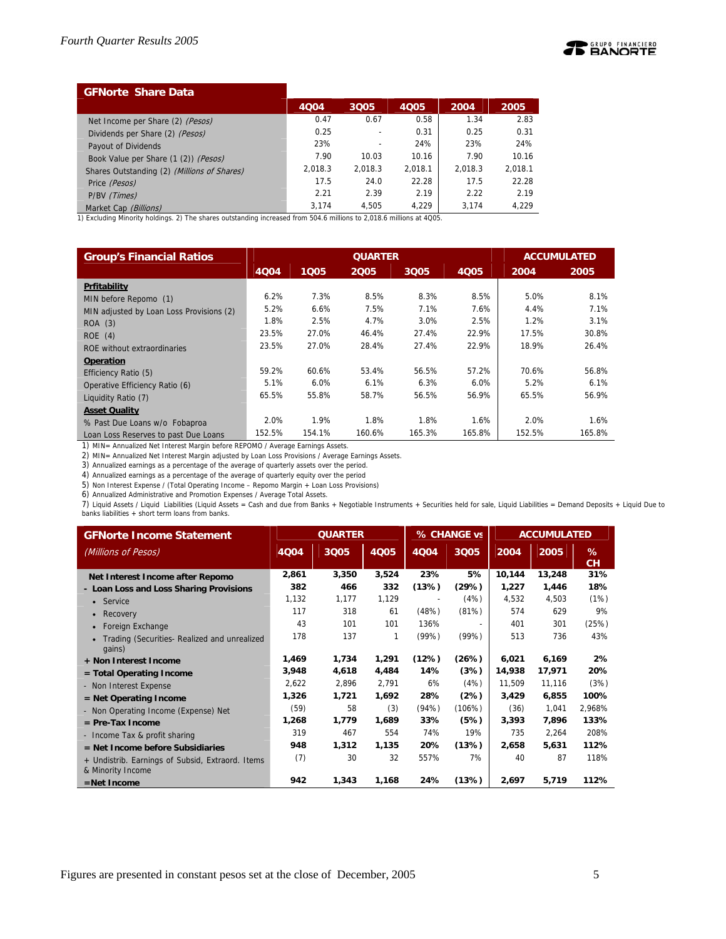

| <b>GFNorte Share Data</b>                   |         |         |         |         |         |
|---------------------------------------------|---------|---------|---------|---------|---------|
|                                             | 4004    | 3Q05    | 4005    | 2004    | 2005    |
| Net Income per Share (2) (Pesos)            | 0.47    | 0.67    | 0.58    | 1.34    | 2.83    |
| Dividends per Share (2) (Pesos)             | 0.25    |         | 0.31    | 0.25    | 0.31    |
| Payout of Dividends                         | 23%     |         | 24%     | 23%     | 24%     |
| Book Value per Share (1 (2)) (Pesos)        | 7.90    | 10.03   | 10.16   | 7.90    | 10.16   |
| Shares Outstanding (2) (Millions of Shares) | 2,018.3 | 2.018.3 | 2.018.1 | 2.018.3 | 2.018.1 |
| Price (Pesos)                               | 17.5    | 24.0    | 22.28   | 17.5    | 22.28   |
| P/BV (Times)                                | 2.21    | 2.39    | 2.19    | 2.22    | 2.19    |
| Market Cap (Billions)                       | 3.174   | 4.505   | 4.229   | 3.174   | 4.229   |

1) Excluding Minority holdings. 2) The shares outstanding increased from 504.6 millions to 2,018.6 millions at 4Q05.

| <b>Group's Financial Ratios</b>          |        |        | <b>QUARTER</b> |        |             |        | <b>ACCUMULATED</b> |
|------------------------------------------|--------|--------|----------------|--------|-------------|--------|--------------------|
|                                          | 4004   | 1005   | 2005           | 3Q05   | <b>4Q05</b> | 2004   | 2005               |
| Prfitability                             |        |        |                |        |             |        |                    |
| MIN before Repomo (1)                    | 6.2%   | 7.3%   | 8.5%           | 8.3%   | 8.5%        | 5.0%   | 8.1%               |
| MIN adjusted by Loan Loss Provisions (2) | 5.2%   | 6.6%   | 7.5%           | 7.1%   | 7.6%        | 4.4%   | 7.1%               |
| ROA (3)                                  | 1.8%   | 2.5%   | 4.7%           | 3.0%   | 2.5%        | 1.2%   | 3.1%               |
| ROE(4)                                   | 23.5%  | 27.0%  | 46.4%          | 27.4%  | 22.9%       | 17.5%  | 30.8%              |
| ROE without extraordinaries              | 23.5%  | 27.0%  | 28.4%          | 27.4%  | 22.9%       | 18.9%  | 26.4%              |
| <b>Operation</b>                         |        |        |                |        |             |        |                    |
| Efficiency Ratio (5)                     | 59.2%  | 60.6%  | 53.4%          | 56.5%  | 57.2%       | 70.6%  | 56.8%              |
| Operative Efficiency Ratio (6)           | 5.1%   | 6.0%   | 6.1%           | 6.3%   | 6.0%        | 5.2%   | 6.1%               |
| Liquidity Ratio (7)                      | 65.5%  | 55.8%  | 58.7%          | 56.5%  | 56.9%       | 65.5%  | 56.9%              |
| <b>Asset Quality</b>                     |        |        |                |        |             |        |                    |
| % Past Due Loans w/o Fobaproa            | 2.0%   | 1.9%   | 1.8%           | 1.8%   | 1.6%        | 2.0%   | 1.6%               |
| Loan Loss Reserves to past Due Loans     | 152.5% | 154.1% | 160.6%         | 165.3% | 165.8%      | 152.5% | 165.8%             |

1) MIN= Annualized Net Interest Margin before REPOMO / Average Earnings Assets.

2) MIN= Annualized Net Interest Margin adjusted by Loan Loss Provisions / Average Earnings Assets.

3) Annualized earnings as a percentage of the average of quarterly assets over the period.

4) Annualized earnings as a percentage of the average of quarterly equity over the period

5) Non Interest Expense / (Total Operating Income – Repomo Margin + Loan Loss Provisions)

6) Annualized Administrative and Promotion Expenses / Average Total Assets.

7) Liquid Assets / Liquid Liabilities (Liquid Assets = Cash and due from Banks + Negotiable Instruments + Securities held for sale, Liquid Liabilities = Demand Deposits + Liquid Due to<br>banks liabilities + short term loans

| <b>GFNorte Income Statement</b>                                       |       | <b>QUARTER</b> |       |       | % CHANGE vs              |        | <b>ACCUMULATED</b> |         |  |
|-----------------------------------------------------------------------|-------|----------------|-------|-------|--------------------------|--------|--------------------|---------|--|
| (Millions of Pesos)                                                   | 4004  | 3Q05           | 4Q05  | 4004  | 3Q05                     | 2004   | 2005               | %<br>CH |  |
| Net Interest Income after Repomo                                      | 2,861 | 3,350          | 3,524 | 23%   | 5%                       | 10,144 | 13,248             | 31%     |  |
| - Loan Loss and Loss Sharing Provisions                               | 382   | 466            | 332   | (13%) | (29%)                    | 1,227  | 1,446              | 18%     |  |
| • Service                                                             | 1,132 | 1,177          | 1,129 |       | (4%)                     | 4,532  | 4,503              | (1%)    |  |
| Recovery<br>$\bullet$                                                 | 117   | 318            | 61    | (48%) | (81%)                    | 574    | 629                | 9%      |  |
| Foreign Exchange                                                      | 43    | 101            | 101   | 136%  | $\overline{\phantom{0}}$ | 401    | 301                | (25%)   |  |
| Trading (Securities- Realized and unrealized<br>gains)                | 178   | 137            | 1     | (99%) | (99% )                   | 513    | 736                | 43%     |  |
| + Non Interest Income                                                 | 1,469 | 1,734          | 1,291 | (12%) | (26%)                    | 6,021  | 6,169              | 2%      |  |
| $=$ Total Operating Income                                            | 3,948 | 4,618          | 4,484 | 14%   | (3%)                     | 14,938 | 17,971             | 20%     |  |
| - Non Interest Expense                                                | 2,622 | 2,896          | 2,791 | 6%    | (4%)                     | 11,509 | 11,116             | (3%)    |  |
| $=$ Net Operating Income                                              | 1,326 | 1,721          | 1,692 | 28%   | (2%)                     | 3,429  | 6,855              | 100%    |  |
| - Non Operating Income (Expense) Net                                  | (59)  | 58             | (3)   | (94%) | (106%)                   | (36)   | 1,041              | 2,968%  |  |
| $=$ Pre-Tax Income                                                    | 1,268 | 1,779          | 1,689 | 33%   | (5%)                     | 3,393  | 7,896              | 133%    |  |
| - Income Tax & profit sharing                                         | 319   | 467            | 554   | 74%   | 19%                      | 735    | 2,264              | 208%    |  |
| $=$ Net Income before Subsidiaries                                    | 948   | 1,312          | 1,135 | 20%   | (13%)                    | 2,658  | 5,631              | 112%    |  |
| + Undistrib. Earnings of Subsid, Extraord. Items<br>& Minority Income | (7)   | 30             | 32    | 557%  | 7%                       | 40     | 87                 | 118%    |  |
| $=$ Net Income                                                        | 942   | 1,343          | 1,168 | 24%   | (13%)                    | 2,697  | 5,719              | 112%    |  |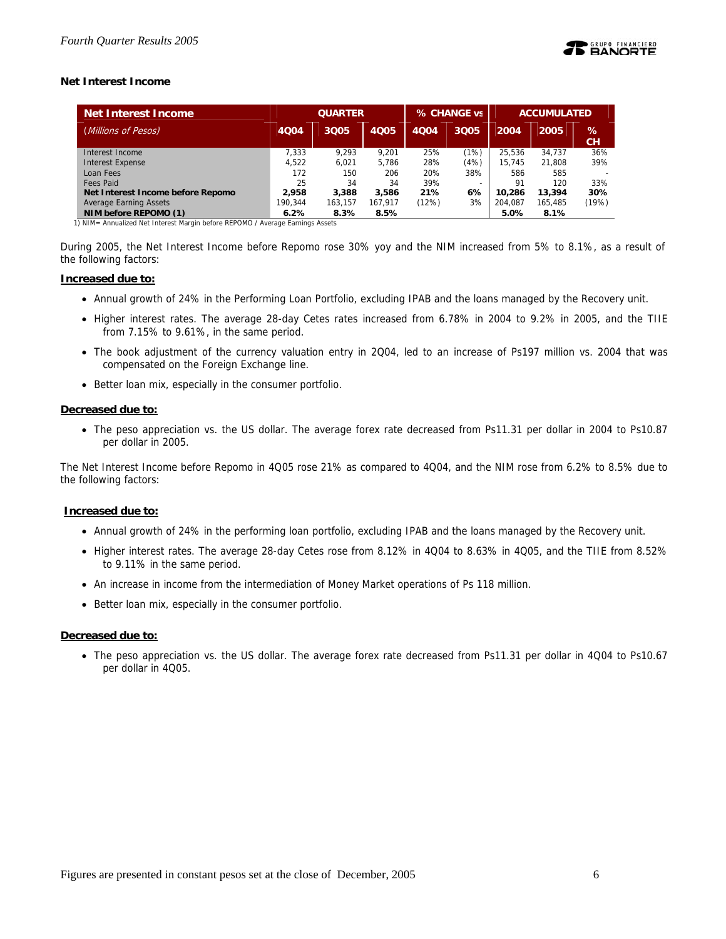## **Net Interest Income**

| <b>Net Interest Income</b>        |         | <b>QUARTER</b> |             |       | % CHANGE vs | <b>ACCUMULATED</b> |         |         |
|-----------------------------------|---------|----------------|-------------|-------|-------------|--------------------|---------|---------|
| (Millions of Pesos)               | 4004    | 3Q05           | <b>4Q05</b> | 4004  | 3Q05        | 2004               | 2005    | %<br>CН |
| Interest Income                   | 7.333   | 9.293          | 9.201       | 25%   | (1%)        | 25.536             | 34.737  | 36%     |
| <b>Interest Expense</b>           | 4.522   | 6.021          | 5.786       | 28%   | (4%)        | 15.745             | 21.808  | 39%     |
| Loan Fees                         | 172     | 150            | 206         | 20%   | 38%         | 586                | 585     |         |
| <b>Fees Paid</b>                  | 25      | 34             | 34          | 39%   | -           | 91                 | 120     | 33%     |
| Net Interest Income before Repomo | 2.958   | 3,388          | 3.586       | 21%   | 6%          | 10.286             | 13,394  | 30%     |
| <b>Average Earning Assets</b>     | 190.344 | 163.157        | 167.917     | (12%) | 3%          | 204.087            | 165.485 | (19%)   |
| NIM before REPOMO (1)             | 6.2%    | 8.3%           | 8.5%        |       |             | 5.0%               | 8.1%    |         |

1) NIM= Annualized Net Interest Margin before REPOMO / Average Earnings Assets

During 2005, the Net Interest Income before Repomo rose 30% yoy and the NIM increased from 5% to 8.1%, as a result of the following factors:

### **Increased due to:**

- Annual growth of 24% in the Performing Loan Portfolio, excluding IPAB and the loans managed by the Recovery unit.
- Higher interest rates. The average 28-day Cetes rates increased from 6.78% in 2004 to 9.2% in 2005, and the TIIE from 7.15% to 9.61%, in the same period.
- The book adjustment of the currency valuation entry in 2Q04, led to an increase of Ps197 million vs. 2004 that was compensated on the Foreign Exchange line.
- Better loan mix, especially in the consumer portfolio.

### **Decreased due to:**

• The peso appreciation vs. the US dollar. The average forex rate decreased from Ps11.31 per dollar in 2004 to Ps10.87 per dollar in 2005.

The Net Interest Income before Repomo in 4Q05 rose 21% as compared to 4Q04, and the NIM rose from 6.2% to 8.5% due to the following factors:

### **Increased due to:**

- Annual growth of 24% in the performing loan portfolio, excluding IPAB and the loans managed by the Recovery unit.
- Higher interest rates. The average 28-day Cetes rose from 8.12% in 4Q04 to 8.63% in 4Q05, and the TIIE from 8.52% to 9.11% in the same period.
- An increase in income from the intermediation of Money Market operations of Ps 118 million.
- Better loan mix, especially in the consumer portfolio.

### **Decreased due to:**

• The peso appreciation vs. the US dollar. The average forex rate decreased from Ps11.31 per dollar in 4Q04 to Ps10.67 per dollar in 4Q05.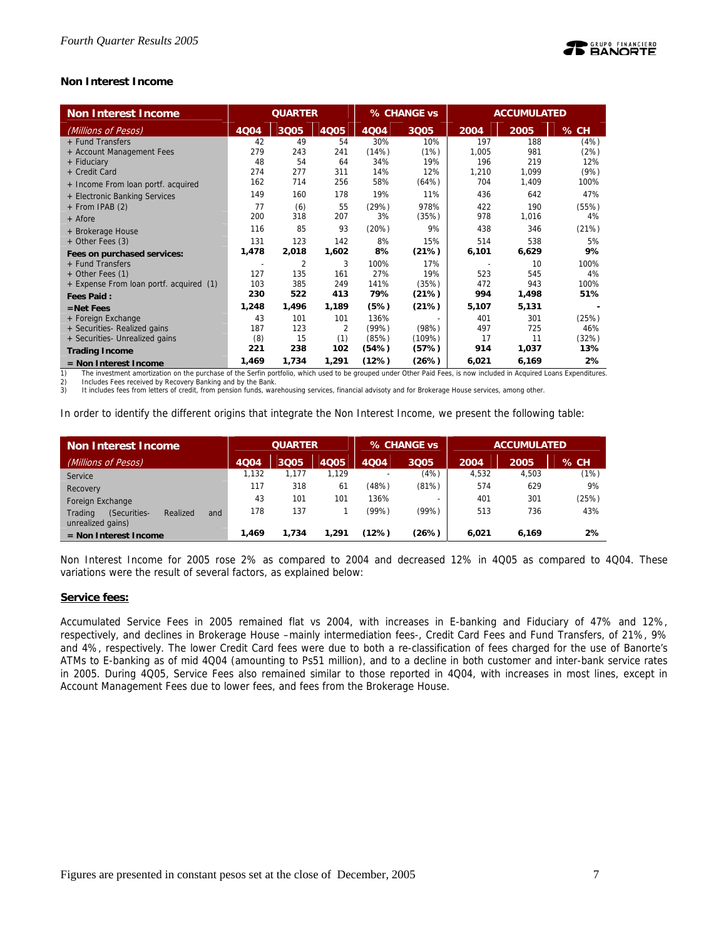## **Non Interest Income**

| <b>Non Interest Income</b>              |       | <b>QUARTER</b> |             |             | % CHANGE vs |       | <b>ACCUMULATED</b> |       |  |
|-----------------------------------------|-------|----------------|-------------|-------------|-------------|-------|--------------------|-------|--|
| (Millions of Pesos)                     | 4Q04  | 3Q05           | <b>4Q05</b> | <b>4Q04</b> | 3Q05        | 2004  | 2005               | % CH  |  |
| + Fund Transfers                        | 42    | 49             | 54          | 30%         | 10%         | 197   | 188                | (4%)  |  |
| + Account Management Fees               | 279   | 243            | 241         | (14%)       | (1%)        | 1,005 | 981                | (2%)  |  |
| + Fiduciary                             | 48    | 54             | 64          | 34%         | 19%         | 196   | 219                | 12%   |  |
| + Credit Card                           | 274   | 277            | 311         | 14%         | 12%         | 1,210 | 1,099              | (9%)  |  |
| + Income From loan portf. acquired      | 162   | 714            | 256         | 58%         | (64%)       | 704   | 1,409              | 100%  |  |
| + Electronic Banking Services           | 149   | 160            | 178         | 19%         | 11%         | 436   | 642                | 47%   |  |
| + From IPAB (2)                         | 77    | (6)            | 55          | (29%)       | 978%        | 422   | 190                | (55%) |  |
| + Afore                                 | 200   | 318            | 207         | 3%          | (35%)       | 978   | 1,016              | 4%    |  |
| + Brokerage House                       | 116   | 85             | 93          | (20%)       | 9%          | 438   | 346                | (21%) |  |
| + Other Fees (3)                        | 131   | 123            | 142         | 8%          | 15%         | 514   | 538                | 5%    |  |
| Fees on purchased services:             | 1,478 | 2,018          | 1,602       | 8%          | (21%)       | 6,101 | 6,629              | 9%    |  |
| + Fund Transfers                        |       | $\overline{2}$ | 3           | 100%        | 17%         |       | 10                 | 100%  |  |
| + Other Fees (1)                        | 127   | 135            | 161         | 27%         | 19%         | 523   | 545                | 4%    |  |
| + Expense From loan portf. acquired (1) | 103   | 385            | 249         | 141%        | (35%)       | 472   | 943                | 100%  |  |
| <b>Fees Paid:</b>                       | 230   | 522            | 413         | 79%         | (21%)       | 994   | 1,498              | 51%   |  |
| $=$ Net Fees                            | 1,248 | 1,496          | 1,189       | (5%)        | (21%)       | 5,107 | 5,131              |       |  |
| + Foreign Exchange                      | 43    | 101            | 101         | 136%        |             | 401   | 301                | (25%) |  |
| + Securities- Realized gains            | 187   | 123            | 2           | (99%)       | (98%)       | 497   | 725                | 46%   |  |
| + Securities- Unrealized gains          | (8)   | 15             | (1)         | (85%)       | (109%)      | 17    | 11                 | (32%) |  |
| <b>Trading Income</b>                   | 221   | 238            | 102         | (54%)       | (57%)       | 914   | 1,037              | 13%   |  |
| $=$ Non Interest Income                 | 1,469 | 1,734          | 1,291       | (12%)       | (26%)       | 6,021 | 6,169              | 2%    |  |

1) The investment amortization on the purchase of the Serfin portfolio, which used to be grouped under Other Paid Fees, is now included in Acquired Loans Expenditures.<br>2) Includes Fees received by Recovery Banking and by t

2) Includes Fees received by Recovery Banking and by the Bank.<br>3) It includes fees from letters of credit, from pension funds, wa It includes fees from letters of credit, from pension funds, warehousing services, financial advisoty and for Brokerage House services, among other.

In order to identify the different origins that integrate the Non Interest Income, we present the following table:

| <b>Non Interest Income</b>                                      |       | <b>QUARTER</b> |       |       | % CHANGE vs |       | <b>ACCUMULATED</b> |        |
|-----------------------------------------------------------------|-------|----------------|-------|-------|-------------|-------|--------------------|--------|
| (Millions of Pesos)                                             | 4Q04  | 3Q05           | 4Q05  | 4004  | 3Q05        | 2004  | 2005               | $%$ CH |
| Service                                                         | 1.132 | 1.177          | 1.129 |       | (4%)        | 4,532 | 4,503              | (1%)   |
| Recovery                                                        | 117   | 318            | 61    | (48%) | (81%)       | 574   | 629                | 9%     |
| Foreign Exchange                                                | 43    | 101            | 101   | 136%  |             | 401   | 301                | (25%)  |
| Trading<br>(Securities-<br>Realized<br>and<br>unrealized gains) | 178   | 137            |       | (99%) | (99%)       | 513   | 736                | 43%    |
| $=$ Non Interest Income                                         | 1.469 | 1,734          | 1.291 | (12%) | (26%)       | 6.021 | 6.169              | 2%     |

Non Interest Income for 2005 rose 2% as compared to 2004 and decreased 12% in 4Q05 as compared to 4Q04. These variations were the result of several factors, as explained below:

### **Service fees:**

Accumulated Service Fees in 2005 remained flat vs 2004, with increases in E-banking and Fiduciary of 47% and 12%, respectively, and declines in Brokerage House –mainly intermediation fees-, Credit Card Fees and Fund Transfers, of 21%, 9% and 4%, respectively. The lower Credit Card fees were due to both a re-classification of fees charged for the use of Banorte's ATMs to E-banking as of mid 4Q04 (amounting to Ps51 million), and to a decline in both customer and inter-bank service rates in 2005. During 4Q05, Service Fees also remained similar to those reported in 4Q04, with increases in most lines, except in Account Management Fees due to lower fees, and fees from the Brokerage House.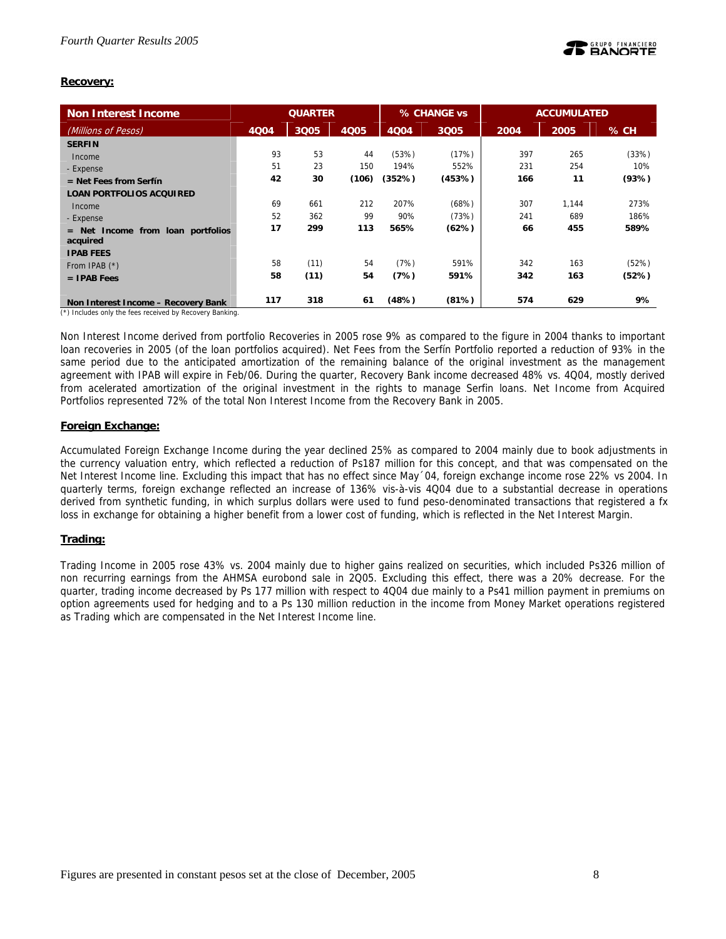## **Recovery:**

| Non Interest Income                    | <b>QUARTER</b> |      |       |        | % CHANGE vs |      | <b>ACCUMULATED</b> |       |  |
|----------------------------------------|----------------|------|-------|--------|-------------|------|--------------------|-------|--|
| (Millions of Pesos)                    | 4Q04           | 3Q05 | 4005  | 4Q04   | 3Q05        | 2004 | 2005               | % CH  |  |
| <b>SERFIN</b>                          |                |      |       |        |             |      |                    |       |  |
| Income                                 | 93             | 53   | 44    | (53%)  | (17%)       | 397  | 265                | (33%) |  |
| - Expense                              | 51             | 23   | 150   | 194%   | 552%        | 231  | 254                | 10%   |  |
| $=$ Net Fees from Serfín               | 42             | 30   | (106) | (352%) | (453%)      | 166  | 11                 | (93%) |  |
| <b>LOAN PORTFOLIOS ACQUIRED</b>        |                |      |       |        |             |      |                    |       |  |
| Income                                 | 69             | 661  | 212   | 207%   | (68%)       | 307  | 1.144              | 273%  |  |
| - Expense                              | 52             | 362  | 99    | 90%    | (73%)       | 241  | 689                | 186%  |  |
| Income from loan portfolios<br>$=$ Net | 17             | 299  | 113   | 565%   | (62%)       | 66   | 455                | 589%  |  |
| acquired                               |                |      |       |        |             |      |                    |       |  |
| <b>IPAB FEES</b>                       |                |      |       |        |             |      |                    |       |  |
| From IPAB $(*)$                        | 58             | (11) | 54    | (7%)   | 591%        | 342  | 163                | (52%) |  |
| $=$ IPAB Fees                          | 58             | (11) | 54    | (7%)   | 591%        | 342  | 163                | (52%) |  |
|                                        |                |      |       |        |             |      |                    |       |  |
| Non Interest Income - Recovery Bank    | 117            | 318  | 61    | (48%)  | (81%)       | 574  | 629                | 9%    |  |

(\*) Includes only the fees received by Recovery Banking.

Non Interest Income derived from portfolio Recoveries in 2005 rose 9% as compared to the figure in 2004 thanks to important loan recoveries in 2005 (of the loan portfolios acquired). Net Fees from the Serfín Portfolio reported a reduction of 93% in the same period due to the anticipated amortization of the remaining balance of the original investment as the management agreement with IPAB will expire in Feb/06. During the quarter, Recovery Bank income decreased 48% vs. 4Q04, mostly derived from acelerated amortization of the original investment in the rights to manage Serfin loans. Net Income from Acquired Portfolios represented 72% of the total Non Interest Income from the Recovery Bank in 2005.

## **Foreign Exchange:**

Accumulated Foreign Exchange Income during the year declined 25% as compared to 2004 mainly due to book adjustments in the currency valuation entry, which reflected a reduction of Ps187 million for this concept, and that was compensated on the Net Interest Income line. Excluding this impact that has no effect since May´04, foreign exchange income rose 22% vs 2004. In quarterly terms, foreign exchange reflected an increase of 136% vis-à-vis 4Q04 due to a substantial decrease in operations derived from synthetic funding, in which surplus dollars were used to fund peso-denominated transactions that registered a fx loss in exchange for obtaining a higher benefit from a lower cost of funding, which is reflected in the Net Interest Margin.

## **Trading:**

Trading Income in 2005 rose 43% vs. 2004 mainly due to higher gains realized on securities, which included Ps326 million of non recurring earnings from the AHMSA eurobond sale in 2Q05. Excluding this effect, there was a 20% decrease. For the quarter, trading income decreased by Ps 177 million with respect to 4Q04 due mainly to a Ps41 million payment in premiums on option agreements used for hedging and to a Ps 130 million reduction in the income from Money Market operations registered as Trading which are compensated in the Net Interest Income line.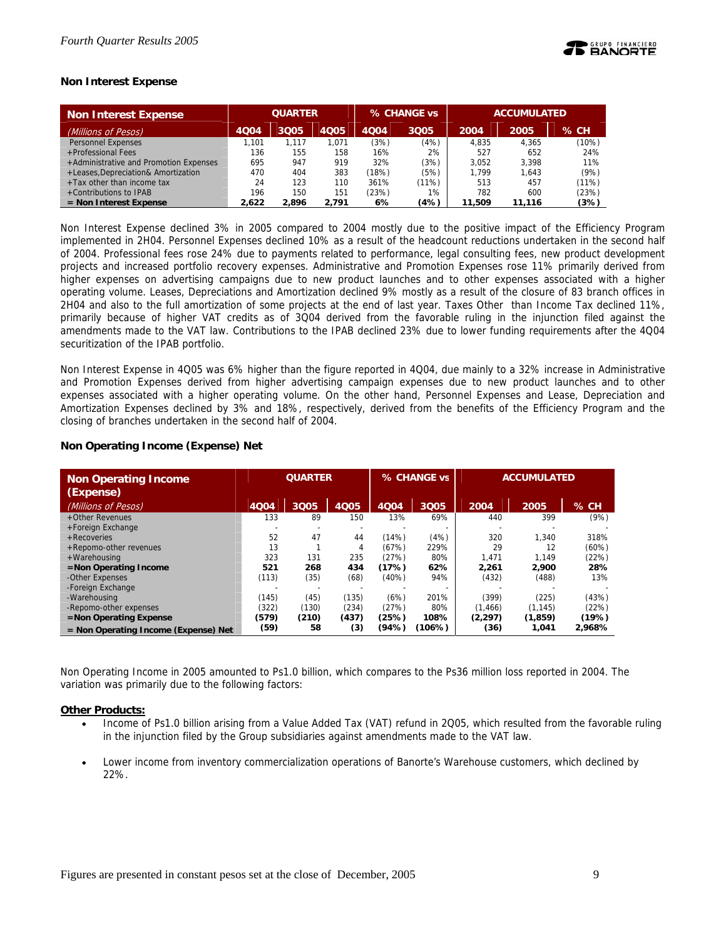## **Non Interest Expense**

| <b>Non Interest Expense</b>            | <b>QUARTER</b> |       | % CHANGE vs |       | <b>ACCUMULATED</b> |        |        |        |
|----------------------------------------|----------------|-------|-------------|-------|--------------------|--------|--------|--------|
| (Millions of Pesos)                    | 4Q04           | 3005  | 4Q05        | 4004  | 3Q05               | 2004   | 2005   | $%$ CH |
| Personnel Expenses                     | 1.101          | 1.117 | 1.071       | (3%)  | (4%)               | 4.835  | 4.365  | (10%)  |
| +Professional Fees                     | 136            | 155   | 158         | 16%   | 2%                 | 527    | 652    | 24%    |
| +Administrative and Promotion Expenses | 695            | 947   | 919         | 32%   | (3%)               | 3.052  | 3.398  | 11%    |
| +Leases, Depreciation& Amortization    | 470            | 404   | 383         | (18%) | (5%)               | 1.799  | 1.643  | (9%)   |
| $+$ Tax other than income tax          | 24             | 123   | 110         | 361%  | $(11\%)$           | 513    | 457    | (11%)  |
| +Contributions to IPAB                 | 196            | 150   | 151         | (23%) | 1%                 | 782    | 600    | (23%)  |
| $=$ Non Interest Expense               | 2.622          | 2.896 | 2.791       | 6%    | (4%)               | 11,509 | 11.116 | (3%)   |

Non Interest Expense declined 3% in 2005 compared to 2004 mostly due to the positive impact of the Efficiency Program implemented in 2H04. Personnel Expenses declined 10% as a result of the headcount reductions undertaken in the second half of 2004. Professional fees rose 24% due to payments related to performance, legal consulting fees, new product development projects and increased portfolio recovery expenses. Administrative and Promotion Expenses rose 11% primarily derived from higher expenses on advertising campaigns due to new product launches and to other expenses associated with a higher operating volume. Leases, Depreciations and Amortization declined 9% mostly as a result of the closure of 83 branch offices in 2H04 and also to the full amortization of some projects at the end of last year. Taxes Other than Income Tax declined 11%, primarily because of higher VAT credits as of 3Q04 derived from the favorable ruling in the injunction filed against the amendments made to the VAT law. Contributions to the IPAB declined 23% due to lower funding requirements after the 4Q04 securitization of the IPAB portfolio.

Non Interest Expense in 4Q05 was 6% higher than the figure reported in 4Q04, due mainly to a 32% increase in Administrative and Promotion Expenses derived from higher advertising campaign expenses due to new product launches and to other expenses associated with a higher operating volume. On the other hand, Personnel Expenses and Lease, Depreciation and Amortization Expenses declined by 3% and 18%, respectively, derived from the benefits of the Efficiency Program and the closing of branches undertaken in the second half of 2004.

| <b>Non Operating Income</b><br>(Expense) | <b>QUARTER</b> |       |       |       | % CHANGE vs | <b>ACCUMULATED</b> |          |        |
|------------------------------------------|----------------|-------|-------|-------|-------------|--------------------|----------|--------|
| (Millions of Pesos)                      | 4Q04           | 3Q05  | 4005  | 4004  | 3Q05        | 2004               | 2005     | $%$ CH |
| +Other Revenues                          | 133            | 89    | 150   | 13%   | 69%         | 440                | 399      | (9%)   |
| +Foreign Exchange                        |                |       |       |       |             |                    |          |        |
| + Recoveries                             | 52             | 47    | 44    | (14%) | (4%)        | 320                | 1.340    | 318%   |
| +Repomo-other revenues                   | 13             |       | 4     | (67%) | 229%        | 29                 | 12       | (60%)  |
| +Warehousing                             | 323            | 131   | 235   | (27%) | 80%         | 1,471              | 1,149    | (22%)  |
| $=$ Non Operating Income                 | 521            | 268   | 434   | (17%) | 62%         | 2.261              | 2,900    | 28%    |
| -Other Expenses                          | (113)          | (35)  | (68)  | (40%) | 94%         | (432)              | (488)    | 13%    |
| -Foreign Exchange                        |                |       |       |       |             |                    |          |        |
| -Warehousing                             | (145)          | (45)  | (135) | (6%)  | 201%        | (399)              | (225)    | (43%)  |
| -Repomo-other expenses                   | (322)          | (130) | (234) | (27%) | 80%         | (1, 466)           | (1, 145) | (22%)  |
| $=$ Non Operating Expense                | (579)          | (210) | (437) | (25%) | 108%        | (2, 297)           | (1,859)  | (19%)  |
| $=$ Non Operating Income (Expense) Net   | (59)           | 58    | (3)   | (94%) | (106%)      | (36)               | 1,041    | 2.968% |

## **Non Operating Income (Expense) Net**

Non Operating Income in 2005 amounted to Ps1.0 billion, which compares to the Ps36 million loss reported in 2004. The variation was primarily due to the following factors:

### **Other Products:**

- Income of Ps1.0 billion arising from a Value Added Tax (VAT) refund in 2Q05, which resulted from the favorable ruling in the injunction filed by the Group subsidiaries against amendments made to the VAT law.
- Lower income from inventory commercialization operations of Banorte's Warehouse customers, which declined by 22%.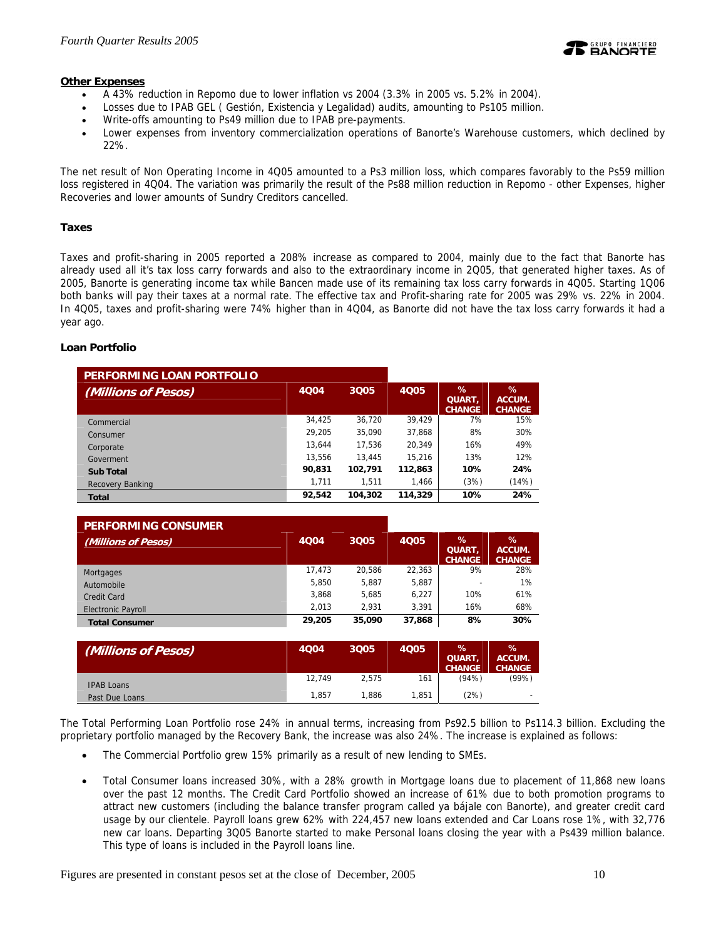

## **Other Expenses**

- A 43% reduction in Repomo due to lower inflation vs 2004 (3.3% in 2005 vs. 5.2% in 2004).
- Losses due to IPAB GEL ( Gestión, Existencia y Legalidad) audits, amounting to Ps105 million.
- Write-offs amounting to Ps49 million due to IPAB pre-payments.
- Lower expenses from inventory commercialization operations of Banorte's Warehouse customers, which declined by 22%.

The net result of Non Operating Income in 4Q05 amounted to a Ps3 million loss, which compares favorably to the Ps59 million loss registered in 4Q04. The variation was primarily the result of the Ps88 million reduction in Repomo - other Expenses, higher Recoveries and lower amounts of Sundry Creditors cancelled.

## **Taxes**

Taxes and profit-sharing in 2005 reported a 208% increase as compared to 2004, mainly due to the fact that Banorte has already used all it's tax loss carry forwards and also to the extraordinary income in 2Q05, that generated higher taxes. As of 2005, Banorte is generating income tax while Bancen made use of its remaining tax loss carry forwards in 4Q05. Starting 1Q06 both banks will pay their taxes at a normal rate. The effective tax and Profit-sharing rate for 2005 was 29% vs. 22% in 2004. In 4Q05, taxes and profit-sharing were 74% higher than in 4Q04, as Banorte did not have the tax loss carry forwards it had a year ago.

## **Loan Portfolio**

| PERFORMING LOAN PORTFOLIO |        |         |         |                              |                                 |
|---------------------------|--------|---------|---------|------------------------------|---------------------------------|
| (Millions of Pesos)       | 4004   | 3Q05    | 4005    | ℅<br>QUART,<br><b>CHANGE</b> | $\%$<br>ACCUM.<br><b>CHANGE</b> |
| Commercial                | 34.425 | 36.720  | 39.429  | 7%                           | 15%                             |
| Consumer                  | 29.205 | 35,090  | 37,868  | 8%                           | 30%                             |
| Corporate                 | 13.644 | 17.536  | 20.349  | 16%                          | 49%                             |
| Goverment                 | 13.556 | 13.445  | 15.216  | 13%                          | 12%                             |
| <b>Sub Total</b>          | 90,831 | 102,791 | 112,863 | 10%                          | 24%                             |
| <b>Recovery Banking</b>   | 1.711  | 1.511   | 1.466   | (3%)                         | (14%)                           |
| <b>Total</b>              | 92,542 | 104,302 | 114,329 | 10%                          | 24%                             |

| <b>PERFORMING CONSUMER</b> |        |        |             |                                 |                                 |
|----------------------------|--------|--------|-------------|---------------------------------|---------------------------------|
| (Millions of Pesos)        | 4004   | 3Q05   | <b>4Q05</b> | $\%$<br>QUART,<br><b>CHANGE</b> | $\%$<br>ACCUM.<br><b>CHANGE</b> |
| Mortgages                  | 17,473 | 20.586 | 22,363      | 9%                              | 28%                             |
| Automobile                 | 5.850  | 5.887  | 5,887       |                                 | 1%                              |
| Credit Card                | 3,868  | 5.685  | 6.227       | 10%                             | 61%                             |
| <b>Electronic Payroll</b>  | 2.013  | 2.931  | 3.391       | 16%                             | 68%                             |
| <b>Total Consumer</b>      | 29,205 | 35,090 | 37,868      | 8%                              | 30%                             |

| (Millions of Pesos) | <b>4Q04</b> | 3Q05  | <b>4Q05</b> | $\%$<br><b>QUART</b><br><b>CHANGE</b> | %<br>ACCUM.<br><b>CHANGE</b> |
|---------------------|-------------|-------|-------------|---------------------------------------|------------------------------|
| <b>IPAB Loans</b>   | 12.749      | 2.575 | 161         | (94%)                                 | (99%)                        |
| Past Due Loans      | 1.857       | '.886 | 1.851       | (2%)                                  | -                            |

The Total Performing Loan Portfolio rose 24% in annual terms, increasing from Ps92.5 billion to Ps114.3 billion. Excluding the proprietary portfolio managed by the Recovery Bank, the increase was also 24%. The increase is explained as follows:

- The Commercial Portfolio grew 15% primarily as a result of new lending to SMEs.
- Total Consumer loans increased 30%, with a 28% growth in Mortgage loans due to placement of 11,868 new loans over the past 12 months. The Credit Card Portfolio showed an increase of 61% due to both promotion programs to attract new customers (including the balance transfer program called ya bájale con Banorte), and greater credit card usage by our clientele. Payroll loans grew 62% with 224,457 new loans extended and Car Loans rose 1%, with 32,776 new car loans. Departing 3Q05 Banorte started to make Personal loans closing the year with a Ps439 million balance. This type of loans is included in the Payroll loans line.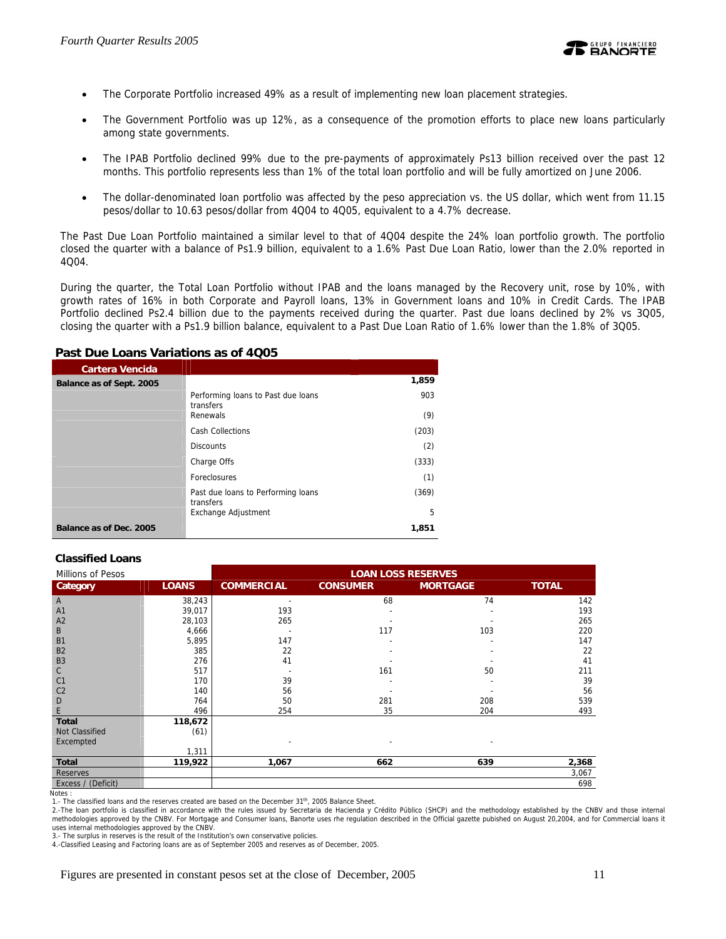

- The Corporate Portfolio increased 49% as a result of implementing new loan placement strategies.
- The Government Portfolio was up 12%, as a consequence of the promotion efforts to place new loans particularly among state governments.
- The IPAB Portfolio declined 99% due to the pre-payments of approximately Ps13 billion received over the past 12 months. This portfolio represents less than 1% of the total loan portfolio and will be fully amortized on June 2006.
- The dollar-denominated loan portfolio was affected by the peso appreciation vs. the US dollar, which went from 11.15 pesos/dollar to 10.63 pesos/dollar from 4Q04 to 4Q05, equivalent to a 4.7% decrease.

The Past Due Loan Portfolio maintained a similar level to that of 4Q04 despite the 24% loan portfolio growth. The portfolio closed the quarter with a balance of Ps1.9 billion, equivalent to a 1.6% Past Due Loan Ratio, lower than the 2.0% reported in 4Q04.

During the quarter, the Total Loan Portfolio without IPAB and the loans managed by the Recovery unit, rose by 10%, with growth rates of 16% in both Corporate and Payroll loans, 13% in Government loans and 10% in Credit Cards. The IPAB Portfolio declined Ps2.4 billion due to the payments received during the quarter. Past due loans declined by 2% vs 3Q05, closing the quarter with a Ps1.9 billion balance, equivalent to a Past Due Loan Ratio of 1.6% lower than the 1.8% of 3Q05.

## **Past Due Loans Variations as of 4Q05**

| Cartera Vencida          |                                                 |       |
|--------------------------|-------------------------------------------------|-------|
| Balance as of Sept. 2005 |                                                 | 1,859 |
|                          | Performing loans to Past due loans<br>transfers | 903   |
|                          | Renewals                                        | (9)   |
|                          | <b>Cash Collections</b>                         | (203) |
|                          | <b>Discounts</b>                                | (2)   |
|                          | Charge Offs                                     | (333) |
|                          | Foreclosures                                    | (1)   |
|                          | Past due loans to Performing loans<br>transfers | (369) |
|                          | Exchange Adjustment                             | 5     |
| Balance as of Dec. 2005  |                                                 | 1.851 |

## **Classified Loans**

| Millions of Pesos                       |              | <b>LOAN LOSS RESERVES</b> |                          |                 |              |  |
|-----------------------------------------|--------------|---------------------------|--------------------------|-----------------|--------------|--|
| Category                                | <b>LOANS</b> | <b>COMMERCIAL</b>         | <b>CONSUMER</b>          | <b>MORTGAGE</b> | <b>TOTAL</b> |  |
| A                                       | 38,243       |                           | 68                       | 74              | 142          |  |
| A <sub>1</sub>                          | 39,017       | 193                       |                          |                 | 193          |  |
| A <sub>2</sub>                          | 28,103       | 265                       |                          |                 | 265          |  |
| B                                       | 4,666        |                           | 117                      | 103             | 220          |  |
| <b>B1</b>                               | 5,895        | 147                       |                          |                 | 147          |  |
| <b>B2</b>                               | 385          | 22                        |                          |                 | 22           |  |
| B <sub>3</sub>                          | 276          | 41                        |                          |                 | 41           |  |
| C                                       | 517          |                           | 161                      | 50              | 211          |  |
| C <sub>1</sub>                          | 170          | 39                        |                          |                 | 39           |  |
| C <sub>2</sub>                          | 140          | 56                        |                          |                 | 56           |  |
| D                                       | 764          | 50                        | 281                      | 208             | 539          |  |
| E                                       | 496          | 254                       | 35                       | 204             | 493          |  |
| <b>Total</b>                            | 118,672      |                           |                          |                 |              |  |
| Not Classified                          | (61)         |                           |                          |                 |              |  |
| Excempted                               |              |                           | $\overline{\phantom{a}}$ |                 |              |  |
|                                         | 1,311        |                           |                          |                 |              |  |
| <b>Total</b>                            | 119,922      | 1,067                     | 662                      | 639             | 2,368        |  |
| <b>Reserves</b>                         |              |                           |                          |                 | 3,067        |  |
| Excess / (Deficit)<br>. مم <b>فم</b> ا\ |              |                           |                          |                 | 698          |  |

Notes :<br>1.- The classified loans and the reserves created are based on the December 31<sup>th</sup>, 2005 Balance Sheet.

2.-The loan portfolio is classified in accordance with the rules issued by Secretaria de Hacienda y Crédito Público (SHCP) and the methodology established by the CNBV and those internal methodologies approved by the CNBV. For Mortgage and Consumer loans, Banorte uses rhe regulation described in the Official gazette pubished on August 20,2004, and for Commercial loans it

uses internal methodologies approved by the CNBV. 3.- The surplus in reserves is the result of the Institution's own conservative policies.

4.-Classified Leasing and Factoring loans are as of September 2005 and reserves as of December, 2005.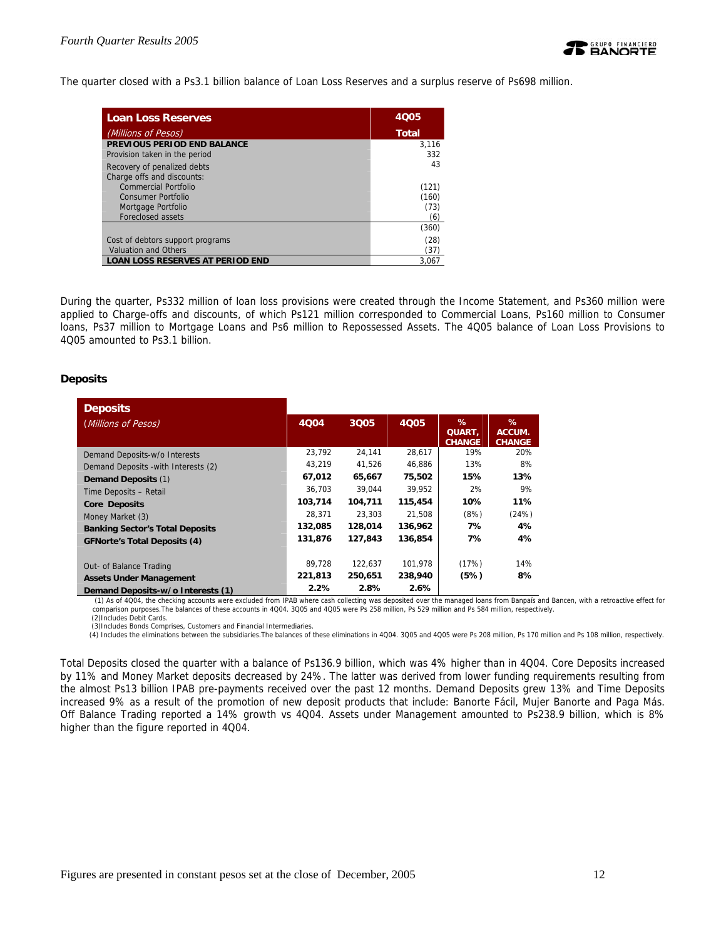The quarter closed with a Ps3.1 billion balance of Loan Loss Reserves and a surplus reserve of Ps698 million.

| <b>Loan Loss Reserves</b>               | 4005         |
|-----------------------------------------|--------------|
| (Millions of Pesos)                     | <b>Total</b> |
| PREVIOUS PERIOD END BALANCE             | 3.116        |
| Provision taken in the period           | 332          |
| Recovery of penalized debts             | 43           |
| Charge offs and discounts:              |              |
| Commercial Portfolio                    | (121)        |
| Consumer Portfolio                      | (160)        |
| Mortgage Portfolio                      | (73)         |
| Foreclosed assets                       | (6)          |
|                                         | (360)        |
| Cost of debtors support programs        | (28)         |
| <b>Valuation and Others</b>             | (37)         |
| <b>LOAN LOSS RESERVES AT PERIOD END</b> | 3.067        |

During the quarter, Ps332 million of loan loss provisions were created through the Income Statement, and Ps360 million were applied to Charge-offs and discounts, of which Ps121 million corresponded to Commercial Loans, Ps160 million to Consumer loans, Ps37 million to Mortgage Loans and Ps6 million to Repossessed Assets. The 4Q05 balance of Loan Loss Provisions to 4Q05 amounted to Ps3.1 billion.

## **Deposits**

| <b>Deposits</b>                        |         |         |         |                              |                              |
|----------------------------------------|---------|---------|---------|------------------------------|------------------------------|
| (Millions of Pesos)                    | 4004    | 3Q05    | 4Q05    | %<br>QUART,<br><b>CHANGE</b> | ℅<br>ACCUM.<br><b>CHANGE</b> |
| Demand Deposits-w/o Interests          | 23,792  | 24,141  | 28,617  | 19%                          | 20%                          |
| Demand Deposits - with Interests (2)   | 43.219  | 41.526  | 46.886  | 13%                          | 8%                           |
| <b>Demand Deposits (1)</b>             | 67,012  | 65,667  | 75,502  | 15%                          | 13%                          |
| Time Deposits - Retail                 | 36,703  | 39.044  | 39.952  | 2%                           | 9%                           |
| <b>Core Deposits</b>                   | 103,714 | 104,711 | 115,454 | 10%                          | 11%                          |
| Money Market (3)                       | 28,371  | 23.303  | 21,508  | (8%)                         | (24%)                        |
| <b>Banking Sector's Total Deposits</b> | 132,085 | 128,014 | 136,962 | 7%                           | 4%                           |
| <b>GFNorte's Total Deposits (4)</b>    | 131,876 | 127,843 | 136,854 | 7%                           | 4%                           |
| Out- of Balance Trading                | 89.728  | 122.637 | 101.978 | (17%)                        | 14%                          |
| <b>Assets Under Management</b>         | 221,813 | 250,651 | 238,940 | (5%)                         | 8%                           |
| Demand Deposits-w/o Interests (1)      | 2.2%    | 2.8%    | 2.6%    |                              |                              |

 (1) As of 4Q04, the checking accounts were excluded from IPAB where cash collecting was deposited over the managed loans from Banpaís and Bancen, with a retroactive effect for comparison purposes.The balances of these accounts in 4Q04. 3Q05 and 4Q05 were Ps 258 million, Ps 529 million and Ps 584 million, respectively.

(2)Includes Debit Cards. (3)Includes Bonds Comprises, Customers and Financial Intermediaries.

(4) Includes the eliminations between the subsidiaries.The balances of these eliminations in 4Q04. 3Q05 and 4Q05 were Ps 208 million, Ps 170 million and Ps 108 million, respectively.

Total Deposits closed the quarter with a balance of Ps136.9 billion, which was 4% higher than in 4Q04. Core Deposits increased by 11% and Money Market deposits decreased by 24%. The latter was derived from lower funding requirements resulting from the almost Ps13 billion IPAB pre-payments received over the past 12 months. Demand Deposits grew 13% and Time Deposits increased 9% as a result of the promotion of new deposit products that include: Banorte Fácil, Mujer Banorte and Paga Más. Off Balance Trading reported a 14% growth vs 4Q04. Assets under Management amounted to Ps238.9 billion, which is 8% higher than the figure reported in 4Q04.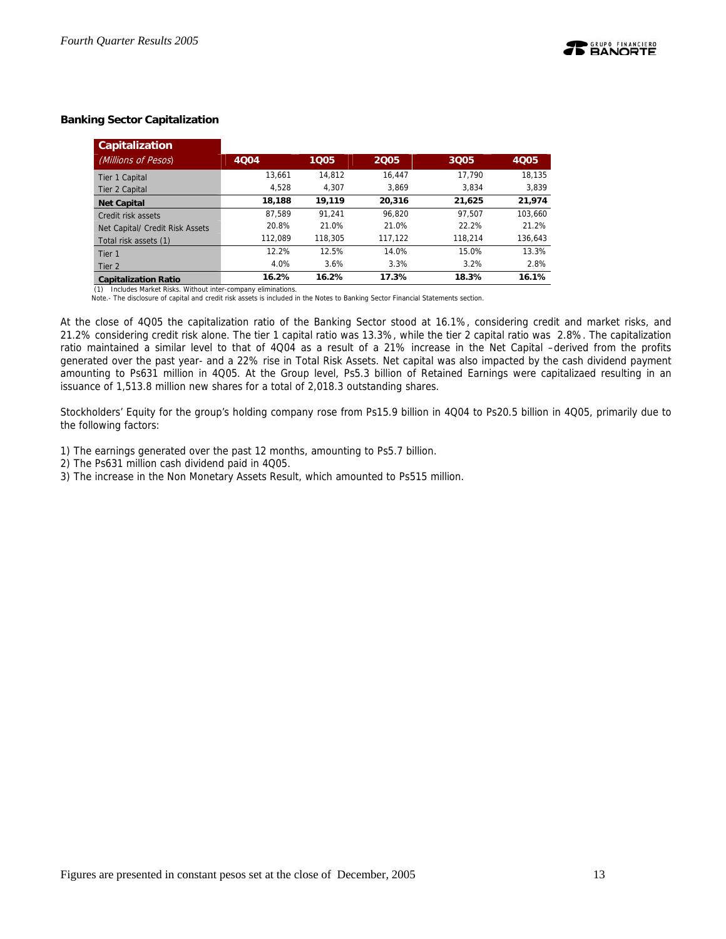## **Banking Sector Capitalization**

| <b>Capitalization</b>           |         |         |         |         |         |
|---------------------------------|---------|---------|---------|---------|---------|
| (Millions of Pesos)             | 4004    | 1005    | 2005    | 3Q05    | 4005    |
| Tier 1 Capital                  | 13.661  | 14.812  | 16.447  | 17.790  | 18.135  |
| Tier 2 Capital                  | 4,528   | 4.307   | 3.869   | 3.834   | 3,839   |
| <b>Net Capital</b>              | 18,188  | 19.119  | 20.316  | 21.625  | 21,974  |
| Credit risk assets              | 87.589  | 91.241  | 96.820  | 97.507  | 103.660 |
| Net Capital/ Credit Risk Assets | 20.8%   | 21.0%   | 21.0%   | 22.2%   | 21.2%   |
| Total risk assets (1)           | 112.089 | 118,305 | 117.122 | 118.214 | 136,643 |
| Tier 1                          | 12.2%   | 12.5%   | 14.0%   | 15.0%   | 13.3%   |
| Tier 2                          | 4.0%    | 3.6%    | 3.3%    | 3.2%    | 2.8%    |
| <b>Capitalization Ratio</b>     | 16.2%   | 16.2%   | 17.3%   | 18.3%   | 16.1%   |

(1) Includes Market Risks. Without inter-company eliminations.<br>Note.- The disclosure of capital and credit risk assets is included in the Notes to Banking Sector Financial Statements section.

At the close of 4Q05 the capitalization ratio of the Banking Sector stood at 16.1%, considering credit and market risks, and 21.2% considering credit risk alone. The tier 1 capital ratio was 13.3%, while the tier 2 capital ratio was 2.8%. The capitalization ratio maintained a similar level to that of 4Q04 as a result of a 21% increase in the Net Capital –derived from the profits generated over the past year- and a 22% rise in Total Risk Assets. Net capital was also impacted by the cash dividend payment amounting to Ps631 million in 4Q05. At the Group level, Ps5.3 billion of Retained Earnings were capitalizaed resulting in an issuance of 1,513.8 million new shares for a total of 2,018.3 outstanding shares.

Stockholders' Equity for the group's holding company rose from Ps15.9 billion in 4Q04 to Ps20.5 billion in 4Q05, primarily due to the following factors:

- 1) The earnings generated over the past 12 months, amounting to Ps5.7 billion.
- 2) The Ps631 million cash dividend paid in 4Q05.
- 3) The increase in the Non Monetary Assets Result, which amounted to Ps515 million.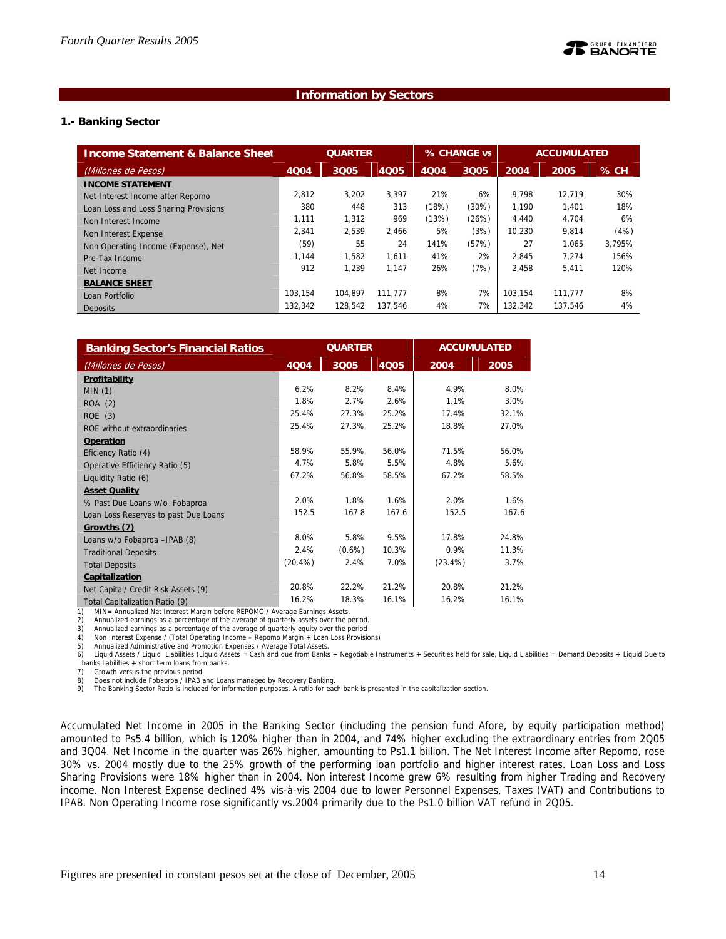## **Information by Sectors**

### **1.- Banking Sector**

| <b>Income Statement &amp; Balance Sheet</b> | <b>QUARTER</b> |         | % CHANGE vs |       | <b>ACCUMULATED</b> |         |         |        |
|---------------------------------------------|----------------|---------|-------------|-------|--------------------|---------|---------|--------|
| (Millones de Pesos)                         | 4004           | 3005    | 4005        | 4004  | 3005               | 2004    | 2005    | % CH   |
| <b>INCOME STATEMENT</b>                     |                |         |             |       |                    |         |         |        |
| Net Interest Income after Repomo            | 2.812          | 3,202   | 3.397       | 21%   | 6%                 | 9.798   | 12.719  | 30%    |
| Loan Loss and Loss Sharing Provisions       | 380            | 448     | 313         | (18%) | (30%)              | 1.190   | 1.401   | 18%    |
| Non Interest Income                         | 1,111          | 1,312   | 969         | (13%) | (26%)              | 4.440   | 4.704   | 6%     |
| Non Interest Expense                        | 2.341          | 2.539   | 2.466       | 5%    | (3%)               | 10.230  | 9.814   | (4%)   |
| Non Operating Income (Expense), Net         | (59)           | 55      | 24          | 141%  | (57%)              | 27      | 1.065   | 3.795% |
| Pre-Tax Income                              | 1.144          | 1.582   | 1.611       | 41%   | 2%                 | 2.845   | 7.274   | 156%   |
| Net Income                                  | 912            | 1.239   | 1.147       | 26%   | (7%)               | 2,458   | 5,411   | 120%   |
| <b>BALANCE SHEET</b>                        |                |         |             |       |                    |         |         |        |
| Loan Portfolio                              | 103.154        | 104.897 | 111.777     | 8%    | 7%                 | 103.154 | 111,777 | 8%     |
| <b>Deposits</b>                             | 132.342        | 128.542 | 137.546     | 4%    | 7%                 | 132.342 | 137.546 | 4%     |

| <b>Banking Sector's Financial Ratios</b> |            | <b>QUARTER</b> |       |            | <b>ACCUMULATED</b> |
|------------------------------------------|------------|----------------|-------|------------|--------------------|
| (Millones de Pesos)                      | 4004       | 3005           | 4005  | 2004       | 2005               |
| Profitability                            |            |                |       |            |                    |
| MIN(1)                                   | 6.2%       | 8.2%           | 8.4%  | 4.9%       | 8.0%               |
| ROA (2)                                  | 1.8%       | 2.7%           | 2.6%  | 1.1%       | 3.0%               |
| ROE(3)                                   | 25.4%      | 27.3%          | 25.2% | 17.4%      | 32.1%              |
| ROE without extraordinaries              | 25.4%      | 27.3%          | 25.2% | 18.8%      | 27.0%              |
| Operation                                |            |                |       |            |                    |
| Eficiency Ratio (4)                      | 58.9%      | 55.9%          | 56.0% | 71.5%      | 56.0%              |
| Operative Efficiency Ratio (5)           | 4.7%       | 5.8%           | 5.5%  | 4.8%       | 5.6%               |
| Liquidity Ratio (6)                      | 67.2%      | 56.8%          | 58.5% | 67.2%      | 58.5%              |
| <b>Asset Quality</b>                     |            |                |       |            |                    |
| % Past Due Loans w/o Fobaproa            | 2.0%       | 1.8%           | 1.6%  | 2.0%       | 1.6%               |
| Loan Loss Reserves to past Due Loans     | 152.5      | 167.8          | 167.6 | 152.5      | 167.6              |
| Growths (7)                              |            |                |       |            |                    |
| Loans w/o Fobaproa -IPAB (8)             | 8.0%       | 5.8%           | 9.5%  | 17.8%      | 24.8%              |
| <b>Traditional Deposits</b>              | 2.4%       | $(0.6\%)$      | 10.3% | 0.9%       | 11.3%              |
| <b>Total Deposits</b>                    | $(20.4\%)$ | 2.4%           | 7.0%  | $(23.4\%)$ | 3.7%               |
| Capitalization                           |            |                |       |            |                    |
| Net Capital/ Credit Risk Assets (9)      | 20.8%      | 22.2%          | 21.2% | 20.8%      | 21.2%              |
| Total Capitalization Ratio (9)           | 16.2%      | 18.3%          | 16.1% | 16.2%      | 16.1%              |

1) MIN= Annualized Net Interest Margin before REPOMO / Average Earnings Assets.<br>2) Annualized earnings as a percentage of the average of quarterly assets over the p

2) Annualized earnings as a percentage of the average of quarterly assets over the period.

3) Annualized earnings as a percentage of the average of quarterly equity over the period

4) Non Interest Expense / (Total Operating Income – Repomo Margin + Loan Loss Provisions) 5) Annualized Administrative and Promotion Expenses / Average Total Assets.

6) Liquid Assets / Liquid Liabilities (Liquid Assets = Cash and due from Banks + Negotiable Instruments + Securities held for sale, Liquid Liabilities = Demand Deposits + Liquid Due to banks liabilities  $+$  short term loans from banks.<br>7) Growth versus the previous period.

Growth versus the previous period.

8) Does not include Fobaproa / IPAB and Loans managed by Recovery Banking.<br>9) The Banking Sector Ratio is included for information purposes. A ratio for each

The Banking Sector Ratio is included for information purposes. A ratio for each bank is presented in the capitalization section.

Accumulated Net Income in 2005 in the Banking Sector (including the pension fund Afore, by equity participation method) amounted to Ps5.4 billion, which is 120% higher than in 2004, and 74% higher excluding the extraordinary entries from 2Q05 and 3Q04. Net Income in the quarter was 26% higher, amounting to Ps1.1 billion. The Net Interest Income after Repomo, rose 30% vs. 2004 mostly due to the 25% growth of the performing loan portfolio and higher interest rates. Loan Loss and Loss Sharing Provisions were 18% higher than in 2004. Non interest Income grew 6% resulting from higher Trading and Recovery income. Non Interest Expense declined 4% vis-à-vis 2004 due to lower Personnel Expenses, Taxes (VAT) and Contributions to IPAB. Non Operating Income rose significantly vs.2004 primarily due to the Ps1.0 billion VAT refund in 2Q05.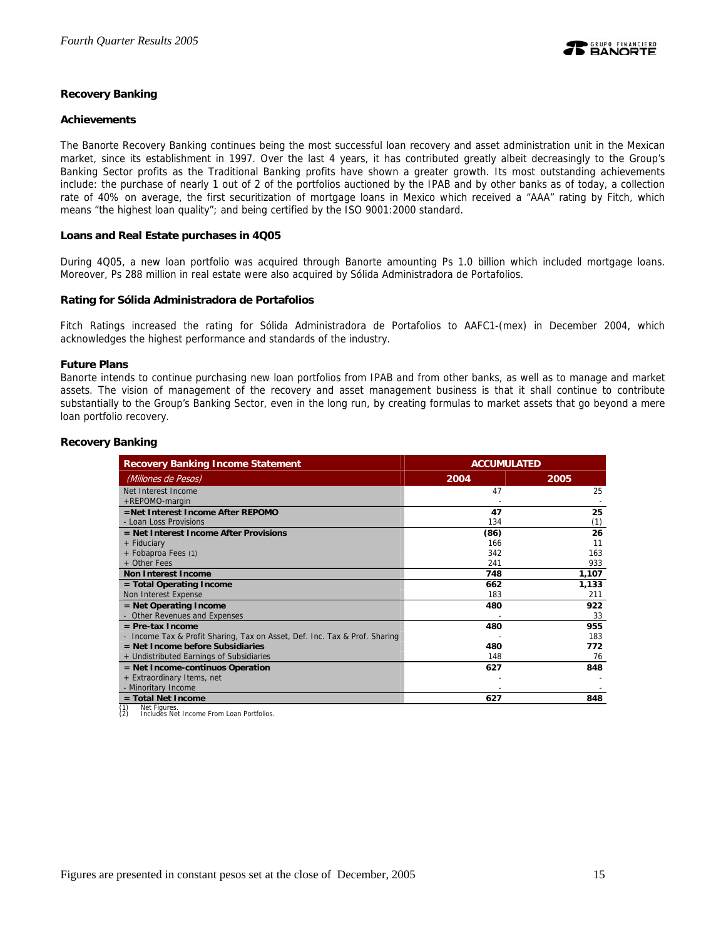### **Recovery Banking**

### **Achievements**

The Banorte Recovery Banking continues being the most successful loan recovery and asset administration unit in the Mexican market, since its establishment in 1997. Over the last 4 years, it has contributed greatly albeit decreasingly to the Group's Banking Sector profits as the Traditional Banking profits have shown a greater growth. Its most outstanding achievements include: the purchase of nearly 1 out of 2 of the portfolios auctioned by the IPAB and by other banks as of today, a collection rate of 40% on average, the first securitization of mortgage loans in Mexico which received a "AAA" rating by Fitch, which means "the highest loan quality"; and being certified by the ISO 9001:2000 standard.

### **Loans and Real Estate purchases in 4Q05**

During 4Q05, a new loan portfolio was acquired through Banorte amounting Ps 1.0 billion which included mortgage loans. Moreover, Ps 288 million in real estate were also acquired by Sólida Administradora de Portafolios.

### **Rating for Sólida Administradora de Portafolios**

Fitch Ratings increased the rating for Sólida Administradora de Portafolios to AAFC1-(mex) in December 2004, which acknowledges the highest performance and standards of the industry.

### **Future Plans**

Banorte intends to continue purchasing new loan portfolios from IPAB and from other banks, as well as to manage and market assets. The vision of management of the recovery and asset management business is that it shall continue to contribute substantially to the Group's Banking Sector, even in the long run, by creating formulas to market assets that go beyond a mere loan portfolio recovery.

### **Recovery Banking**

| <b>Recovery Banking Income Statement</b>                                   | <b>ACCUMULATED</b> |       |  |  |
|----------------------------------------------------------------------------|--------------------|-------|--|--|
| (Millones de Pesos)                                                        | 2004               | 2005  |  |  |
| Net Interest Income                                                        | 47                 | 25    |  |  |
| +REPOMO-margin                                                             |                    |       |  |  |
| =Net Interest Income After REPOMO                                          | 47                 | 25    |  |  |
| - Loan Loss Provisions                                                     | 134                | (1)   |  |  |
| $=$ Net Interest Income After Provisions                                   | (86)               | 26    |  |  |
| + Fiduciary                                                                | 166                | 11    |  |  |
| + Fobaproa Fees (1)                                                        | 342                | 163   |  |  |
| + Other Fees                                                               | 241                | 933   |  |  |
| <b>Non Interest Income</b>                                                 | 748                | 1,107 |  |  |
| = Total Operating Income                                                   | 662                | 1,133 |  |  |
| Non Interest Expense                                                       | 183                | 211   |  |  |
| $=$ Net Operating Income                                                   | 480                | 922   |  |  |
| - Other Revenues and Expenses                                              |                    | 33    |  |  |
| $=$ Pre-tax Income                                                         | 480                | 955   |  |  |
| - Income Tax & Profit Sharing, Tax on Asset, Def. Inc. Tax & Prof. Sharing |                    | 183   |  |  |
| $=$ Net Income before Subsidiaries                                         | 480                | 772   |  |  |
| + Undistributed Earnings of Subsidiaries                                   | 148                | 76    |  |  |
| $=$ Net Income-continuos Operation                                         | 627                | 848   |  |  |
| + Extraordinary Items, net                                                 |                    |       |  |  |
| - Minoritary Income                                                        |                    |       |  |  |
| $=$ Total Net Income                                                       | 627                | 848   |  |  |

(1) Net Figures. (2) Includes Net Income From Loan Portfolios.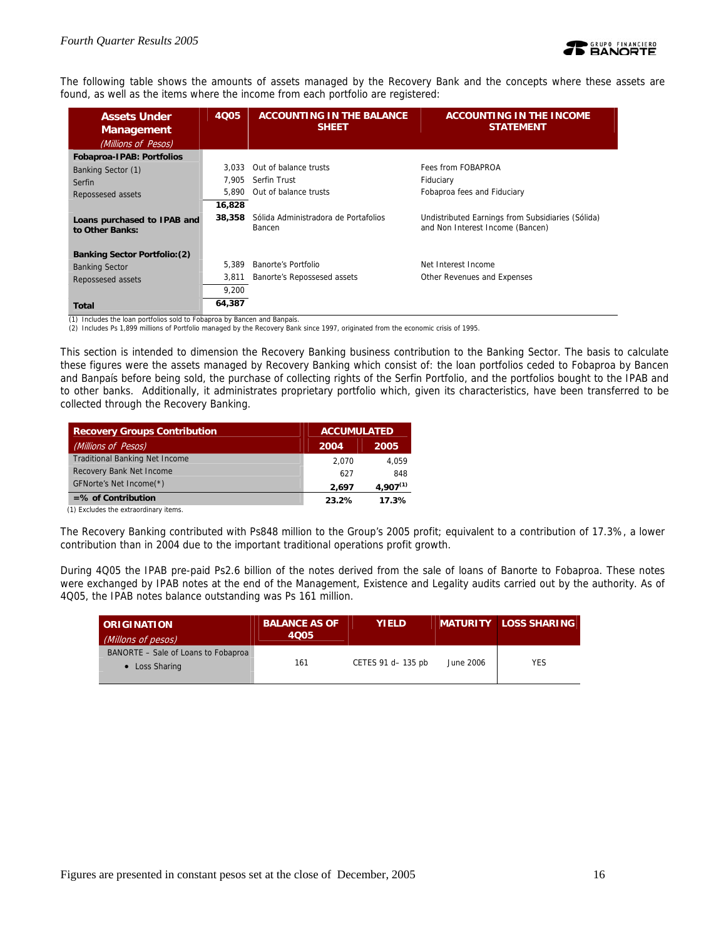

The following table shows the amounts of assets managed by the Recovery Bank and the concepts where these assets are found, as well as the items where the income from each portfolio are registered:

| <b>Assets Under</b><br><b>Management</b>       | 4005   | <b>ACCOUNTING IN THE BALANCE</b><br><b>SHEET</b> | <b>ACCOUNTING IN THE INCOME</b><br><b>STATEMENT</b>                                   |
|------------------------------------------------|--------|--------------------------------------------------|---------------------------------------------------------------------------------------|
| (Millions of Pesos)                            |        |                                                  |                                                                                       |
| Fobaproa-IPAB: Portfolios                      |        |                                                  |                                                                                       |
| Banking Sector (1)                             | 3.033  | Out of balance trusts                            | Fees from FOBAPROA                                                                    |
| Serfin                                         | 7.905  | Serfin Trust                                     | Fiduciary                                                                             |
| Repossesed assets                              | 5.890  | Out of balance trusts                            | Fobaproa fees and Fiduciary                                                           |
|                                                | 16,828 |                                                  |                                                                                       |
| Loans purchased to IPAB and<br>to Other Banks: | 38,358 | Sólida Administradora de Portafolios<br>Bancen   | Undistributed Earnings from Subsidiaries (Sólida)<br>and Non Interest Income (Bancen) |
| <b>Banking Sector Portfolio: (2)</b>           |        |                                                  |                                                                                       |
| <b>Banking Sector</b>                          | 5.389  | Banorte's Portfolio                              | Net Interest Income                                                                   |
| Repossesed assets                              | 3.811  | Banorte's Repossesed assets                      | Other Revenues and Expenses                                                           |
|                                                | 9,200  |                                                  |                                                                                       |
| <b>Total</b>                                   | 64,387 |                                                  |                                                                                       |

(1) Includes the loan portfolios sold to Fobaproa by Bancen and Banpaís. (2) Includes Ps 1,899 millions of Portfolio managed by the Recovery Bank since 1997, originated from the economic crisis of 1995.

This section is intended to dimension the Recovery Banking business contribution to the Banking Sector. The basis to calculate these figures were the assets managed by Recovery Banking which consist of: the loan portfolios ceded to Fobaproa by Bancen and Banpaís before being sold, the purchase of collecting rights of the Serfin Portfolio, and the portfolios bought to the IPAB and to other banks. Additionally, it administrates proprietary portfolio which, given its characteristics, have been transferred to be collected through the Recovery Banking.

| <b>Recovery Groups Contribution</b>   | <b>ACCUMULATED</b> |               |  |
|---------------------------------------|--------------------|---------------|--|
| (Millions of Pesos)                   | 2004               | 2005          |  |
| <b>Traditional Banking Net Income</b> | 2.070              | 4.059         |  |
| Recovery Bank Net Income              | 627                | 848           |  |
| GFNorte's Net Income(*)               | 2.697              | $4.907^{(1)}$ |  |
| $=$ % of Contribution                 | 23.2%              | 17.3%         |  |

(1) Excludes the extraordinary items.

The Recovery Banking contributed with Ps848 million to the Group's 2005 profit; equivalent to a contribution of 17.3%, a lower contribution than in 2004 due to the important traditional operations profit growth.

During 4Q05 the IPAB pre-paid Ps2.6 billion of the notes derived from the sale of loans of Banorte to Fobaproa. These notes were exchanged by IPAB notes at the end of the Management, Existence and Legality audits carried out by the authority. As of 4Q05, the IPAB notes balance outstanding was Ps 161 million.

| <b>ORIGINATION</b><br>(Millons of pesos)              | <b>BALANCE AS OF</b><br>4005 | <b>YIELD</b>       |           | <b>MATURITY LOSS SHARING</b> |
|-------------------------------------------------------|------------------------------|--------------------|-----------|------------------------------|
| BANORTE - Sale of Loans to Fobaproa<br>• Loss Sharing | 161                          | CETES 91 d- 135 pb | June 2006 | <b>YES</b>                   |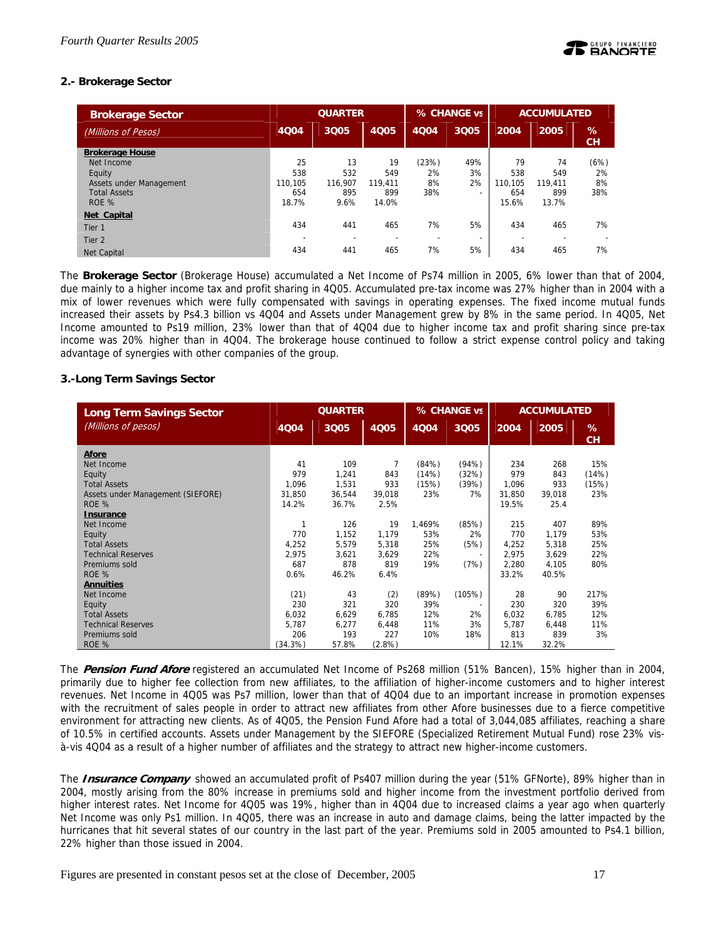## **2.- Brokerage Sector**

| <b>Brokerage Sector</b> | <b>QUARTER</b> |         |                          |       | % CHANGE vs              | <b>ACCUMULATED</b> |         |                |
|-------------------------|----------------|---------|--------------------------|-------|--------------------------|--------------------|---------|----------------|
| (Millions of Pesos)     | 4004           | 3Q05    | <b>4Q05</b>              | 4004  | 3Q05                     | 2004               | 2005    | %<br><b>CH</b> |
| <b>Brokerage House</b>  |                |         |                          |       |                          |                    |         |                |
| Net Income              | 25             | 13      | 19                       | (23%) | 49%                      | 79                 | 74      | (6%)           |
| Equity                  | 538            | 532     | 549                      | 2%    | 3%                       | 538                | 549     | 2%             |
| Assets under Management | 110.105        | 116.907 | 119.411                  | 8%    | 2%                       | 110.105            | 119.411 | 8%             |
| <b>Total Assets</b>     | 654            | 895     | 899                      | 38%   | $\overline{\phantom{a}}$ | 654                | 899     | 38%            |
| ROE %                   | 18.7%          | 9.6%    | 14.0%                    |       |                          | 15.6%              | 13.7%   |                |
| Net Capital             |                |         |                          |       |                          |                    |         |                |
| Tier 1                  | 434            | 441     | 465                      | 7%    | 5%                       | 434                | 465     | 7%             |
| Tier <sub>2</sub>       | -              |         | $\overline{\phantom{0}}$ | ۰     | $\overline{\phantom{0}}$ | -                  |         |                |
| <b>Net Capital</b>      | 434            | 441     | 465                      | 7%    | 5%                       | 434                | 465     | 7%             |

The **Brokerage Sector** (Brokerage House) accumulated a Net Income of Ps74 million in 2005, 6% lower than that of 2004, due mainly to a higher income tax and profit sharing in 4Q05. Accumulated pre-tax income was 27% higher than in 2004 with a mix of lower revenues which were fully compensated with savings in operating expenses. The fixed income mutual funds increased their assets by Ps4.3 billion vs 4Q04 and Assets under Management grew by 8% in the same period. In 4Q05, Net Income amounted to Ps19 million, 23% lower than that of 4Q04 due to higher income tax and profit sharing since pre-tax income was 20% higher than in 4Q04. The brokerage house continued to follow a strict expense control policy and taking advantage of synergies with other companies of the group.

## **3.-Long Term Savings Sector**

| <b>Long Term Savings Sector</b>   | <b>QUARTER</b> |        |        |        | % CHANGE vs              | <b>ACCUMULATED</b> |        |         |
|-----------------------------------|----------------|--------|--------|--------|--------------------------|--------------------|--------|---------|
| (Millions of pesos)               | 4004           | 3005   | 4Q05   | 4004   | 3Q05                     | 2004               | 2005   | %<br>CH |
| Afore                             |                |        |        |        |                          |                    |        |         |
| Net Income                        | 41             | 109    | 7      | (84%)  | (94%)                    | 234                | 268    | 15%     |
| Equity                            | 979            | 1,241  | 843    | (14%)  | (32%)                    | 979                | 843    | (14%)   |
| <b>Total Assets</b>               | 1,096          | 1,531  | 933    | (15%)  | (39%)                    | 1,096              | 933    | (15%)   |
| Assets under Management (SIEFORE) | 31,850         | 36,544 | 39.018 | 23%    | 7%                       | 31.850             | 39.018 | 23%     |
| ROE %                             | 14.2%          | 36.7%  | 2.5%   |        |                          | 19.5%              | 25.4   |         |
| <b>Insurance</b>                  |                |        |        |        |                          |                    |        |         |
| Net Income                        | $\mathbf{1}$   | 126    | 19     | 1,469% | (85%)                    | 215                | 407    | 89%     |
| Equity                            | 770            | 1,152  | 1,179  | 53%    | 2%                       | 770                | 1,179  | 53%     |
| <b>Total Assets</b>               | 4,252          | 5,579  | 5,318  | 25%    | (5%)                     | 4,252              | 5,318  | 25%     |
| <b>Technical Reserves</b>         | 2,975          | 3,621  | 3,629  | 22%    | $\overline{\phantom{a}}$ | 2,975              | 3,629  | 22%     |
| Premiums sold                     | 687            | 878    | 819    | 19%    | (7%)                     | 2,280              | 4,105  | 80%     |
| ROE %                             | 0.6%           | 46.2%  | 6.4%   |        |                          | 33.2%              | 40.5%  |         |
| <b>Annuities</b>                  |                |        |        |        |                          |                    |        |         |
| Net Income                        | (21)           | 43     | (2)    | (89%)  | (105%)                   | 28                 | 90     | 217%    |
| Equity                            | 230            | 321    | 320    | 39%    | $\overline{\phantom{a}}$ | 230                | 320    | 39%     |
| <b>Total Assets</b>               | 6.032          | 6,629  | 6,785  | 12%    | 2%                       | 6,032              | 6.785  | 12%     |
| <b>Technical Reserves</b>         | 5,787          | 6,277  | 6,448  | 11%    | 3%                       | 5,787              | 6,448  | 11%     |
| Premiums sold                     | 206            | 193    | 227    | 10%    | 18%                      | 813                | 839    | 3%      |
| ROE %                             | (34.3%)        | 57.8%  | (2.8%) |        |                          | 12.1%              | 32.2%  |         |

The **Pension Fund Afore** registered an accumulated Net Income of Ps268 million (51% Bancen), 15% higher than in 2004, primarily due to higher fee collection from new affiliates, to the affiliation of higher-income customers and to higher interest revenues. Net Income in 4Q05 was Ps7 million, lower than that of 4Q04 due to an important increase in promotion expenses with the recruitment of sales people in order to attract new affiliates from other Afore businesses due to a fierce competitive environment for attracting new clients. As of 4Q05, the Pension Fund Afore had a total of 3,044,085 affiliates, reaching a share of 10.5% in certified accounts. Assets under Management by the SIEFORE (Specialized Retirement Mutual Fund) rose 23% visà-vis 4Q04 as a result of a higher number of affiliates and the strategy to attract new higher-income customers.

The **Insurance Company** showed an accumulated profit of Ps407 million during the year (51% GFNorte), 89% higher than in 2004, mostly arising from the 80% increase in premiums sold and higher income from the investment portfolio derived from higher interest rates. Net Income for 4Q05 was 19%, higher than in 4Q04 due to increased claims a year ago when quarterly Net Income was only Ps1 million. In 4Q05, there was an increase in auto and damage claims, being the latter impacted by the hurricanes that hit several states of our country in the last part of the year. Premiums sold in 2005 amounted to Ps4.1 billion, 22% higher than those issued in 2004.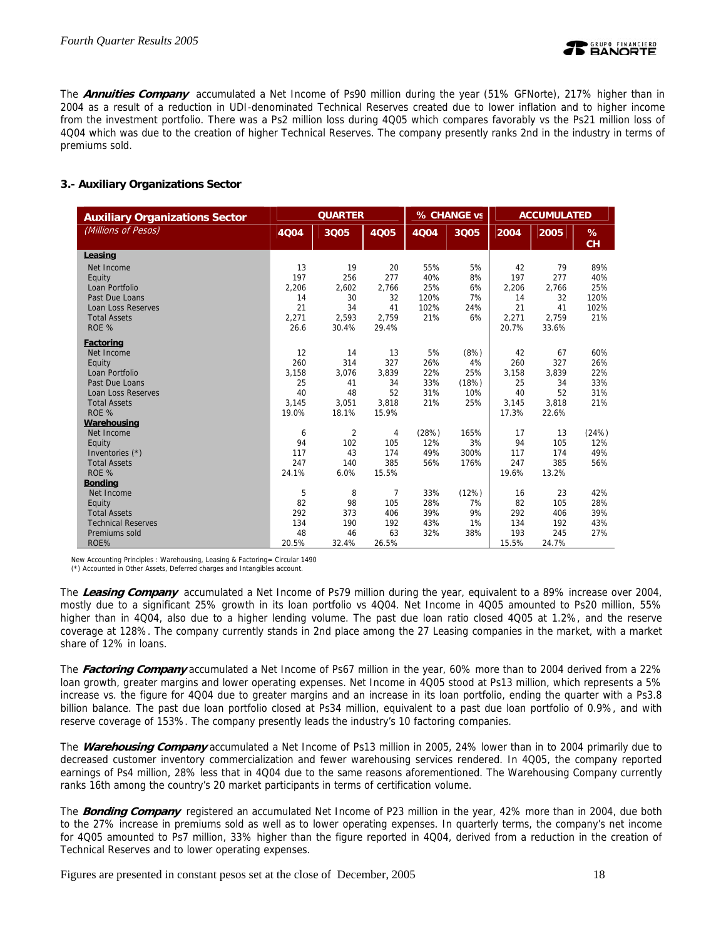

The **Annuities Company** accumulated a Net Income of Ps90 million during the year (51% GFNorte), 217% higher than in 2004 as a result of a reduction in UDI-denominated Technical Reserves created due to lower inflation and to higher income from the investment portfolio. There was a Ps2 million loss during 4Q05 which compares favorably vs the Ps21 million loss of 4Q04 which was due to the creation of higher Technical Reserves. The company presently ranks 2nd in the industry in terms of premiums sold.

## **3.- Auxiliary Organizations Sector**

| <b>Auxiliary Organizations Sector</b> | <b>QUARTER</b> |                |       |       | % CHANGE vs | <b>ACCUMULATED</b> |       |         |
|---------------------------------------|----------------|----------------|-------|-------|-------------|--------------------|-------|---------|
| (Millions of Pesos)                   | <b>4Q04</b>    | 3Q05           | 4005  | 4004  | 3Q05        | 2004               | 2005  | %<br>CH |
| Leasing                               |                |                |       |       |             |                    |       |         |
| Net Income                            | 13             | 19             | 20    | 55%   | 5%          | 42                 | 79    | 89%     |
| Equity                                | 197            | 256            | 277   | 40%   | 8%          | 197                | 277   | 40%     |
| Loan Portfolio                        | 2,206          | 2,602          | 2,766 | 25%   | 6%          | 2,206              | 2,766 | 25%     |
| Past Due Loans                        | 14             | 30             | 32    | 120%  | 7%          | 14                 | 32    | 120%    |
| <b>Loan Loss Reserves</b>             | 21             | 34             | 41    | 102%  | 24%         | 21                 | 41    | 102%    |
| <b>Total Assets</b>                   | 2.271          | 2.593          | 2.759 | 21%   | 6%          | 2,271              | 2.759 | 21%     |
| ROE %                                 | 26.6           | 30.4%          | 29.4% |       |             | 20.7%              | 33.6% |         |
| <b>Factoring</b>                      |                |                |       |       |             |                    |       |         |
| Net Income                            | 12             | 14             | 13    | 5%    | (8%)        | 42                 | 67    | 60%     |
| Equity                                | 260            | 314            | 327   | 26%   | 4%          | 260                | 327   | 26%     |
| Loan Portfolio                        | 3,158          | 3,076          | 3,839 | 22%   | 25%         | 3,158              | 3,839 | 22%     |
| Past Due Loans                        | 25             | 41             | 34    | 33%   | (18%)       | 25                 | 34    | 33%     |
| <b>Loan Loss Reserves</b>             | 40             | 48             | 52    | 31%   | 10%         | 40                 | 52    | 31%     |
| <b>Total Assets</b>                   | 3.145          | 3,051          | 3,818 | 21%   | 25%         | 3,145              | 3,818 | 21%     |
| ROE %                                 | 19.0%          | 18.1%          | 15.9% |       |             | 17.3%              | 22.6% |         |
| Warehousing                           |                |                |       |       |             |                    |       |         |
| Net Income                            | 6              | $\overline{2}$ | 4     | (28%) | 165%        | 17                 | 13    | (24%)   |
| Equity                                | 94             | 102            | 105   | 12%   | 3%          | 94                 | 105   | 12%     |
| Inventories (*)                       | 117            | 43             | 174   | 49%   | 300%        | 117                | 174   | 49%     |
| <b>Total Assets</b>                   | 247            | 140            | 385   | 56%   | 176%        | 247                | 385   | 56%     |
| ROE %                                 | 24.1%          | 6.0%           | 15.5% |       |             | 19.6%              | 13.2% |         |
| <b>Bonding</b>                        |                |                |       |       |             |                    |       |         |
| Net Income                            | 5              | 8              | 7     | 33%   | (12%)       | 16                 | 23    | 42%     |
| Equity                                | 82             | 98             | 105   | 28%   | 7%          | 82                 | 105   | 28%     |
| <b>Total Assets</b>                   | 292            | 373            | 406   | 39%   | 9%          | 292                | 406   | 39%     |
| <b>Technical Reserves</b>             | 134            | 190            | 192   | 43%   | 1%          | 134                | 192   | 43%     |
| Premiums sold                         | 48             | 46             | 63    | 32%   | 38%         | 193                | 245   | 27%     |
| ROE%                                  | 20.5%          | 32.4%          | 26.5% |       |             | 15.5%              | 24.7% |         |

New Accounting Principles : Warehousing, Leasing & Factoring= Circular 1490

(\*) Accounted in Other Assets, Deferred charges and Intangibles account.

The **Leasing Company** accumulated a Net Income of Ps79 million during the year, equivalent to a 89% increase over 2004, mostly due to a significant 25% growth in its loan portfolio vs 4Q04. Net Income in 4Q05 amounted to Ps20 million, 55% higher than in 4Q04, also due to a higher lending volume. The past due loan ratio closed 4Q05 at 1.2%, and the reserve coverage at 128%. The company currently stands in 2nd place among the 27 Leasing companies in the market, with a market share of 12% in loans.

The **Factoring Company** accumulated a Net Income of Ps67 million in the year, 60% more than to 2004 derived from a 22% loan growth, greater margins and lower operating expenses. Net Income in 4Q05 stood at Ps13 million, which represents a 5% increase vs. the figure for 4Q04 due to greater margins and an increase in its loan portfolio, ending the quarter with a Ps3.8 billion balance. The past due loan portfolio closed at Ps34 million, equivalent to a past due loan portfolio of 0.9%, and with reserve coverage of 153%. The company presently leads the industry's 10 factoring companies.

The **Warehousing Company** accumulated a Net Income of Ps13 million in 2005, 24% lower than in to 2004 primarily due to decreased customer inventory commercialization and fewer warehousing services rendered. In 4Q05, the company reported earnings of Ps4 million, 28% less that in 4Q04 due to the same reasons aforementioned. The Warehousing Company currently ranks 16th among the country's 20 market participants in terms of certification volume.

The **Bonding Company** registered an accumulated Net Income of P23 million in the year, 42% more than in 2004, due both to the 27% increase in premiums sold as well as to lower operating expenses. In quarterly terms, the company's net income for 4Q05 amounted to Ps7 million, 33% higher than the figure reported in 4Q04, derived from a reduction in the creation of Technical Reserves and to lower operating expenses.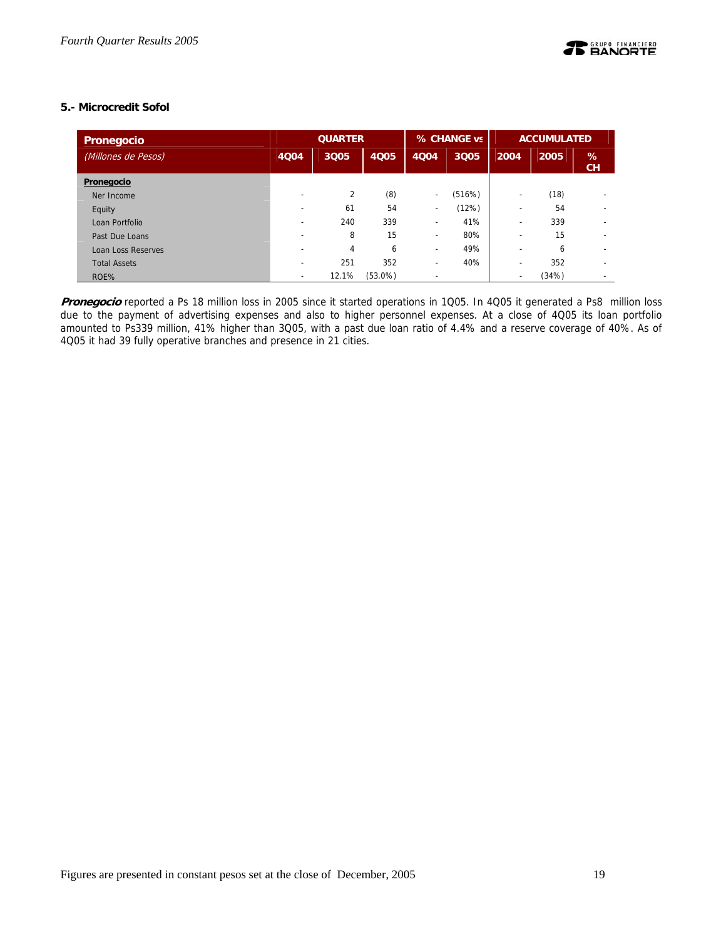## **5.- Microcredit Sofol**

| Pronegocio          | <b>QUARTER</b>           |       |            | % CHANGE vs              |        | <b>ACCUMULATED</b>       |       |                          |
|---------------------|--------------------------|-------|------------|--------------------------|--------|--------------------------|-------|--------------------------|
| (Millones de Pesos) | 4004                     | 3Q05  | 4Q05       | 4004                     | 3Q05   | 2004                     | 2005  | %<br>CH                  |
| Pronegocio          |                          |       |            |                          |        |                          |       |                          |
| Ner Income          | $\overline{\phantom{0}}$ | 2     | (8)        | $\blacksquare$           | (516%) | -                        | (18)  | $\overline{\phantom{a}}$ |
| Equity              | $\overline{\phantom{0}}$ | 61    | 54         | $\blacksquare$           | (12%)  |                          | 54    | $\overline{\phantom{a}}$ |
| Loan Portfolio      |                          | 240   | 339        |                          | 41%    |                          | 339   | $\overline{\phantom{a}}$ |
| Past Due Loans      | $\overline{\phantom{0}}$ | 8     | 15         | $\overline{\phantom{a}}$ | 80%    |                          | 15    | $\overline{\phantom{a}}$ |
| Loan Loss Reserves  |                          | 4     | 6          | $\overline{\phantom{a}}$ | 49%    | $\overline{\phantom{0}}$ | 6     | $\overline{\phantom{a}}$ |
| <b>Total Assets</b> |                          | 251   | 352        | $\overline{\phantom{a}}$ | 40%    |                          | 352   | $\overline{\phantom{a}}$ |
| ROE%                | $\overline{\phantom{0}}$ | 12.1% | $(53.0\%)$ |                          |        |                          | (34%) | $\overline{\phantom{0}}$ |

**Pronegocio** reported a Ps 18 million loss in 2005 since it started operations in 1Q05. In 4Q05 it generated a Ps8 million loss due to the payment of advertising expenses and also to higher personnel expenses. At a close of 4Q05 its loan portfolio amounted to Ps339 million, 41% higher than 3Q05, with a past due loan ratio of 4.4% and a reserve coverage of 40%. As of 4Q05 it had 39 fully operative branches and presence in 21 cities.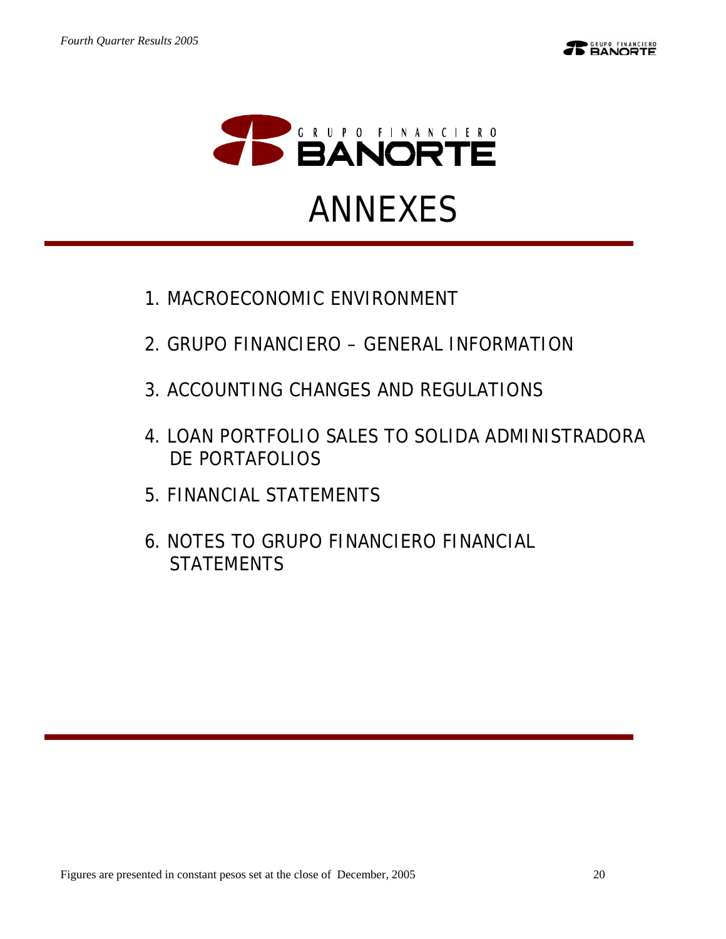

- 1.MACROECONOMIC ENVIRONMENT
- 2.GRUPO FINANCIERO GENERAL INFORMATION
- 3.ACCOUNTING CHANGES AND REGULATIONS
- 4.LOAN PORTFOLIO SALES TO SOLIDA ADMINISTRADORA DE PORTAFOLIOS
- 5.FINANCIAL STATEMENTS
- 6.NOTES TO GRUPO FINANCIERO FINANCIAL **STATEMENTS**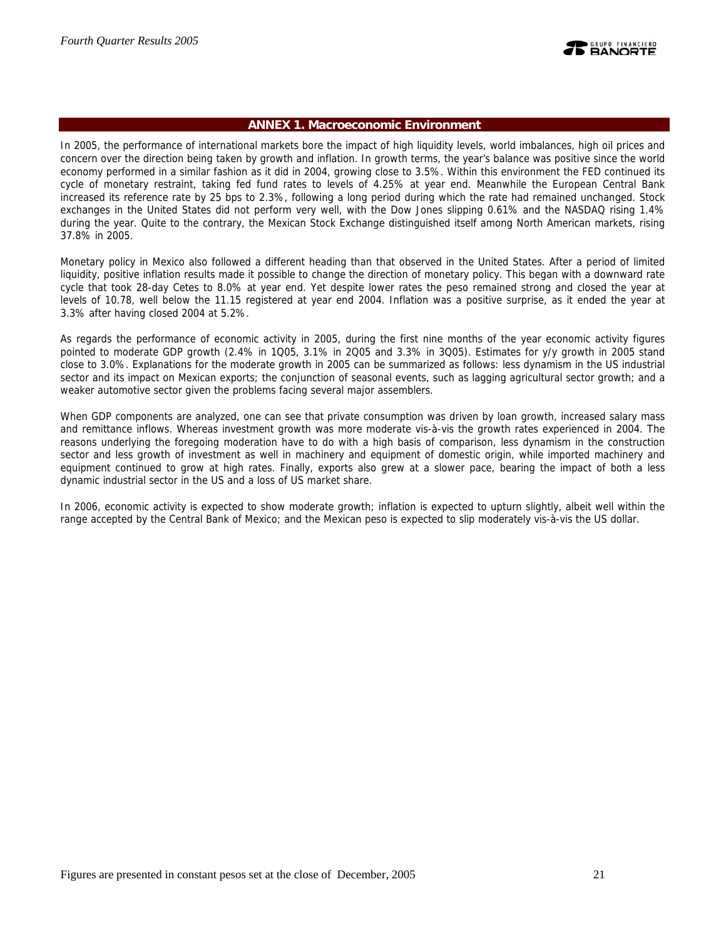

### **ANNEX 1. Macroeconomic Environment**

In 2005, the performance of international markets bore the impact of high liquidity levels, world imbalances, high oil prices and concern over the direction being taken by growth and inflation. In growth terms, the year's balance was positive since the world economy performed in a similar fashion as it did in 2004, growing close to 3.5%. Within this environment the FED continued its cycle of monetary restraint, taking fed fund rates to levels of 4.25% at year end. Meanwhile the European Central Bank increased its reference rate by 25 bps to 2.3%, following a long period during which the rate had remained unchanged. Stock exchanges in the United States did not perform very well, with the Dow Jones slipping 0.61% and the NASDAQ rising 1.4% during the year. Quite to the contrary, the Mexican Stock Exchange distinguished itself among North American markets, rising 37.8% in 2005.

Monetary policy in Mexico also followed a different heading than that observed in the United States. After a period of limited liquidity, positive inflation results made it possible to change the direction of monetary policy. This began with a downward rate cycle that took 28-day Cetes to 8.0% at year end. Yet despite lower rates the peso remained strong and closed the year at levels of 10.78, well below the 11.15 registered at year end 2004. Inflation was a positive surprise, as it ended the year at 3.3% after having closed 2004 at 5.2%.

As regards the performance of economic activity in 2005, during the first nine months of the year economic activity figures pointed to moderate GDP growth (2.4% in 1Q05, 3.1% in 2Q05 and 3.3% in 3Q05). Estimates for y/y growth in 2005 stand close to 3.0%. Explanations for the moderate growth in 2005 can be summarized as follows: less dynamism in the US industrial sector and its impact on Mexican exports; the conjunction of seasonal events, such as lagging agricultural sector growth; and a weaker automotive sector given the problems facing several major assemblers.

When GDP components are analyzed, one can see that private consumption was driven by loan growth, increased salary mass and remittance inflows. Whereas investment growth was more moderate vis-à-vis the growth rates experienced in 2004. The reasons underlying the foregoing moderation have to do with a high basis of comparison, less dynamism in the construction sector and less growth of investment as well in machinery and equipment of domestic origin, while imported machinery and equipment continued to grow at high rates. Finally, exports also grew at a slower pace, bearing the impact of both a less dynamic industrial sector in the US and a loss of US market share.

In 2006, economic activity is expected to show moderate growth; inflation is expected to upturn slightly, albeit well within the range accepted by the Central Bank of Mexico; and the Mexican peso is expected to slip moderately vis-à-vis the US dollar.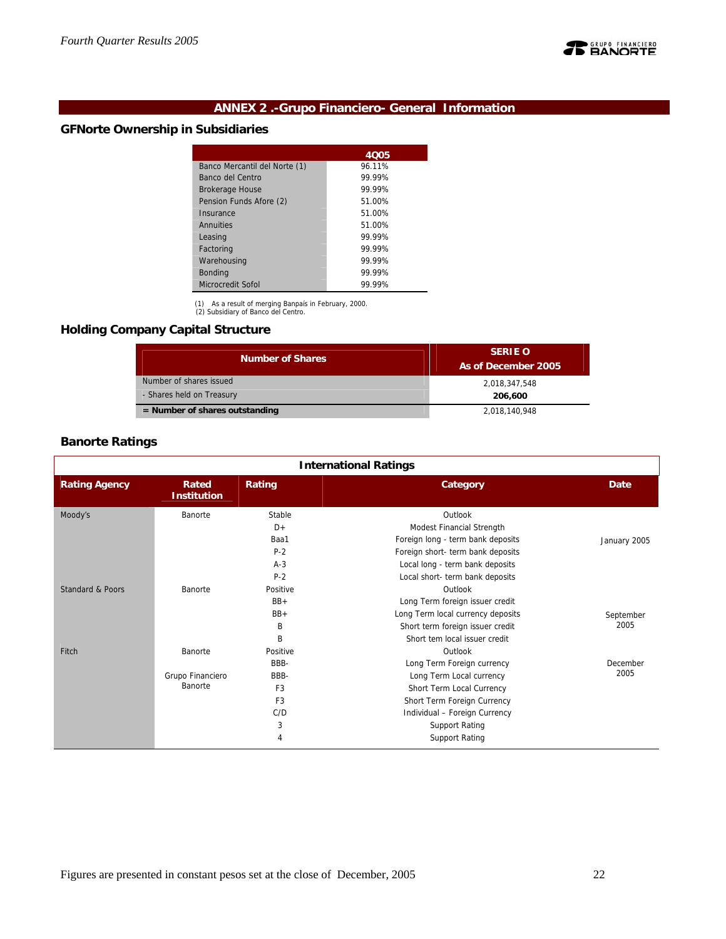

## **ANNEX 2 .-Grupo Financiero- General Information**

## **GFNorte Ownership in Subsidiaries**

|                               | 4005   |
|-------------------------------|--------|
| Banco Mercantil del Norte (1) | 96.11% |
| Banco del Centro              | 99 99% |
| <b>Brokerage House</b>        | 99 99% |
| Pension Funds Afore (2)       | 51.00% |
| Insurance                     | 51.00% |
| Annuities                     | 51.00% |
| Leasing                       | 99 99% |
| Factoring                     | 99 99% |
| Warehousing                   | 99 99% |
| <b>Bonding</b>                | 99 99% |
| Microcredit Sofol             | 99.99% |

(1) As a result of merging Banpaís in February, 2000. (2) Subsidiary of Banco del Centro.

## **Holding Company Capital Structure**

| <b>Number of Shares</b>          | <b>SERIE O</b><br>As of December 2005 |
|----------------------------------|---------------------------------------|
| Number of shares issued          | 2,018,347,548                         |
| - Shares held on Treasury        | 206,600                               |
| $=$ Number of shares outstanding | 2,018,140,948                         |

## **Banorte Ratings**

| <b>International Ratings</b> |                             |                |                                   |              |  |  |  |  |  |
|------------------------------|-----------------------------|----------------|-----------------------------------|--------------|--|--|--|--|--|
| <b>Rating Agency</b>         | Rated<br><b>Institution</b> | Rating         | Category                          | <b>Date</b>  |  |  |  |  |  |
| Moody's                      | Banorte                     | Stable         | Outlook                           |              |  |  |  |  |  |
|                              |                             | $D+$           | Modest Financial Strength         |              |  |  |  |  |  |
|                              |                             | Baa1           | Foreign long - term bank deposits | January 2005 |  |  |  |  |  |
|                              |                             | $P-2$          | Foreign short- term bank deposits |              |  |  |  |  |  |
|                              |                             | $A-3$          | Local long - term bank deposits   |              |  |  |  |  |  |
|                              |                             | $P-2$          | Local short- term bank deposits   |              |  |  |  |  |  |
| <b>Standard &amp; Poors</b>  | Banorte                     | Positive       | Outlook                           |              |  |  |  |  |  |
|                              |                             | $BB+$          | Long Term foreign issuer credit   |              |  |  |  |  |  |
|                              |                             | $BB+$          | Long Term local currency deposits | September    |  |  |  |  |  |
|                              |                             | B              | Short term foreign issuer credit  | 2005         |  |  |  |  |  |
|                              |                             | B              | Short tem local issuer credit     |              |  |  |  |  |  |
| Fitch                        | Banorte                     | Positive       | Outlook                           |              |  |  |  |  |  |
|                              |                             | BBB-           | Long Term Foreign currency        | December     |  |  |  |  |  |
|                              | Grupo Financiero            | BBB-           | Long Term Local currency          | 2005         |  |  |  |  |  |
|                              | Banorte                     | F <sub>3</sub> | Short Term Local Currency         |              |  |  |  |  |  |
|                              |                             | F <sub>3</sub> | Short Term Foreign Currency       |              |  |  |  |  |  |
|                              |                             | C/D            | Individual - Foreign Currency     |              |  |  |  |  |  |
|                              |                             | 3              | Support Rating                    |              |  |  |  |  |  |
|                              |                             | 4              | <b>Support Rating</b>             |              |  |  |  |  |  |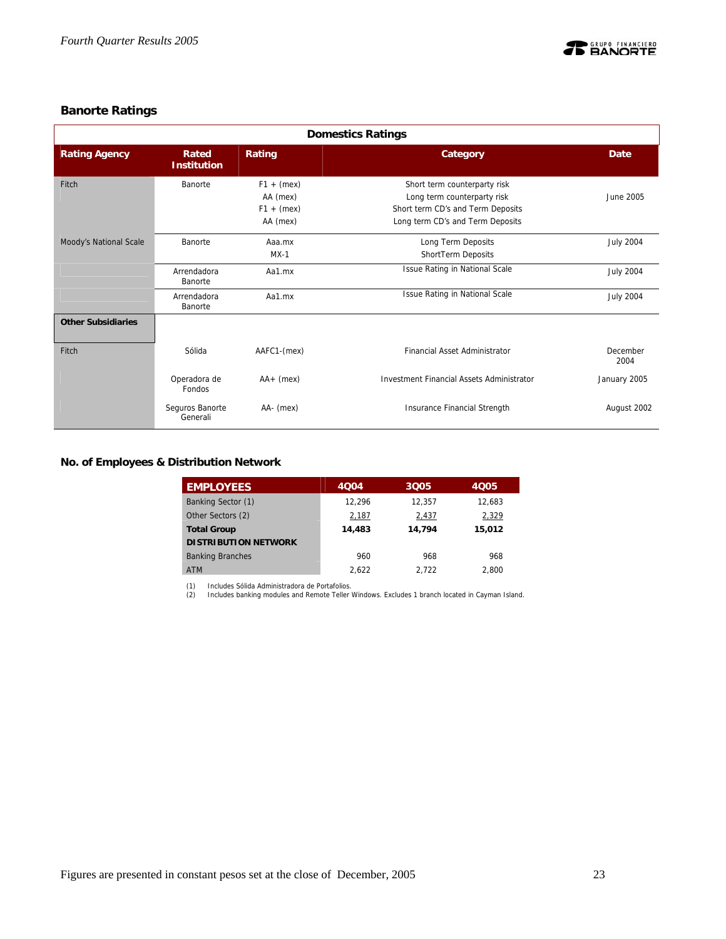

## **Banorte Ratings**

| <b>Domestics Ratings</b>  |                             |                                                      |                                                                                                                                      |                  |  |  |  |  |  |
|---------------------------|-----------------------------|------------------------------------------------------|--------------------------------------------------------------------------------------------------------------------------------------|------------------|--|--|--|--|--|
| <b>Rating Agency</b>      | Rated<br><b>Institution</b> | Rating                                               | Category                                                                                                                             | Date             |  |  |  |  |  |
| Fitch                     | Banorte                     | $F1 + (mex)$<br>AA (mex)<br>$F1 + (mex)$<br>AA (mex) | Short term counterparty risk<br>Long term counterparty risk<br>Short term CD's and Term Deposits<br>Long term CD's and Term Deposits | June 2005        |  |  |  |  |  |
| Moody's National Scale    | Banorte                     | Aaa.mx<br>$MX-1$                                     | Long Term Deposits<br>ShortTerm Deposits                                                                                             | <b>July 2004</b> |  |  |  |  |  |
|                           | Arrendadora<br>Banorte      | Aa1.mx                                               | Issue Rating in National Scale                                                                                                       | <b>July 2004</b> |  |  |  |  |  |
|                           | Arrendadora<br>Banorte      | Aa1.mx                                               | Issue Rating in National Scale                                                                                                       | <b>July 2004</b> |  |  |  |  |  |
| <b>Other Subsidiaries</b> |                             |                                                      |                                                                                                                                      |                  |  |  |  |  |  |
| Fitch                     | Sólida                      | AAFC1-(mex)                                          | <b>Financial Asset Administrator</b>                                                                                                 | December<br>2004 |  |  |  |  |  |
|                           | Operadora de<br>Fondos      | $AA+$ (mex)                                          | <b>Investment Financial Assets Administrator</b>                                                                                     | January 2005     |  |  |  |  |  |
|                           | Seguros Banorte<br>Generali | AA- (mex)                                            | Insurance Financial Strength                                                                                                         | August 2002      |  |  |  |  |  |

## **No. of Employees & Distribution Network**

| <b>EMPLOYEES</b>            | 4004   | 3005   | 4005   |
|-----------------------------|--------|--------|--------|
| Banking Sector (1)          | 12.296 | 12,357 | 12.683 |
| Other Sectors (2)           | 2,187  | 2,437  | 2,329  |
| <b>Total Group</b>          | 14,483 | 14.794 | 15,012 |
| <b>DISTRIBUTION NETWORK</b> |        |        |        |
| <b>Banking Branches</b>     | 960    | 968    | 968    |
| <b>ATM</b>                  | 2.622  | 2.722  | 2.800  |

(1) Includes Sólida Administradora de Portafolios. (2) Includes banking modules and Remote Teller Windows. Excludes 1 branch located in Cayman Island.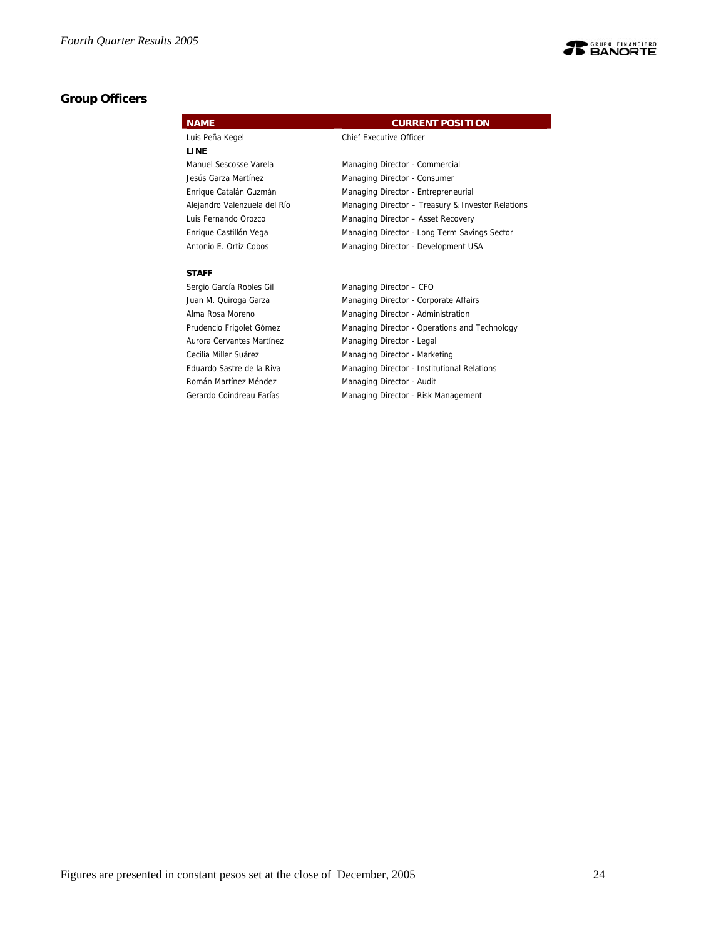

## **Group Officers**

| <b>NAME</b>                  | <b>CURRENT POSITION</b>                           |
|------------------------------|---------------------------------------------------|
| Luis Peña Kegel              | <b>Chief Executive Officer</b>                    |
| <b>LINE</b>                  |                                                   |
| Manuel Sescosse Varela       | Managing Director - Commercial                    |
| Jesús Garza Martínez         | Managing Director - Consumer                      |
| Enrique Catalán Guzmán       | Managing Director - Entrepreneurial               |
| Alejandro Valenzuela del Río | Managing Director - Treasury & Investor Relations |
| Luis Fernando Orozco         | Managing Director - Asset Recovery                |
| Enrique Castillón Vega       | Managing Director - Long Term Savings Sector      |
| Antonio E. Ortiz Cobos       | Managing Director - Development USA               |
| <b>STAFF</b>                 |                                                   |
| Sergio García Robles Gil     | Managing Director - CFO                           |
| Juan M. Quiroga Garza        | Managing Director - Corporate Affairs             |
| Alma Rosa Moreno             | Managing Director - Administration                |
| Prudencio Frigolet Gómez     | Managing Director - Operations and Technology     |
| Aurora Cervantes Martínez    | Managing Director - Legal                         |
| Cecilia Miller Suárez        | Managing Director - Marketing                     |
| Eduardo Sastre de la Riva    | Managing Director - Institutional Relations       |

Román Martínez Méndez **Managing Director - Audit** 

Gerardo Coindreau Farías **Managing Director - Risk Management** 

Figures are presented in constant pesos set at the close of December, 2005 24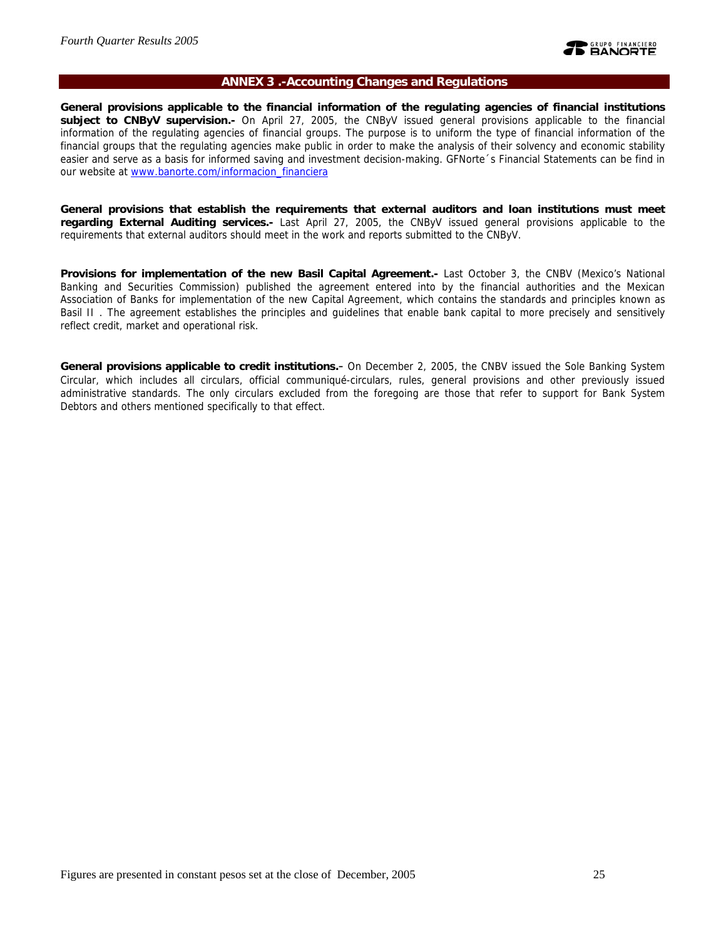

### **ANNEX 3 .-Accounting Changes and Regulations**

**General provisions applicable to the financial information of the regulating agencies of financial institutions subject to CNByV supervision.-** On April 27, 2005, the CNByV issued general provisions applicable to the financial information of the regulating agencies of financial groups. The purpose is to uniform the type of financial information of the financial groups that the regulating agencies make public in order to make the analysis of their solvency and economic stability easier and serve as a basis for informed saving and investment decision-making. GFNorte´s Financial Statements can be find in our website at www.banorte.com/informacion\_financiera

**General provisions that establish the requirements that external auditors and loan institutions must meet regarding External Auditing services.-** Last April 27, 2005, the CNByV issued general provisions applicable to the requirements that external auditors should meet in the work and reports submitted to the CNByV.

**Provisions for implementation of the new Basil Capital Agreement.-** Last October 3, the CNBV (Mexico's National Banking and Securities Commission) published the agreement entered into by the financial authorities and the Mexican Association of Banks for implementation of the new Capital Agreement, which contains the standards and principles known as Basil II . The agreement establishes the principles and guidelines that enable bank capital to more precisely and sensitively reflect credit, market and operational risk.

**General provisions applicable to credit institutions.**- On December 2, 2005, the CNBV issued the Sole Banking System Circular, which includes all circulars, official communiqué-circulars, rules, general provisions and other previously issued administrative standards. The only circulars excluded from the foregoing are those that refer to support for Bank System Debtors and others mentioned specifically to that effect.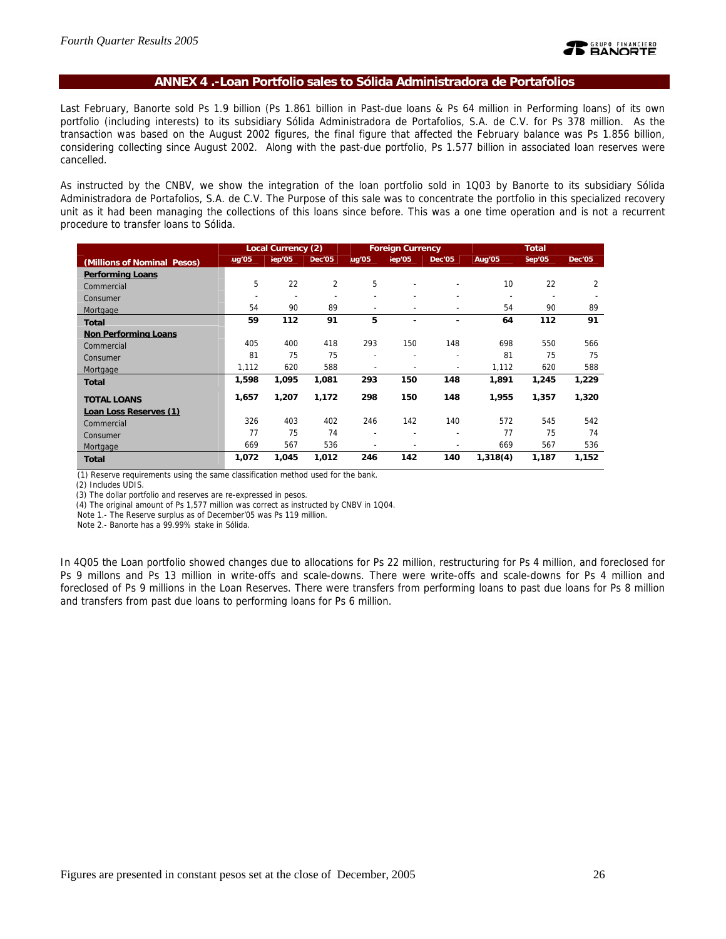### **ANNEX 4 .-Loan Portfolio sales to Sólida Administradora de Portafolios**

Last February, Banorte sold Ps 1.9 billion (Ps 1.861 billion in Past-due loans & Ps 64 million in Performing loans) of its own portfolio (including interests) to its subsidiary Sólida Administradora de Portafolios, S.A. de C.V. for Ps 378 million. As the transaction was based on the August 2002 figures, the final figure that affected the February balance was Ps 1.856 billion, considering collecting since August 2002. Along with the past-due portfolio, Ps 1.577 billion in associated loan reserves were cancelled.

As instructed by the CNBV, we show the integration of the loan portfolio sold in 1Q03 by Banorte to its subsidiary Sólida Administradora de Portafolios, S.A. de C.V. The Purpose of this sale was to concentrate the portfolio in this specialized recovery unit as it had been managing the collections of this loans since before. This was a one time operation and is not a recurrent procedure to transfer loans to Sólida.

|                             |                          | Local Currency (2) |                | <b>Foreign Currency</b>  |        |                          |                 | <b>Total</b> |               |  |
|-----------------------------|--------------------------|--------------------|----------------|--------------------------|--------|--------------------------|-----------------|--------------|---------------|--|
| (Millions of Nominal Pesos) | ug'05                    | iep'05             | Dec'05         | ug'05                    | jep'05 | Dec'05                   | Aug'05          | Sep'05       | <b>Dec'05</b> |  |
| <b>Performing Loans</b>     |                          |                    |                |                          |        |                          |                 |              |               |  |
| Commercial                  | 5                        | 22                 | $\overline{2}$ | 5                        |        |                          | 10 <sup>1</sup> | 22           | 2             |  |
| Consumer                    | $\overline{\phantom{a}}$ |                    |                |                          |        |                          |                 |              |               |  |
| Mortgage                    | 54                       | 90                 | 89             | -                        |        |                          | 54              | 90           | 89            |  |
| <b>Total</b>                | 59                       | 112                | 91             | 5                        |        | -                        | 64              | 112          | 91            |  |
| <b>Non Performing Loans</b> |                          |                    |                |                          |        |                          |                 |              |               |  |
| Commercial                  | 405                      | 400                | 418            | 293                      | 150    | 148                      | 698             | 550          | 566           |  |
| Consumer                    | 81                       | 75                 | 75             | ۰                        |        | $\overline{\phantom{0}}$ | 81              | 75           | 75            |  |
| Mortgage                    | 1,112                    | 620                | 588            | $\overline{\phantom{0}}$ |        |                          | 1,112           | 620          | 588           |  |
| <b>Total</b>                | 1,598                    | 1,095              | 1,081          | 293                      | 150    | 148                      | 1,891           | 1,245        | 1,229         |  |
| <b>TOTAL LOANS</b>          | 1,657                    | 1,207              | 1,172          | 298                      | 150    | 148                      | 1,955           | 1,357        | 1,320         |  |
| Loan Loss Reserves (1)      |                          |                    |                |                          |        |                          |                 |              |               |  |
| Commercial                  | 326                      | 403                | 402            | 246                      | 142    | 140                      | 572             | 545          | 542           |  |
| Consumer                    | 77                       | 75                 | 74             |                          |        |                          | 77              | 75           | 74            |  |
| Mortgage                    | 669                      | 567                | 536            |                          |        |                          | 669             | 567          | 536           |  |
| <b>Total</b>                | 1,072                    | 1,045              | 1,012          | 246                      | 142    | 140                      | 1,318(4)        | 1,187        | 1,152         |  |

(1) Reserve requirements using the same classification method used for the bank.

(3) The dollar portfolio and reserves are re-expressed in pesos.

(4) The original amount of Ps 1,577 million was correct as instructed by CNBV in 1Q04.

Note 1.- The Reserve surplus as of December'05 was Ps 119 million.

Note 2.- Banorte has a 99.99% stake in Sólida.

In 4Q05 the Loan portfolio showed changes due to allocations for Ps 22 million, restructuring for Ps 4 million, and foreclosed for Ps 9 millons and Ps 13 million in write-offs and scale-downs. There were write-offs and scale-downs for Ps 4 million and foreclosed of Ps 9 millions in the Loan Reserves. There were transfers from performing loans to past due loans for Ps 8 million and transfers from past due loans to performing loans for Ps 6 million.

 <sup>(2)</sup> Includes UDIS.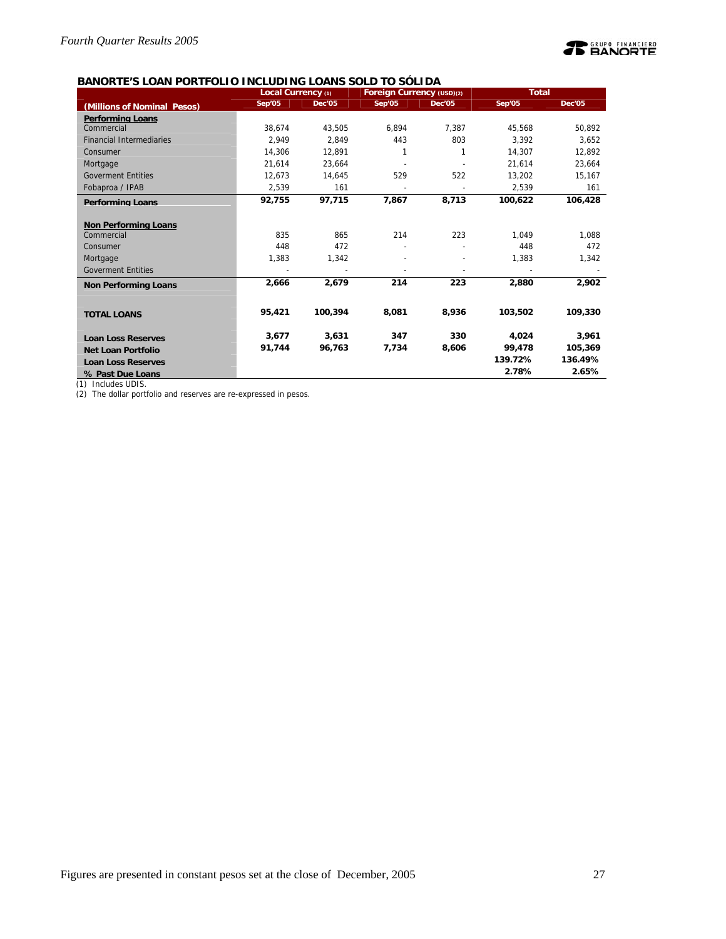

## **BANORTE'S LOAN PORTFOLIO INCLUDING LOANS SOLD TO SÓLIDA**

|                                 | Local Currency (1) |               | Foreign Currency (USD)(2) |               | <b>Total</b> |               |
|---------------------------------|--------------------|---------------|---------------------------|---------------|--------------|---------------|
| (Millions of Nominal Pesos)     | Sep'05             | <b>Dec'05</b> | Sep'05                    | <b>Dec'05</b> | Sep'05       | <b>Dec'05</b> |
| <b>Performing Loans</b>         |                    |               |                           |               |              |               |
| Commercial                      | 38.674             | 43.505        | 6.894                     | 7.387         | 45.568       | 50.892        |
| <b>Financial Intermediaries</b> | 2.949              | 2.849         | 443                       | 803           | 3.392        | 3.652         |
| Consumer                        | 14.306             | 12.891        | 1                         |               | 14,307       | 12,892        |
| Mortgage                        | 21.614             | 23.664        |                           |               | 21.614       | 23,664        |
| <b>Goverment Entities</b>       | 12.673             | 14.645        | 529                       | 522           | 13,202       | 15,167        |
| Fobaproa / IPAB                 | 2,539              | 161           |                           |               | 2,539        | 161           |
| <b>Performing Loans</b>         | 92,755             | 97,715        | 7,867                     | 8,713         | 100,622      | 106,428       |
|                                 |                    |               |                           |               |              |               |
| <b>Non Performing Loans</b>     |                    |               |                           |               |              |               |
| Commercial                      | 835                | 865           | 214                       | 223           | 1.049        | 1.088         |
| Consumer                        | 448                | 472           |                           |               | 448          | 472           |
| Mortgage                        | 1.383              | 1,342         |                           |               | 1,383        | 1,342         |
| <b>Goverment Entities</b>       |                    |               |                           |               |              |               |
| <b>Non Performing Loans</b>     | 2.666              | 2,679         | 214                       | 223           | 2,880        | 2,902         |
|                                 |                    |               |                           |               |              |               |
| <b>TOTAL LOANS</b>              | 95.421             | 100.394       | 8,081                     | 8,936         | 103,502      | 109,330       |
|                                 |                    |               |                           |               |              |               |
| <b>Loan Loss Reserves</b>       | 3.677              | 3.631         | 347                       | 330           | 4.024        | 3.961         |
| <b>Net Loan Portfolio</b>       | 91,744             | 96,763        | 7,734                     | 8,606         | 99,478       | 105,369       |
| <b>Loan Loss Reserves</b>       |                    |               |                           |               | 139.72%      | 136.49%       |
| % Past Due Loans                |                    |               |                           |               | 2.78%        | 2.65%         |

(1) Includes UDIS.

(2) The dollar portfolio and reserves are re-expressed in pesos.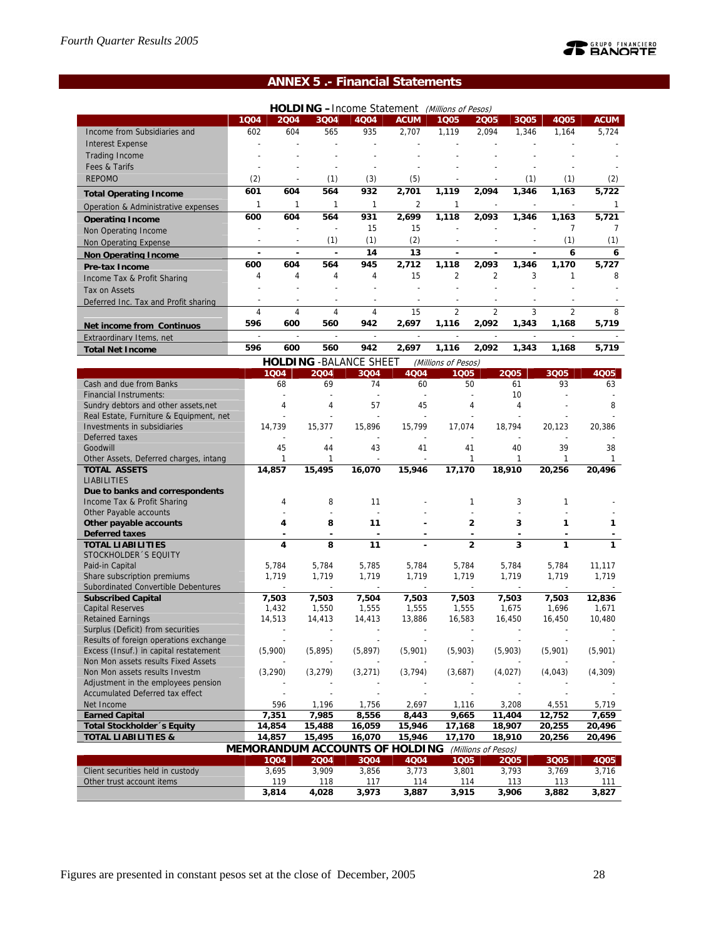## **TE BANORTE**

## **ANNEX 5 .- Financial Statements**

|                                                                                                                       |                |                  |                          |                  | HOLDING -Income Statement (Millions of Pesos) |                  |                     |                          |                  |                  |  |  |
|-----------------------------------------------------------------------------------------------------------------------|----------------|------------------|--------------------------|------------------|-----------------------------------------------|------------------|---------------------|--------------------------|------------------|------------------|--|--|
|                                                                                                                       | 1004           | 2004             | 3Q04                     | 4Q04             | <b>ACUM</b>                                   | 1005             | 2005                | 3Q05                     | <b>4Q05</b>      | <b>ACUM</b>      |  |  |
| Income from Subsidiaries and                                                                                          | 602            | 604              | 565                      | 935              | 2,707                                         | 1,119            | 2,094               | 1,346                    | 1,164            | 5,724            |  |  |
| <b>Interest Expense</b>                                                                                               | ÷.             |                  | $\overline{a}$           |                  |                                               |                  |                     |                          |                  |                  |  |  |
| <b>Trading Income</b>                                                                                                 |                |                  |                          |                  |                                               |                  |                     |                          |                  |                  |  |  |
| Fees & Tarifs                                                                                                         |                |                  |                          |                  |                                               |                  |                     |                          |                  |                  |  |  |
| <b>REPOMO</b>                                                                                                         | (2)            |                  | (1)                      | (3)              | (5)                                           |                  |                     | (1)                      | (1)              | (2)              |  |  |
|                                                                                                                       | 601            | 604              | 564                      | 932              | 2,701                                         | 1,119            | 2,094               | 1,346                    | 1,163            | 5,722            |  |  |
| <b>Total Operating Income</b>                                                                                         |                | 1                | 1                        | 1                |                                               |                  |                     |                          |                  |                  |  |  |
| Operation & Administrative expenses                                                                                   | 1              |                  |                          |                  | 2                                             | 1                |                     |                          |                  |                  |  |  |
| <b>Operating Income</b>                                                                                               | 600            | 604              | 564                      | 931              | 2,699                                         | 1,118            | 2,093               | 1,346                    | 1,163            | 5,721            |  |  |
| Non Operating Income                                                                                                  |                |                  |                          | 15               | 15                                            |                  |                     |                          | 7                | 7                |  |  |
| Non Operating Expense                                                                                                 |                |                  | (1)                      | (1)              | (2)                                           |                  |                     |                          | (1)              | (1)              |  |  |
| Non Operating Income                                                                                                  | ÷,             | ä,               | l,                       | 14               | 13                                            | ä,               | $\overline{a}$      | ä,                       | 6                | 6                |  |  |
| <b>Pre-tax Income</b>                                                                                                 | 600            | 604              | 564                      | 945              | 2,712                                         | 1,118            | 2,093               | 1,346                    | 1,170            | 5,727            |  |  |
| Income Tax & Profit Sharing                                                                                           | 4              | 4                | 4                        | 4                | 15                                            | $\overline{2}$   | $\overline{2}$      | 3                        | 1                | 8                |  |  |
| Tax on Assets                                                                                                         |                |                  |                          |                  | $\overline{a}$                                |                  | $\overline{a}$      |                          |                  |                  |  |  |
| Deferred Inc. Tax and Profit sharing                                                                                  |                |                  |                          |                  |                                               |                  |                     |                          |                  |                  |  |  |
|                                                                                                                       | $\overline{4}$ | $\overline{4}$   | $\overline{4}$           | $\overline{4}$   | 15                                            | $\overline{2}$   | $\overline{2}$      | 3                        | $\overline{2}$   | 8                |  |  |
| Net income from Continuos                                                                                             | 596            | 600              | 560                      | 942              | 2,697                                         | 1,116            | 2,092               | 1,343                    | 1,168            | 5,719            |  |  |
| Extraordinary Items, net                                                                                              |                |                  | $\overline{\phantom{a}}$ | $\overline{a}$   |                                               |                  |                     |                          |                  |                  |  |  |
| <b>Total Net Income</b>                                                                                               | 596            | 600              | 560                      | 942              | 2,697                                         | 1,116            | 2,092               | 1,343                    | 1,168            | 5,719            |  |  |
|                                                                                                                       |                |                  |                          |                  |                                               |                  |                     |                          |                  |                  |  |  |
| <b>HOLDING - BALANCE SHEET</b><br>(Millions of Pesos)<br>1004<br>2004<br>3004<br>4004<br>1005<br>2005<br>3Q05<br>4005 |                |                  |                          |                  |                                               |                  |                     |                          |                  |                  |  |  |
| Cash and due from Banks                                                                                               |                | 68               | 69                       | 74               | 60                                            | 50               |                     | 61                       | 93               | 63               |  |  |
| <b>Financial Instruments:</b>                                                                                         |                |                  |                          |                  |                                               |                  |                     | 10                       |                  |                  |  |  |
| Sundry debtors and other assets, net                                                                                  |                | 4                | 4                        | 57               | 45                                            |                  | 4                   | 4                        |                  | 8                |  |  |
| Real Estate, Furniture & Equipment, net                                                                               |                |                  |                          |                  |                                               |                  |                     |                          |                  |                  |  |  |
| Investments in subsidiaries                                                                                           |                | 14,739           | 15,377                   | 15,896           | 15.799                                        | 17,074           |                     | 18,794                   | 20,123           | 20,386           |  |  |
| Deferred taxes                                                                                                        |                |                  |                          |                  |                                               |                  |                     |                          |                  |                  |  |  |
| Goodwill                                                                                                              |                | 45               | 44                       | 43               | 41                                            | 41               |                     | 40                       | 39               | 38               |  |  |
| Other Assets, Deferred charges, intang                                                                                |                | 1                | 1                        |                  | $\overline{a}$                                |                  | 1                   | 1                        | 1                | 1                |  |  |
| <b>TOTAL ASSETS</b>                                                                                                   |                | 14,857           | 15,495                   | 16,070           | 15,946                                        | 17,170           |                     | 18,910                   | 20,256           | 20,496           |  |  |
| <b>LIABILITIES</b>                                                                                                    |                |                  |                          |                  |                                               |                  |                     |                          |                  |                  |  |  |
| Due to banks and correspondents                                                                                       |                |                  |                          |                  |                                               |                  |                     |                          |                  |                  |  |  |
| Income Tax & Profit Sharing                                                                                           |                | 4                | 8                        | 11               |                                               |                  | 1                   | 3                        | 1                |                  |  |  |
| Other Payable accounts<br>Other payable accounts                                                                      |                | 4                | 8                        | 11               |                                               |                  | $\overline{2}$      | $\overline{a}$<br>3      | 1                | 1                |  |  |
| <b>Deferred taxes</b>                                                                                                 |                |                  |                          |                  |                                               |                  |                     |                          |                  |                  |  |  |
| <b>TOTAL LIABILITIES</b>                                                                                              |                | 4                | 8                        | 11               |                                               |                  | $\overline{2}$      | 3                        | 1                |                  |  |  |
| STOCKHOLDER 'S EQUITY                                                                                                 |                |                  |                          |                  |                                               |                  |                     |                          |                  |                  |  |  |
| Paid-in Capital                                                                                                       |                | 5,784            | 5,784                    | 5,785            | 5,784                                         | 5,784            |                     | 5,784                    | 5,784            | 11,117           |  |  |
| Share subscription premiums                                                                                           |                | 1,719            | 1,719                    | 1,719            | 1.719                                         | 1,719            |                     | 1,719                    | 1,719            | 1,719            |  |  |
| Subordinated Convertible Debentures                                                                                   |                |                  | L,                       | $\overline{a}$   | $\overline{\phantom{a}}$                      |                  |                     | $\overline{\phantom{a}}$ | ÷,               |                  |  |  |
| <b>Subscribed Capital</b>                                                                                             |                | 7,503            | 7,503                    | 7,504            | 7,503                                         | 7,503            |                     | 7,503                    | 7,503            | 12,836           |  |  |
| <b>Capital Reserves</b>                                                                                               |                | 1,432            | 1,550                    | 1,555            | 1,555                                         | 1,555            |                     | 1,675                    | 1,696            | 1,671            |  |  |
| <b>Retained Earnings</b>                                                                                              |                | 14,513           | 14,413                   | 14,413           | 13,886                                        | 16,583           |                     | 16,450                   | 16,450           | 10,480           |  |  |
| Surplus (Deficit) from securities                                                                                     |                |                  |                          |                  |                                               |                  |                     |                          |                  |                  |  |  |
| Results of foreign operations exchange                                                                                |                |                  |                          |                  |                                               |                  |                     |                          |                  |                  |  |  |
| Excess (Insuf.) in capital restatement                                                                                |                | (5,900)          | (5,895)                  | (5, 897)         | (5,901)                                       | (5,903)          |                     | (5,903)                  | (5,901)          | (5,901)          |  |  |
| Non Mon assets results Fixed Assets                                                                                   |                |                  |                          |                  |                                               |                  |                     |                          |                  |                  |  |  |
| Non Mon assets results Investm                                                                                        |                | (3, 290)         | (3, 279)                 | (3,271)          | (3, 794)                                      | (3,687)          |                     | (4,027)                  | (4,043)          | (4,309)          |  |  |
| Adjustment in the employees pension                                                                                   |                |                  |                          |                  |                                               |                  |                     |                          |                  |                  |  |  |
| Accumulated Deferred tax effect                                                                                       |                |                  |                          |                  |                                               |                  |                     |                          |                  |                  |  |  |
| Net Income                                                                                                            |                | 596              | 1,196                    | 1,756            | 2,697                                         | 1,116            |                     | 3,208                    | 4,551            | 5,719            |  |  |
| <b>Earned Capital</b>                                                                                                 |                | 7,351            | 7,985                    | 8,556            | 8,443                                         | 9,665            |                     | 11,404                   | 12,752           | 7,659<br>20,496  |  |  |
| Total Stockholder 's Equity<br><b>TOTAL LIABILITIES &amp;</b>                                                         |                | 14,854<br>14,857 | 15,488<br>15,495         | 16,059<br>16,070 | 15,946<br>15,946                              | 17,168<br>17,170 |                     | 18,907<br>18,910         | 20,255<br>20,256 | 20,496           |  |  |
|                                                                                                                       |                |                  |                          |                  | <b>MEMORANDUM ACCOUNTS OF HOLDING</b>         |                  |                     |                          |                  |                  |  |  |
|                                                                                                                       |                | 1004             | 2004                     | 2004             | AOOA                                          | 100F             | (Millions of Pesos) | 200F                     | 2005             | AO <sub>DE</sub> |  |  |

|                                   | <u>IIILIIIOIMUDUII AVVOUTI JOULI IIOLDI ITO</u> |       |       |       |       |       |       |       |
|-----------------------------------|-------------------------------------------------|-------|-------|-------|-------|-------|-------|-------|
|                                   | 1004                                            | 2004  | 3004  | 4004  | 1005  | 2005  | 3005  | 4Q05  |
| Client securities held in custody | 3.695                                           | 3.909 | 3.856 | 3.773 | 3.801 | 3.793 | 3.769 | 3,716 |
| Other trust account items         | 119                                             | 118   |       | 114   | 114   |       | 113   | 111   |
|                                   | 3,814                                           | 4.028 | 3.973 | 3,887 | 3.915 | 3.906 | 3,882 | 3,827 |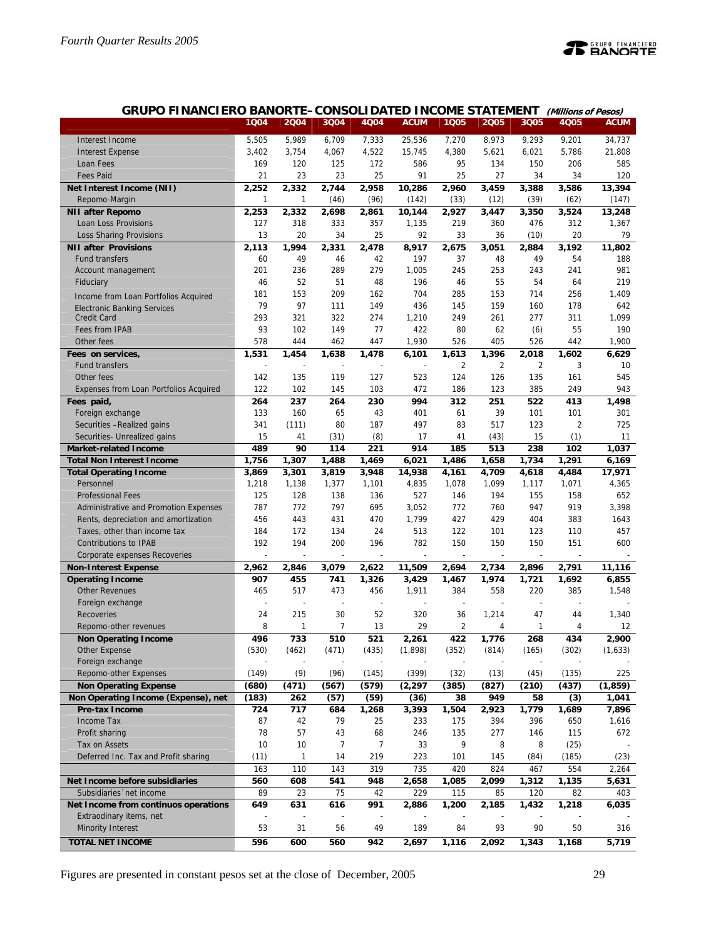

| GRUPO FINANCIERO BANORTE-CONSOLIDATED INCOME STATEMENT (Millions of Pesos) |  |
|----------------------------------------------------------------------------|--|
|----------------------------------------------------------------------------|--|

|                                              | 1Q04               | 2Q04         | 3Q04           | 4Q04         | <b>ACUM</b>      | 1Q05                 | 2005           | 3Q05           | 4Q05           | <b>ACUM</b>      |
|----------------------------------------------|--------------------|--------------|----------------|--------------|------------------|----------------------|----------------|----------------|----------------|------------------|
| Interest Income                              | 5,505              | 5,989        | 6,709          | 7,333        | 25,536           | 7,270                | 8,973          | 9,293          | 9,201          | 34,737           |
| <b>Interest Expense</b>                      | 3,402              | 3,754        | 4,067          | 4,522        | 15.745           | 4,380                | 5,621          | 6,021          | 5,786          | 21,808           |
| Loan Fees                                    | 169                | 120          | 125            | 172          | 586              | 95                   | 134            | 150            | 206            | 585              |
| <b>Fees Paid</b>                             | 21                 | 23           | 23             | 25           | 91               | 25                   | 27             | 34             | 34             | 120              |
| Net Interest Income (NII)                    | 2,252              | 2,332        | 2,744          | 2,958        | 10,286           | 2,960                | 3,459          | 3,388          | 3,586          | 13,394           |
| Repomo-Margin                                | 1                  | 1            | (46)           | (96)         | (142)            | (33)                 | (12)           | (39)           | (62)           | (147)            |
| <b>NII after Repomo</b>                      | 2,253              | 2,332        | 2,698          | 2,861        | 10,144           | 2,927                | 3,447          | 3,350          | 3,524          | 13,248           |
| Loan Loss Provisions                         | 127                | 318          | 333            | 357          | 1,135            | 219                  | 360            | 476            | 312            | 1,367            |
| Loss Sharing Provisions                      | 13                 | 20           | 34             | 25           | 92               | 33                   | 36             | (10)           | 20             | 79               |
| <b>NII after Provisions</b>                  | 2,113              | 1,994        | 2,331          | 2,478        | 8,917            | 2,675                | 3,051          | 2,884          | 3,192          | 11,802           |
| <b>Fund transfers</b>                        | 60                 | 49           | 46             | 42           | 197              | 37                   | 48             | 49             | 54             | 188              |
| Account management                           | 201                | 236          | 289            | 279          | 1,005            | 245                  | 253            | 243            | 241            | 981              |
| Fiduciary                                    | 46                 | 52           | 51             | 48           | 196              | 46                   | 55             | 54             | 64             | 219              |
| Income from Loan Portfolios Acquired         | 181                | 153          | 209            | 162          | 704              | 285                  | 153            | 714            | 256            | 1,409            |
| <b>Electronic Banking Services</b>           | 79                 | 97           | 111            | 149          | 436              | 145                  | 159            | 160            | 178            | 642              |
| <b>Credit Card</b>                           | 293                | 321          | 322            | 274          | 1,210            | 249                  | 261            | 277            | 311            | 1,099            |
| Fees from IPAB                               | 93                 | 102          | 149            | 77           | 422              | 80                   | 62             | (6)            | 55             | 190              |
| Other fees                                   | 578                | 444          | 462            | 447          | 1,930            | 526                  | 405            | 526            | 442            | 1,900            |
| Fees on services,                            | 1,531              | 1,454        | 1,638          | 1,478        | 6,101            | 1,613                | 1,396          | 2,018          | 1,602          | 6,629            |
| <b>Fund transfers</b>                        |                    |              |                |              |                  | $\overline{2}$       | $\overline{2}$ | $\overline{2}$ | 3              | 10               |
| Other fees                                   | 142                | 135          | 119            | 127          | 523              | 124                  | 126            | 135            | 161            | 545              |
| Expenses from Loan Portfolios Acquired       | 122                | 102          | 145            | 103          | 472              | 186                  | 123            | 385            | 249            | 943              |
| Fees paid,                                   | 264                | 237          | 264            | 230          | 994              | 312                  | 251            | 522            | 413            | 1,498            |
| Foreign exchange                             | 133                | 160          | 65             | 43           | 401              | 61                   | 39             | 101            | 101            | 301              |
| Securities - Realized gains                  | 341                | (111)        | 80             | 187          | 497              | 83                   | 517            | 123            | $\overline{2}$ | 725              |
| Securities- Unrealized gains                 | 15                 | 41           | (31)           | (8)          | 17               | 41                   | (43)           | 15             | (1)            | 11               |
| <b>Market-related Income</b>                 | 489                | 90           | 114            | 221          | 914              | 185                  | 513            | 238            | 102            | 1,037            |
| <b>Total Non Interest Income</b>             | 1,756              | 1,307        | 1,488          | 1,469        | 6,021            | 1,486                | 1,658          | 1,734          | 1,291          | 6,169            |
| <b>Total Operating Income</b>                | 3,869              | 3,301        | 3,819          | 3,948        | 14,938           | 4,161                | 4,709          | 4,618          | 4,484          | 17,971           |
| Personnel                                    | 1,218              | 1,138        | 1,377          | 1,101        | 4,835            | 1,078                | 1,099          | 1,117          | 1,071          | 4,365            |
| <b>Professional Fees</b>                     | 125                | 128          | 138            | 136          | 527              | 146                  | 194            | 155            | 158            | 652              |
| Administrative and Promotion Expenses        | 787                | 772          | 797            | 695          | 3,052            | 772                  | 760            | 947            | 919            | 3,398            |
| Rents, depreciation and amortization         | 456                | 443          | 431            | 470          | 1,799            | 427                  | 429            | 404            | 383            | 1643             |
| Taxes, other than income tax                 | 184                | 172          | 134            | 24           | 513              | 122                  | 101            | 123            | 110            | 457              |
| <b>Contributions to IPAB</b>                 | 192                | 194          | 200            | 196          | 782              | 150                  | 150            | 150            | 151            | 600              |
| Corporate expenses Recoveries                |                    |              |                |              |                  |                      |                |                |                |                  |
| <b>Non-Interest Expense</b>                  | $\overline{2,962}$ | 2,846        | 3,079          | 2,622        | 11,509           | 2,694                | 2,734          | 2,896          | 2,791          | 11,116           |
| <b>Operating Income</b>                      | 907                | 455          | 741            | 1,326        | 3,429            | 1,467                | 1,974          | 1,721          | 1,692          | 6,855            |
| <b>Other Revenues</b>                        | 465                | 517<br>÷,    | 473            | 456          | 1,911            | 384                  | 558            | 220            | 385            | 1,548            |
| Foreign exchange                             |                    |              |                | ÷,           |                  |                      |                |                |                |                  |
| Recoveries<br>Repomo-other revenues          | 24<br>8            | 215<br>1     | 30<br>7        | 52<br>13     | 320<br>29        | 36<br>$\overline{2}$ | 1,214<br>4     | 47<br>1        | 44<br>4        | 1,340<br>12      |
|                                              |                    |              |                |              |                  |                      |                |                |                |                  |
| <b>Non Operating Income</b><br>Other Expense | 496<br>(530)       | 733<br>(462) | 510<br>(471)   | 521<br>(435) | 2,261<br>(1,898) | 422<br>(352)         | 1,776<br>(814) | 268<br>(165)   | 434<br>(302)   | 2,900<br>(1,633) |
| Foreign exchange                             |                    |              |                |              |                  |                      |                |                |                |                  |
| Repomo-other Expenses                        | (149)              | (9)          | (96)           | (145)        | (399)            | (32)                 | (13)           | (45)           | (135)          | 225              |
| <b>Non Operating Expense</b>                 | (680)              | (471)        | (567)          | (579)        | (2, 297)         | (385)                | (827)          | (210)          | (437)          | (1, 859)         |
| Non Operating Income (Expense), net          | (183)              | 262          | (57)           | (59)         | (36)             | 38                   | 949            | 58             | (3)            | 1,041            |
| Pre-tax Income                               | 724                | 717          | 684            | 1,268        | 3,393            | 1,504                | 2,923          | 1,779          | 1,689          | 7,896            |
| Income Tax                                   | 87                 | 42           | 79             | 25           | 233              | 175                  | 394            | 396            | 650            | 1,616            |
| Profit sharing                               | 78                 | 57           | 43             | 68           | 246              | 135                  | 277            | 146            | 115            | 672              |
| Tax on Assets                                | 10                 | 10           | $\overline{7}$ | 7            | 33               | 9                    | 8              | 8              | (25)           |                  |
| Deferred Inc. Tax and Profit sharing         | (11)               | 1            | 14             | 219          | 223              | 101                  | 145            | (84)           | (185)          | (23)             |
|                                              | 163                | 110          | 143            | 319          | 735              | 420                  | 824            | 467            | 554            | 2,264            |
| Net Income before subsidiaries               | 560                | 608          | 541            | 948          | 2,658            | 1,085                | 2,099          | 1,312          | 1,135          | 5,631            |
| Subsidiaries 'net income                     | 89                 | 23           | 75             | 42           | 229              | 115                  | 85             | 120            | 82             | 403              |
| Net Income from continuos operations         | 649                | 631          | 616            | 991          | 2,886            | 1,200                | 2,185          | 1,432          | 1,218          | 6,035            |
| Extraodinary items, net                      |                    |              |                |              |                  |                      |                |                |                |                  |
| <b>Minority Interest</b>                     | 53                 | 31           | 56             | 49           | 189              | 84                   | 93             | 90             | 50             | 316              |
| <b>TOTAL NET INCOME</b>                      | 596                | 600          | 560            | 942          | 2,697            | 1,116                | 2,092          | 1,343          | 1,168          | 5,719            |
|                                              |                    |              |                |              |                  |                      |                |                |                |                  |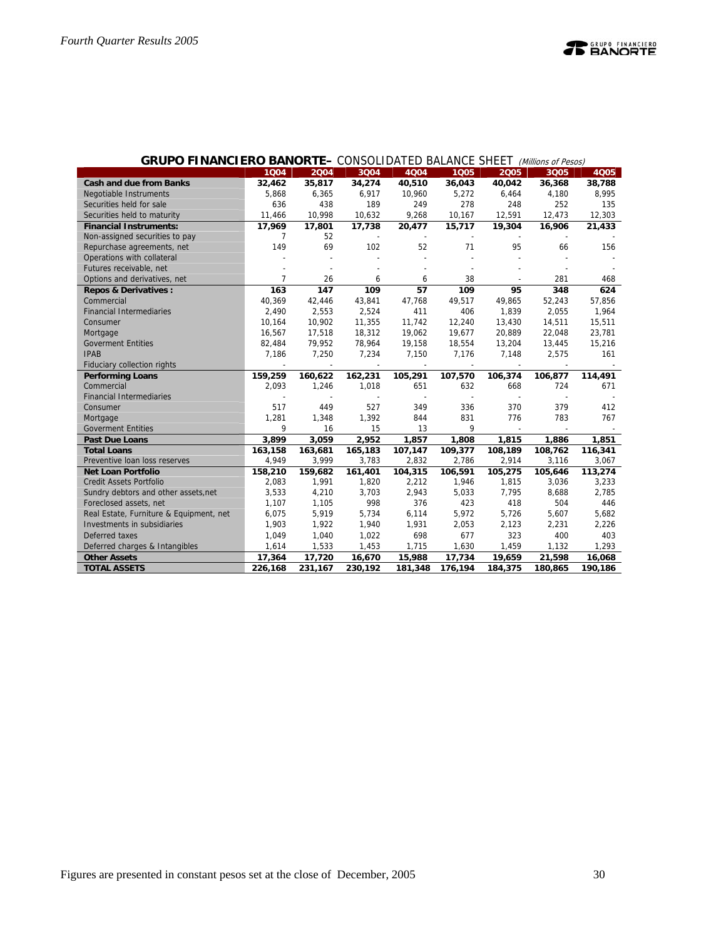|                                            | 1004              | 2004                     | 3004                     | <b>OONOOLIDINIED DIEINVOL ONEL I (MINIMUIS OF I ESUS)</b><br>4004 | 1005              | 2005              | 3Q05                     | 4Q05              |
|--------------------------------------------|-------------------|--------------------------|--------------------------|-------------------------------------------------------------------|-------------------|-------------------|--------------------------|-------------------|
| <b>Cash and due from Banks</b>             | 32,462            | 35,817                   | 34,274                   | 40,510                                                            | 36,043            | 40,042            | 36,368                   | 38,788            |
| Negotiable Instruments                     | 5,868             | 6,365                    | 6,917                    | 10,960                                                            | 5,272             | 6,464             | 4,180                    | 8,995             |
| Securities held for sale                   | 636               | 438                      | 189                      | 249                                                               | 278               | 248               | 252                      | 135               |
| Securities held to maturity                | 11,466            | 10,998                   | 10,632                   | 9,268                                                             | 10,167            | 12,591            | 12,473                   | 12,303            |
| <b>Financial Instruments:</b>              | 17,969            | 17,801                   | 17,738                   | 20,477                                                            | 15,717            | 19,304            | 16,906                   | 21,433            |
| Non-assigned securities to pay             | 7                 | 52                       |                          |                                                                   |                   |                   |                          |                   |
| Repurchase agreements, net                 | 149               | 69                       | 102                      | 52                                                                | 71                | 95                | 66                       | 156               |
| Operations with collateral                 |                   |                          |                          |                                                                   |                   |                   |                          |                   |
| Futures receivable, net                    |                   |                          |                          |                                                                   |                   |                   |                          |                   |
| Options and derivatives, net               | $\overline{7}$    | 26                       | 6                        | 6                                                                 | 38                |                   | 281                      | 468               |
| <b>Repos &amp; Derivatives:</b>            | 163               | 147                      | 109                      | 57                                                                | 109               | 95                | 348                      | 624               |
| Commercial                                 | 40,369            | 42,446                   | 43,841                   | 47,768                                                            | 49,517            | 49,865            | 52,243                   | 57,856            |
| <b>Financial Intermediaries</b>            | 2,490             | 2,553                    | 2,524                    | 411                                                               | 406               | 1,839             | 2,055                    | 1,964             |
| Consumer                                   | 10,164            | 10,902                   | 11,355                   | 11,742                                                            | 12,240            | 13,430            | 14,511                   | 15,511            |
| Mortgage                                   | 16,567            | 17,518                   | 18,312                   | 19,062                                                            | 19,677            | 20,889            | 22,048                   | 23,781            |
| <b>Goverment Entities</b>                  | 82,484            | 79,952                   | 78,964                   | 19,158                                                            | 18,554            | 13,204            | 13,445                   | 15,216            |
| <b>IPAB</b>                                | 7,186             | 7,250                    | 7,234                    | 7,150                                                             | 7,176             | 7,148             | 2,575                    | 161               |
| Fiduciary collection rights                |                   | $\overline{\phantom{a}}$ |                          |                                                                   |                   |                   | $\overline{a}$           |                   |
| <b>Performing Loans</b>                    | 159,259           | 160,622                  | 162,231                  | 105,291                                                           | 107,570           | 106,374           | 106,877                  | 114,491           |
| Commercial                                 | 2,093             | 1,246                    | 1,018                    | 651                                                               | 632               | 668               | 724                      | 671               |
| <b>Financial Intermediaries</b>            |                   |                          | $\overline{\phantom{a}}$ |                                                                   |                   |                   | $\overline{\phantom{a}}$ |                   |
| Consumer                                   | 517               | 449                      | 527                      | 349                                                               | 336               | 370               | 379                      | 412               |
| Mortgage                                   | 1,281             | 1,348                    | 1,392                    | 844                                                               | 831               | 776               | 783                      | 767               |
| <b>Goverment Entities</b>                  | 9                 | 16                       | 15                       | 13                                                                | 9                 |                   |                          |                   |
| <b>Past Due Loans</b>                      | 3,899             | 3,059                    | 2,952                    | 1,857                                                             | 1,808             | 1,815             | 1,886                    | 1,851             |
| <b>Total Loans</b>                         | 163,158           | 163,681                  | 165,183                  | 107,147                                                           | 109,377           | 108,189           | 108,762                  | 116,341           |
| Preventive Ioan loss reserves              | 4,949             | 3,999                    | 3,783                    | 2,832                                                             | 2,786             | 2,914             | 3,116                    | 3,067             |
| <b>Net Loan Portfolio</b>                  | 158,210           | 159,682                  | 161,401                  | 104,315                                                           | 106,591           | 105,275           | 105,646                  | 113,274           |
| <b>Credit Assets Portfolio</b>             | 2,083             | 1,991                    | 1,820                    | 2,212                                                             | 1,946             | 1,815             | 3,036                    | 3,233             |
| Sundry debtors and other assets, net       | 3,533             | 4,210                    | 3,703                    | 2,943                                                             | 5,033             | 7,795             | 8,688                    | 2,785             |
| Foreclosed assets, net                     | 1,107             | 1,105                    | 998                      | 376                                                               | 423               | 418               | 504                      | 446               |
| Real Estate, Furniture & Equipment, net    | 6,075             | 5,919                    | 5,734                    | 6,114                                                             | 5,972             | 5,726             | 5,607                    | 5,682             |
|                                            |                   |                          |                          |                                                                   |                   |                   |                          |                   |
| Investments in subsidiaries                | 1,903             | 1,922                    | 1,940                    | 1,931                                                             | 2,053             | 2,123             | 2,231                    | 2,226             |
| Deferred taxes                             | 1,049             | 1,040                    | 1,022                    | 698                                                               | 677               | 323               | 400                      | 403               |
| Deferred charges & Intangibles             | 1,614             | 1,533                    | 1,453                    | 1,715                                                             | 1,630             | 1,459             | 1,132                    | 1,293             |
| <b>Other Assets</b><br><b>TOTAL ASSETS</b> | 17,364<br>226,168 | 17,720<br>231,167        | 16,670<br>230,192        | 15,988<br>181,348                                                 | 17,734<br>176,194 | 19,659<br>184,375 | 21,598<br>180,865        | 16,068<br>190,186 |

## **GRUPO FINANCIERO BANORTE–** CONSOLIDATED BALANCE SHEET *Millions of Pesos*)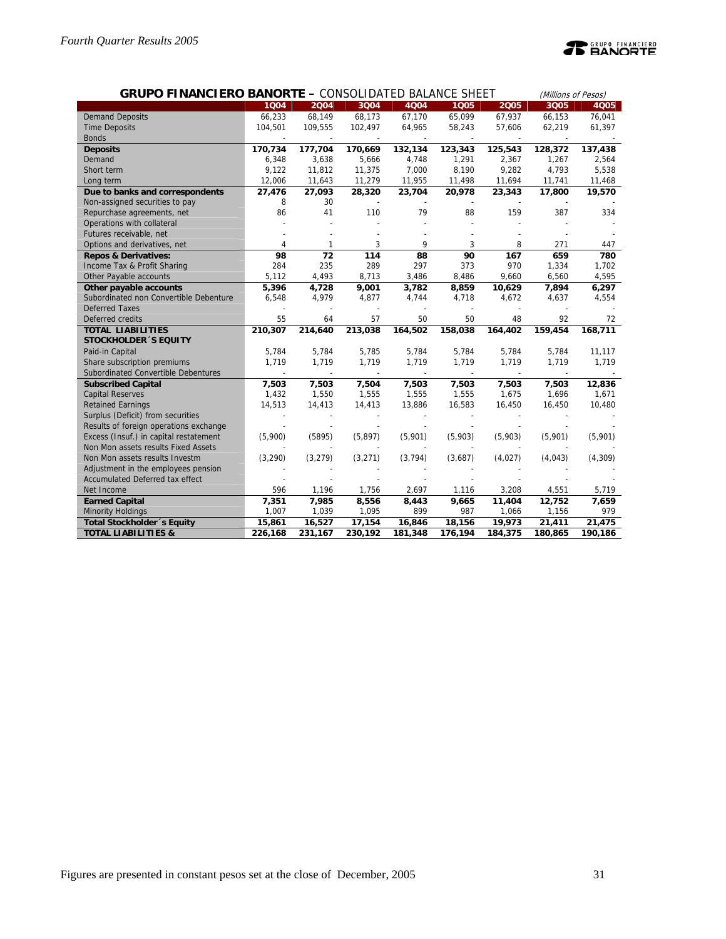| <b>GRUPO FINANCIERO BANORTE - CONSOLIDATED BALANCE SHEET</b><br>(Millions of Pesos) |          |          |         |          |         |         |         |             |  |
|-------------------------------------------------------------------------------------|----------|----------|---------|----------|---------|---------|---------|-------------|--|
|                                                                                     | 1004     | 2004     | 3Q04    | 4Q04     | 1005    | 2005    | 3Q05    | <b>4Q05</b> |  |
| <b>Demand Deposits</b>                                                              | 66,233   | 68,149   | 68,173  | 67,170   | 65,099  | 67,937  | 66,153  | 76,041      |  |
| <b>Time Deposits</b>                                                                | 104,501  | 109,555  | 102,497 | 64,965   | 58,243  | 57,606  | 62,219  | 61,397      |  |
| <b>Bonds</b>                                                                        |          |          |         |          |         |         |         |             |  |
| <b>Deposits</b>                                                                     | 170,734  | 177,704  | 170,669 | 132,134  | 123,343 | 125,543 | 128,372 | 137,438     |  |
| Demand                                                                              | 6,348    | 3,638    | 5,666   | 4,748    | 1,291   | 2,367   | 1,267   | 2,564       |  |
| Short term                                                                          | 9,122    | 11,812   | 11,375  | 7,000    | 8,190   | 9,282   | 4,793   | 5,538       |  |
| Long term                                                                           | 12,006   | 11,643   | 11,279  | 11,955   | 11,498  | 11,694  | 11,741  | 11,468      |  |
| Due to banks and correspondents                                                     | 27,476   | 27,093   | 28,320  | 23,704   | 20,978  | 23,343  | 17,800  | 19,570      |  |
| Non-assigned securities to pay                                                      | 8        | 30       |         |          |         |         |         |             |  |
| Repurchase agreements, net                                                          | 86       | 41       | 110     | 79       | 88      | 159     | 387     | 334         |  |
| Operations with collateral                                                          |          |          |         |          |         |         |         |             |  |
| Futures receivable, net                                                             |          |          |         |          |         |         |         |             |  |
| Options and derivatives, net                                                        | 4        |          | 3       | 9        | 3       | 8       | 271     | 447         |  |
| <b>Repos &amp; Derivatives:</b>                                                     | 98       | 72       | 114     | 88       | 90      | 167     | 659     | 780         |  |
| Income Tax & Profit Sharing                                                         | 284      | 235      | 289     | 297      | 373     | 970     | 1,334   | 1,702       |  |
| Other Payable accounts                                                              | 5,112    | 4,493    | 8,713   | 3,486    | 8,486   | 9,660   | 6,560   | 4,595       |  |
| Other payable accounts                                                              | 5,396    | 4,728    | 9,001   | 3,782    | 8,859   | 10,629  | 7,894   | 6,297       |  |
| Subordinated non Convertible Debenture                                              | 6,548    | 4,979    | 4,877   | 4,744    | 4,718   | 4,672   | 4,637   | 4,554       |  |
| <b>Deferred Taxes</b>                                                               |          |          |         |          |         |         |         |             |  |
| Deferred credits                                                                    | 55       | 64       | 57      | 50       | 50      | 48      | 92      | 72          |  |
| <b>TOTAL LIABILITIES</b>                                                            | 210,307  | 214,640  | 213,038 | 164,502  | 158,038 | 164,402 | 159,454 | 168,711     |  |
| <b>STOCKHOLDER 'S EQUITY</b>                                                        |          |          |         |          |         |         |         |             |  |
| Paid-in Capital                                                                     | 5.784    | 5,784    | 5,785   | 5,784    | 5,784   | 5,784   | 5,784   | 11,117      |  |
| Share subscription premiums                                                         | 1,719    | 1,719    | 1,719   | 1,719    | 1,719   | 1,719   | 1,719   | 1,719       |  |
| Subordinated Convertible Debentures                                                 |          |          |         |          |         |         |         |             |  |
| <b>Subscribed Capital</b>                                                           | 7,503    | 7,503    | 7,504   | 7,503    | 7,503   | 7,503   | 7,503   | 12,836      |  |
| <b>Capital Reserves</b>                                                             | 1,432    | 1,550    | 1,555   | 1,555    | 1,555   | 1,675   | 1,696   | 1,671       |  |
| <b>Retained Earnings</b>                                                            | 14,513   | 14,413   | 14,413  | 13,886   | 16,583  | 16,450  | 16,450  | 10,480      |  |
| Surplus (Deficit) from securities                                                   |          |          |         |          |         |         |         |             |  |
| Results of foreign operations exchange                                              |          |          |         |          |         |         |         |             |  |
| Excess (Insuf.) in capital restatement                                              | (5,900)  | (5895)   | (5,897) | (5,901)  | (5,903) | (5,903) | (5,901) | (5,901)     |  |
| Non Mon assets results Fixed Assets                                                 |          |          |         |          |         |         |         |             |  |
| Non Mon assets results Investm                                                      | (3, 290) | (3, 279) | (3,271) | (3, 794) | (3,687) | (4,027) | (4,043) | (4, 309)    |  |
| Adjustment in the employees pension                                                 |          |          |         |          |         |         |         |             |  |
| Accumulated Deferred tax effect                                                     |          |          |         |          |         |         |         |             |  |
| Net Income                                                                          | 596      | 1,196    | 1,756   | 2,697    | 1,116   | 3,208   | 4,551   | 5,719       |  |
| <b>Earned Capital</b>                                                               | 7,351    | 7,985    | 8,556   | 8,443    | 9,665   | 11,404  | 12,752  | 7,659       |  |
| <b>Minority Holdings</b>                                                            | 1,007    | 1,039    | 1,095   | 899      | 987     | 1,066   | 1,156   | 979         |  |
| Total Stockholder 's Equity                                                         | 15,861   | 16,527   | 17,154  | 16,846   | 18,156  | 19,973  | 21,411  | 21,475      |  |
| <b>TOTAL LIABILITIES &amp;</b>                                                      | 226,168  | 231,167  | 230,192 | 181,348  | 176,194 | 184,375 | 180,865 | 190,186     |  |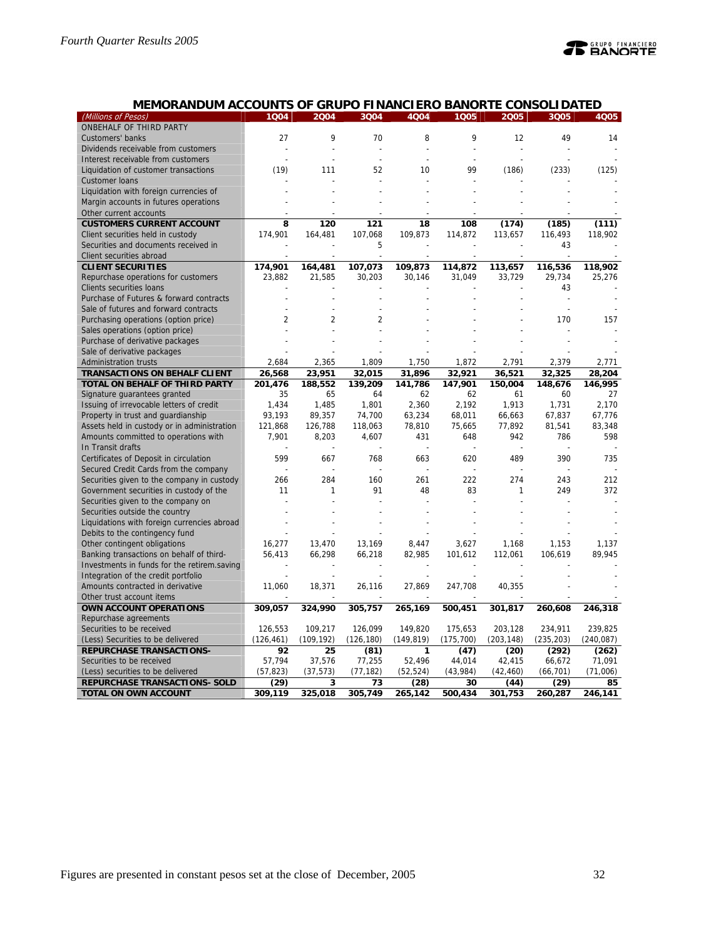| (Millions of Pesos)                                 | 1Q04             | 2004             | 3Q04       | 4Q04       | 1005           | 2005       | 3Q05       | 4Q05       |
|-----------------------------------------------------|------------------|------------------|------------|------------|----------------|------------|------------|------------|
| ONBEHALF OF THIRD PARTY                             |                  |                  |            |            |                |            |            |            |
| Customers' banks                                    | 27               | 9                | 70         | 8          | 9              | 12         | 49         | 14         |
| Dividends receivable from customers                 |                  |                  |            |            |                |            |            |            |
| Interest receivable from customers                  |                  |                  |            |            |                |            |            |            |
| Liquidation of customer transactions                | (19)             | 111              | 52         | 10         | 99             | (186)      | (233)      | (125)      |
| <b>Customer loans</b>                               |                  |                  |            |            |                |            |            |            |
| Liquidation with foreign currencies of              |                  |                  |            |            |                |            |            |            |
| Margin accounts in futures operations               |                  |                  |            |            |                |            |            |            |
| Other current accounts                              |                  |                  |            |            |                |            |            |            |
| <b>CUSTOMERS CURRENT ACCOUNT</b>                    | 8                | 120              | 121        | 18         | 108            | (174)      | (185)      | (111)      |
| Client securities held in custody                   | 174,901          | 164,481          | 107,068    | 109,873    | 114,872        | 113,657    | 116,493    | 118,902    |
| Securities and documents received in                |                  |                  | 5          |            |                |            | 43         |            |
| Client securities abroad                            |                  |                  |            |            |                |            |            |            |
| <b>CLIENT SECURITIES</b>                            | 174,901          | 164,481          | 107,073    | 109,873    | 114,872        | 113,657    | 116,536    | 118,902    |
| Repurchase operations for customers                 | 23,882           | 21,585           | 30,203     | 30,146     | 31,049         | 33,729     | 29,734     | 25,276     |
| Clients securities loans                            |                  |                  |            |            |                |            | 43         |            |
| Purchase of Futures & forward contracts             |                  |                  |            |            |                |            |            |            |
| Sale of futures and forward contracts               |                  |                  |            |            |                |            |            |            |
| Purchasing operations (option price)                | 2                | $\overline{2}$   | 2          |            |                |            | 170        | 157        |
| Sales operations (option price)                     |                  |                  |            |            |                |            |            |            |
| Purchase of derivative packages                     |                  |                  |            |            |                |            |            |            |
| Sale of derivative packages                         |                  |                  |            |            |                |            |            |            |
| <b>Administration trusts</b>                        | 2,684            | 2,365            | 1,809      | 1,750      | 1,872          | 2,791      | 2,379      | 2,771      |
| <b>TRANSACTIONS ON BEHALF CLIENT</b>                | 26,568           | 23,951           | 32,015     | 31,896     | 32,921         | 36,521     | 32,325     | 28,204     |
| TOTAL ON BEHALF OF THIRD PARTY                      | 201,476          | 188,552          | 139,209    | 141,786    | 147,901        | 150,004    | 148,676    | 146,995    |
| Signature guarantees granted                        | 35               | 65               | 64         | 62         | 62             | 61         | 60         | 27         |
| Issuing of irrevocable letters of credit            | 1,434            | 1,485            | 1,801      | 2,360      | 2,192          | 1,913      | 1,731      | 2,170      |
| Property in trust and guardianship                  | 93,193           | 89,357           | 74,700     | 63,234     | 68,011         | 66,663     | 67,837     | 67,776     |
| Assets held in custody or in administration         | 121,868          | 126,788          | 118,063    | 78,810     | 75,665         | 77,892     | 81,541     | 83,348     |
| Amounts committed to operations with                | 7,901            | 8,203            | 4,607      | 431        | 648            | 942        | 786        | 598        |
| In Transit drafts                                   |                  |                  |            |            |                |            |            |            |
| Certificates of Deposit in circulation              | 599              | 667              | 768        | 663        | 620            | 489        | 390        | 735        |
| Secured Credit Cards from the company               |                  |                  |            |            |                |            |            |            |
| Securities given to the company in custody          | 266              | 284              | 160        | 261        | 222            | 274        | 243        | 212        |
| Government securities in custody of the             | 11               | 1                | 91         | 48         | 83             | 1          | 249        | 372        |
| Securities given to the company on                  |                  |                  |            |            |                |            |            |            |
| Securities outside the country                      |                  |                  |            |            |                |            |            |            |
| Liquidations with foreign currencies abroad         |                  |                  |            |            |                |            |            |            |
| Debits to the contingency fund                      |                  |                  |            |            |                |            |            |            |
| Other contingent obligations                        | 16,277           | 13,470           | 13,169     | 8,447      | 3,627          | 1,168      | 1,153      | 1,137      |
| Banking transactions on behalf of third-            | 56,413           | 66,298           | 66,218     | 82,985     | 101,612        | 112,061    | 106,619    | 89,945     |
| Investments in funds for the retirem.saving         |                  |                  |            |            | $\overline{a}$ |            |            |            |
| Integration of the credit portfolio                 |                  |                  |            |            |                |            |            |            |
| Amounts contracted in derivative                    | 11,060           | 18,371           | 26,116     | 27,869     | 247,708        | 40,355     |            |            |
|                                                     |                  |                  |            |            |                |            |            |            |
| Other trust account items<br>OWN ACCOUNT OPERATIONS | 309,057          | 324,990          | 305,757    | 265,169    | 500,451        | 301,817    | 260,608    |            |
| Repurchase agreements                               |                  |                  |            |            |                |            |            | 246,318    |
| Securities to be received                           |                  |                  | 126,099    | 149,820    |                | 203,128    |            | 239,825    |
|                                                     | 126,553          | 109,217          |            |            | 175,653        |            | 234,911    |            |
| (Less) Securities to be delivered                   | (126, 461)<br>92 | (109, 192)<br>25 | (126, 180) | (149, 819) | (175, 700)     | (203, 148) | (235, 203) | (240, 087) |
| <b>REPURCHASE TRANSACTIONS-</b>                     |                  |                  | (81)       | 1          | (47)           | (20)       | (292)      | (262)      |
| Securities to be received                           | 57,794           | 37,576           | 77,255     | 52,496     | 44,014         | 42,415     | 66,672     | 71,091     |
| (Less) securities to be delivered                   | (57, 823)        | (37, 573)        | (77, 182)  | (52, 524)  | (43,984)       | (42, 460)  | (66, 701)  | (71,006)   |
| REPURCHASE TRANSACTIONS- SOLD                       | (29)             | 3                | 73         | (28)       | 30             | (44)       | (29)       | 85         |
| <b>TOTAL ON OWN ACCOUNT</b>                         | 309,119          | 325,018          | 305,749    | 265,142    | 500,434        | 301,753    | 260,287    | 246,141    |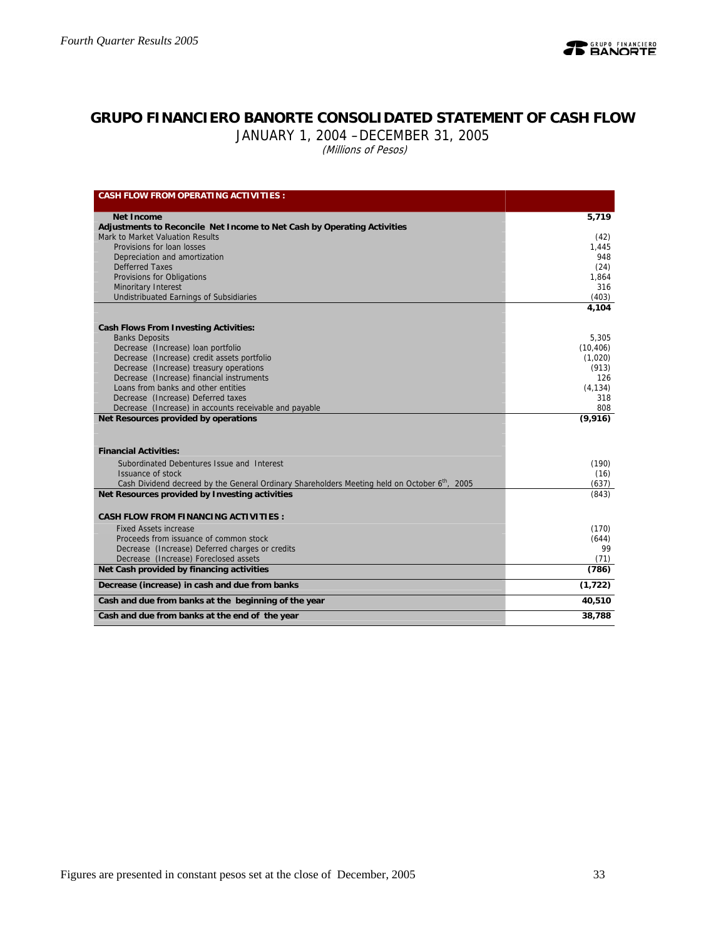

## **GRUPO FINANCIERO BANORTE CONSOLIDATED STATEMENT OF CASH FLOW**

JANUARY 1, 2004 –DECEMBER 31, 2005

(Millions of Pesos)

| <b>CASH FLOW FROM OPERATING ACTIVITIES:</b>                                                               |               |
|-----------------------------------------------------------------------------------------------------------|---------------|
|                                                                                                           |               |
| Net Income<br>Adjustments to Reconcile Net Income to Net Cash by Operating Activities                     | 5,719         |
| Mark to Market Valuation Results                                                                          | (42)          |
| Provisions for loan losses                                                                                | 1,445         |
| Depreciation and amortization                                                                             | 948           |
| <b>Defferred Taxes</b>                                                                                    | (24)          |
| Provisions for Obligations                                                                                | 1,864         |
| Minoritary Interest                                                                                       | 316           |
| <b>Undistribuated Earnings of Subsidiaries</b>                                                            | (403)         |
|                                                                                                           | 4,104         |
| <b>Cash Flows From Investing Activities:</b>                                                              |               |
| <b>Banks Deposits</b>                                                                                     | 5.305         |
| Decrease (Increase) loan portfolio                                                                        | (10, 406)     |
| Decrease (Increase) credit assets portfolio                                                               | (1,020)       |
| Decrease (Increase) treasury operations                                                                   | (913)         |
| Decrease (Increase) financial instruments                                                                 | 126           |
| Loans from banks and other entities                                                                       | (4, 134)      |
| Decrease (Increase) Deferred taxes                                                                        | 318<br>808    |
| Decrease (Increase) in accounts receivable and payable<br>Net Resources provided by operations            | (9,916)       |
|                                                                                                           |               |
|                                                                                                           |               |
| <b>Financial Activities:</b>                                                                              |               |
| Subordinated Debentures Issue and Interest                                                                | (190)         |
| Issuance of stock                                                                                         | (16)          |
| Cash Dividend decreed by the General Ordinary Shareholders Meeting held on October 6 <sup>th</sup> , 2005 | (637)         |
| Net Resources provided by Investing activities                                                            | (843)         |
|                                                                                                           |               |
| <b>CASH FLOW FROM FINANCING ACTIVITIES:</b>                                                               |               |
| <b>Fixed Assets increase</b>                                                                              | (170)         |
| Proceeds from issuance of common stock                                                                    | (644)         |
| Decrease (Increase) Deferred charges or credits                                                           | 99            |
| Decrease (Increase) Foreclosed assets<br>Net Cash provided by financing activities                        | (71)<br>(786) |
|                                                                                                           |               |
| Decrease (increase) in cash and due from banks                                                            | (1, 722)      |
| Cash and due from banks at the beginning of the year                                                      | 40,510        |
| Cash and due from banks at the end of the year                                                            | 38,788        |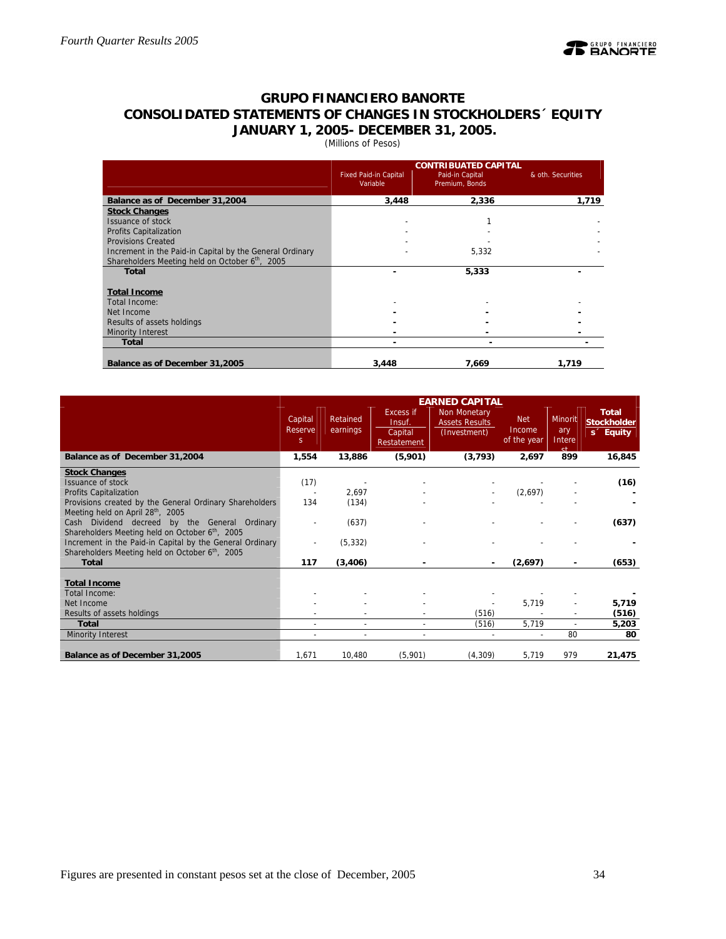

## **GRUPO FINANCIERO BANORTE CONSOLIDATED STATEMENTS OF CHANGES IN STOCKHOLDERS´ EQUITY JANUARY 1, 2005- DECEMBER 31, 2005.**

(Millions of Pesos)

|                                                          |                                          | <b>CONTRIBUATED CAPITAL</b>       |                   |
|----------------------------------------------------------|------------------------------------------|-----------------------------------|-------------------|
|                                                          | <b>Fixed Paid-in Capital</b><br>Variable | Paid-in Capital<br>Premium, Bonds | & oth. Securities |
| Balance as of December 31,2004                           | 3,448                                    | 2.336                             | 1,719             |
| <b>Stock Changes</b>                                     |                                          |                                   |                   |
| <b>Issuance of stock</b>                                 |                                          |                                   |                   |
| <b>Profits Capitalization</b>                            |                                          |                                   |                   |
| <b>Provisions Created</b>                                |                                          |                                   |                   |
| Increment in the Paid-in Capital by the General Ordinary |                                          | 5,332                             |                   |
| Shareholders Meeting held on October 6th, 2005           |                                          |                                   |                   |
| <b>Total</b>                                             |                                          | 5,333                             |                   |
|                                                          |                                          |                                   |                   |
| <b>Total Income</b>                                      |                                          |                                   |                   |
| Total Income:                                            |                                          |                                   |                   |
| Net Income                                               |                                          |                                   |                   |
| Results of assets holdings                               |                                          |                                   |                   |
| Minority Interest                                        |                                          |                                   |                   |
| <b>Total</b>                                             | -                                        |                                   |                   |
| Balance as of December 31,2005                           | 3,448                                    | 7,669                             | 1,719             |

|                                                                                                            |                          |                          |                                                      | <b>EARNED CAPITAL</b>                                 |                                     |                                              |                                                             |
|------------------------------------------------------------------------------------------------------------|--------------------------|--------------------------|------------------------------------------------------|-------------------------------------------------------|-------------------------------------|----------------------------------------------|-------------------------------------------------------------|
|                                                                                                            | Capital<br>Reserve<br>S. | Retained<br>earnings     | <b>Excess if</b><br>Insuf.<br>Capital<br>Restatement | Non Monetary<br><b>Assets Results</b><br>(Investment) | <b>Net</b><br>Income<br>of the year | <b>Minorit</b><br>ary<br>Intere<br><b>ct</b> | <b>Total</b><br><b>Stockholder</b><br>s <sup>2</sup> Equity |
| Balance as of December 31,2004                                                                             | 1,554                    | 13,886                   | (5,901)                                              | (3, 793)                                              | 2,697                               | 899                                          | 16,845                                                      |
| <b>Stock Changes</b>                                                                                       |                          |                          |                                                      |                                                       |                                     |                                              |                                                             |
| <b>Issuance of stock</b>                                                                                   | (17)                     |                          |                                                      |                                                       |                                     |                                              | (16)                                                        |
| <b>Profits Capitalization</b>                                                                              |                          | 2,697                    |                                                      |                                                       | (2,697)                             |                                              |                                                             |
| Provisions created by the General Ordinary Shareholders                                                    | 134                      | (134)                    |                                                      |                                                       |                                     |                                              |                                                             |
| Meeting held on April 28th, 2005                                                                           |                          |                          |                                                      |                                                       |                                     |                                              |                                                             |
| Cash Dividend decreed by the General Ordinary                                                              |                          | (637)                    |                                                      |                                                       |                                     |                                              | (637)                                                       |
| Shareholders Meeting held on October 6th, 2005                                                             |                          |                          |                                                      |                                                       |                                     |                                              |                                                             |
| Increment in the Paid-in Capital by the General Ordinary<br>Shareholders Meeting held on October 6th, 2005 |                          | (5, 332)                 |                                                      |                                                       |                                     |                                              |                                                             |
| <b>Total</b>                                                                                               | 117                      | (3,406)                  |                                                      |                                                       | (2,697)                             |                                              | (653)                                                       |
|                                                                                                            |                          |                          |                                                      |                                                       |                                     |                                              |                                                             |
| <b>Total Income</b>                                                                                        |                          |                          |                                                      |                                                       |                                     |                                              |                                                             |
| Total Income:                                                                                              |                          |                          |                                                      |                                                       |                                     |                                              |                                                             |
| Net Income                                                                                                 |                          |                          |                                                      |                                                       | 5,719                               |                                              | 5,719                                                       |
| Results of assets holdings                                                                                 |                          |                          |                                                      | (516)                                                 |                                     | $\overline{\phantom{a}}$                     | (516)                                                       |
| <b>Total</b>                                                                                               |                          | $\overline{\phantom{a}}$ |                                                      | (516)                                                 | 5,719                               | $\overline{\phantom{a}}$                     | 5,203                                                       |
| <b>Minority Interest</b>                                                                                   |                          |                          |                                                      |                                                       |                                     | 80                                           | 80                                                          |
|                                                                                                            |                          |                          |                                                      |                                                       |                                     |                                              |                                                             |
| Balance as of December 31,2005                                                                             | 1,671                    | 10,480                   | (5,901)                                              | (4,309)                                               | 5,719                               | 979                                          | 21,475                                                      |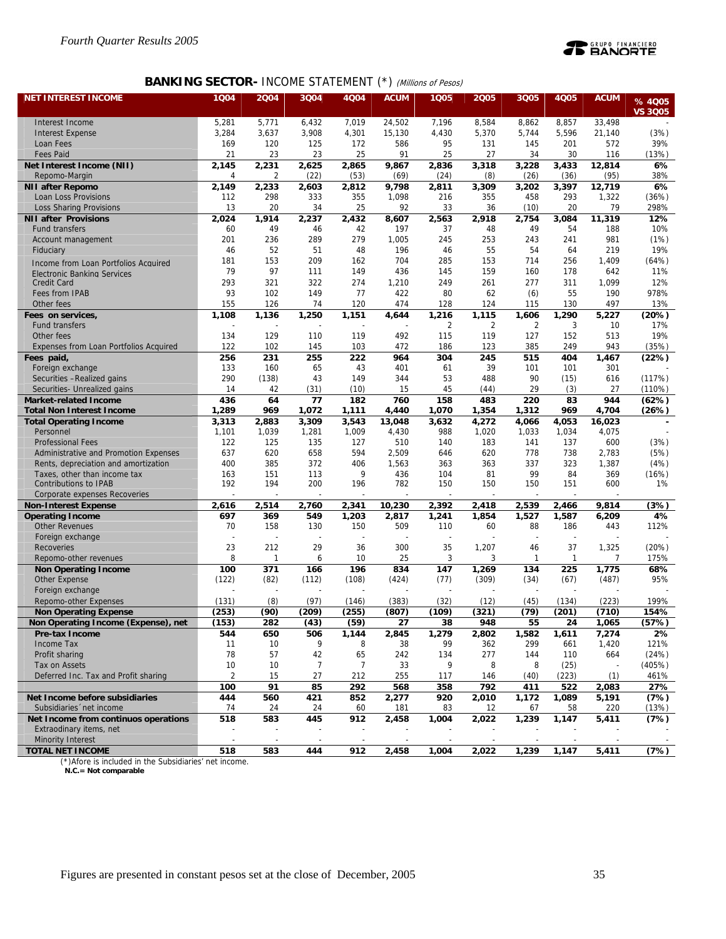

## **BANKING SECTOR- INCOME STATEMENT (\*) (Millions of Pesos)**

| <b>NET INTEREST INCOME</b>                             | 1004           | 2004           | 3Q04         | 4Q04           | <b>ACUM</b>     | 1Q05           | 2005           | 3Q05           | <b>4Q05</b>    | <b>ACUM</b>     | % 4005          |
|--------------------------------------------------------|----------------|----------------|--------------|----------------|-----------------|----------------|----------------|----------------|----------------|-----------------|-----------------|
|                                                        |                |                |              |                |                 |                |                |                |                |                 | <b>VS 3005</b>  |
| Interest Income                                        | 5,281          | 5,771          | 6,432        | 7,019          | 24.502          | 7,196          | 8,584          | 8,862          | 8,857          | 33.498          |                 |
| <b>Interest Expense</b>                                | 3,284          | 3,637          | 3,908        | 4,301          | 15,130          | 4,430          | 5,370          | 5,744          | 5,596          | 21.140          | (3%)            |
| Loan Fees                                              | 169            | 120            | 125          | 172            | 586             | 95             | 131            | 145            | 201            | 572             | 39%             |
| <b>Fees Paid</b>                                       | 21             | 23             | 23           | 25             | 91              | 25             | 27             | 34             | 30             | 116             | (13%)           |
| Net Interest Income (NII)                              | 2,145          | 2,231          | 2,625        | 2,865          | 9.867           | 2,836          | 3,318          | 3,228          | 3,433          | 12,814          | 6%              |
| Repomo-Margin                                          | 4<br>2,149     | 2              | (22)         | (53)           | (69)            | (24)           | (8)            | (26)           | (36)           | (95)            | 38%<br>6%       |
| <b>NII after Repomo</b><br>Loan Loss Provisions        | 112            | 2,233<br>298   | 2,603<br>333 | 2,812<br>355   | 9,798<br>1,098  | 2,811<br>216   | 3,309<br>355   | 3,202<br>458   | 3,397<br>293   | 12,719<br>1,322 | (36%)           |
| Loss Sharing Provisions                                | 13             | 20             | 34           | 25             | 92              | 33             | 36             | (10)           | 20             | 79              | 298%            |
| <b>NII after Provisions</b>                            | 2.024          | 1,914          | 2,237        | 2,432          | 8,607           | 2,563          | 2,918          | 2,754          | 3,084          | 11,319          | 12%             |
| Fund transfers                                         | 60             | 49             | 46           | 42             | 197             | 37             | 48             | 49             | 54             | 188             | 10%             |
| Account management                                     | 201            | 236            | 289          | 279            | 1,005           | 245            | 253            | 243            | 241            | 981             | (1%)            |
| Fiduciary                                              | 46             | 52             | 51           | 48             | 196             | 46             | 55             | 54             | 64             | 219             | 19%             |
| Income from Loan Portfolios Acquired                   | 181            | 153            | 209          | 162            | 704             | 285            | 153            | 714            | 256            | 1,409           | (64%)           |
| Electronic Banking Services                            | 79             | 97             | 111          | 149            | 436             | 145            | 159            | 160            | 178            | 642             | 11%             |
| <b>Credit Card</b>                                     | 293            | 321            | 322          | 274            | 1,210           | 249            | 261            | 277            | 311            | 1,099           | 12%             |
| Fees from IPAB                                         | 93             | 102            | 149          | 77             | 422             | 80             | 62             | (6)            | 55             | 190             | 978%            |
| Other fees                                             | 155            | 126            | 74           | 120            | 474             | 128            | 124            | 115            | 130            | 497             | 13%             |
| Fees on services,                                      | 1,108          | 1,136          | 1,250        | 1,151          | 4,644           | 1,216          | 1,115          | 1,606          | 1,290          | 5,227           | (20%)           |
| Fund transfers                                         |                |                |              |                |                 | 2              | $\overline{2}$ | $\overline{2}$ | 3              | 10              | 17%             |
| Other fees                                             | 134            | 129            | 110          | 119            | 492             | 115            | 119            | 127            | 152            | 513             | 19%             |
| Expenses from Loan Portfolios Acquired                 | 122            | 102            | 145          | 103            | 472             | 186            | 123            | 385            | 249            | 943             | (35%)           |
| Fees paid,                                             | 256<br>133     | 231<br>160     | 255<br>65    | 222<br>43      | 964<br>401      | 304<br>61      | 245<br>39      | 515<br>101     | 404<br>101     | 1.467<br>301    | (22%)           |
| Foreign exchange<br>Securities - Realized gains        | 290            | (138)          | 43           | 149            | 344             | 53             | 488            | 90             | (15)           | 616             | (117%)          |
| Securities- Unrealized gains                           | 14             | 42             | (31)         | (10)           | 15              | 45             | (44)           | 29             | (3)            | 27              | (110%)          |
| <b>Market-related Income</b>                           | 436            | 64             | 77           | 182            | 760             | 158            | 483            | 220            | 83             | 944             | (62%)           |
| <b>Total Non Interest Income</b>                       | 1,289          | 969            | 1,072        | 1,111          | 4,440           | 1,070          | 1,354          | 1,312          | 969            | 4,704           | (26%)           |
| <b>Total Operating Income</b>                          | 3,313          | 2,883          | 3,309        | 3,543          | 13,048          | 3,632          | 4,272          | 4,066          | 4,053          | 16,023          |                 |
| Personnel                                              | 1,101          | 1,039          | 1,281        | 1,009          | 4,430           | 988            | 1,020          | 1,033          | 1,034          | 4,075           |                 |
| <b>Professional Fees</b>                               | 122            | 125            | 135          | 127            | 510             | 140            | 183            | 141            | 137            | 600             | (3%)            |
| Administrative and Promotion Expenses                  | 637            | 620            | 658          | 594            | 2,509           | 646            | 620            | 778            | 738            | 2,783           | (5%)            |
| Rents, depreciation and amortization                   | 400            | 385            | 372          | 406            | 1,563           | 363            | 363            | 337            | 323            | 1,387           | (4%)            |
| Taxes, other than income tax                           | 163            | 151            | 113          | 9              | 436             | 104            | 81             | 99             | 84             | 369             | (16%)           |
| <b>Contributions to IPAB</b>                           | 192            | 194            | 200          | 196            | 782             | 150            | 150            | 150            | 151            | 600             | 1%              |
| Corporate expenses Recoveries                          |                | 2,514          | 2,760        |                |                 |                |                |                |                |                 | (3%)            |
| <b>Non-Interest Expense</b><br><b>Operating Income</b> | 2,616<br>697   | 369            | 549          | 2,341<br>1,203 | 10,230<br>2,817 | 2,392<br>1,241 | 2,418<br>1,854 | 2,539<br>1,527 | 2,466<br>1,587 | 9,814<br>6,209  | 4%              |
| <b>Other Revenues</b>                                  | 70             | 158            | 130          | 150            | 509             | 110            | 60             | 88             | 186            | 443             | 112%            |
| Foreign exchange                                       |                |                |              |                |                 |                |                |                |                |                 |                 |
| Recoveries                                             | 23             | 212            | 29           | 36             | 300             | 35             | 1,207          | 46             | 37             | 1,325           | (20%)           |
| Repomo-other revenues                                  | 8              | $\mathbf{1}$   | 6            | 10             | 25              | 3              | 3              | $\mathbf{1}$   | $\mathbf{1}$   | 7               | 175%            |
| <b>Non Operating Income</b>                            | 100            | 371            | 166          | 196            | 834             | 147            | 1,269          | 134            | 225            | 1,775           | 68%             |
| <b>Other Expense</b>                                   | (122)          | (82)           | (112)        | (108)          | (424)           | (77)           | (309)          | (34)           | (67)           | (487)           | 95%             |
| Foreign exchange                                       |                |                |              |                |                 |                |                |                |                |                 |                 |
| Repomo-other Expenses                                  | (131)          | (8)            | (97)         | (146)          | (383)           | (32)           | (12)           | (45)           | (134)          | (223)           | 199%            |
| <b>Non Operating Expense</b>                           | (253)          | (90)           | (209)        | (255)          | (807)           | (109)          | (321)          | (79)           | (201)          | (710)           | 154%            |
| Non Operating Income (Expense), net                    | (153)          | 282            | (43)         | (59)           | 27              | 38             | 948            | 55             | 24             | 1,065           | (57%)           |
| Pre-tax Income                                         | 544            | 650            | 506          | 1,144          | 2,845           | 1,279          | 2,802          | 1,582          | 1,611          | 7,274           | 2%              |
| Income Tax                                             | 11             | 10             | 9            | 8              | 38              | 99             | 362            | 299            | 661            | 1,420           | 121%            |
| Profit sharing<br>Tax on Assets                        | 78<br>10       | 57<br>10       | 42<br>7      | 65<br>7        | 242<br>33       | 134<br>9       | 277<br>8       | 144<br>8       | 110<br>(25)    | 664             | (24%)<br>(405%) |
| Deferred Inc. Tax and Profit sharing                   | $\overline{2}$ | 15             | 27           | 212            | 255             | 117            | 146            | (40)           | (223)          | (1)             | 461%            |
|                                                        | 100            | 91             | 85           | 292            | 568             | 358            | 792            | 411            | 522            | 2,083           | 27%             |
| Net Income before subsidiaries                         | 444            | 560            | 421          | 852            | 2,277           | 920            | 2,010          | 1,172          | 1,089          | 5,191           | (7%)            |
| Subsidiaries 'net income                               | 74             | 24             | 24           | 60             | 181             | 83             | 12             | 67             | 58             | 220             | (13%)           |
| Net Income from continuos operations                   | 518            | 583            | 445          | 912            | 2,458           | 1,004          | 2,022          | 1,239          | 1,147          | 5,411           | (7%)            |
| Extraodinary items, net                                |                |                |              |                |                 |                |                |                |                |                 |                 |
| <b>Minority Interest</b>                               |                | $\overline{a}$ |              |                |                 |                |                |                |                |                 |                 |
| <b>TOTAL NET INCOME</b>                                | 518            | 583            | 444          | 912            | 2,458           | 1,004          | 2,022          | 1,239          | 1,147          | 5,411           | (7%)            |

(\*)Afore is included in the Subsidiaries' net income.  **N.C.= Not comparable**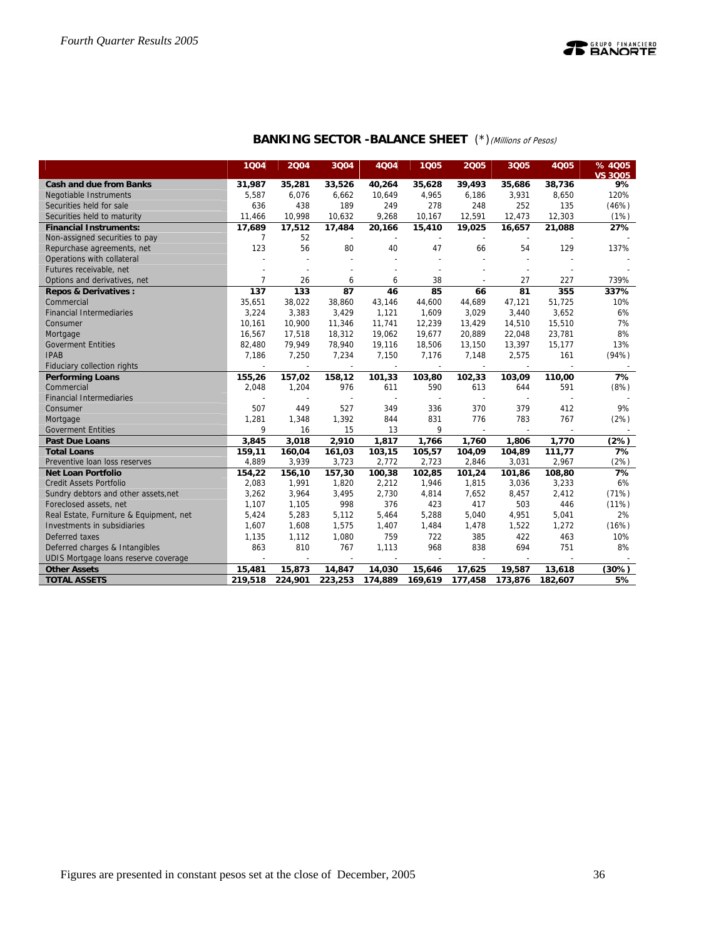

| <b>BANKING SECTOR -BALANCE SHEET</b> (*) (Millions of Pesos) |  |
|--------------------------------------------------------------|--|
|--------------------------------------------------------------|--|

|                                         | 1Q04                     | 2004                     | 3Q04                     | 4Q04                     | 1Q05                     | 2005                     | 3Q05                     | <b>4Q05</b> | % 4005<br><b>VS 3005</b> |
|-----------------------------------------|--------------------------|--------------------------|--------------------------|--------------------------|--------------------------|--------------------------|--------------------------|-------------|--------------------------|
| <b>Cash and due from Banks</b>          | 31,987                   | 35,281                   | 33,526                   | 40,264                   | 35,628                   | 39,493                   | 35,686                   | 38,736      | 9%                       |
| Negotiable Instruments                  | 5,587                    | 6,076                    | 6,662                    | 10,649                   | 4,965                    | 6,186                    | 3,931                    | 8,650       | 120%                     |
| Securities held for sale                | 636                      | 438                      | 189                      | 249                      | 278                      | 248                      | 252                      | 135         | (46%)                    |
| Securities held to maturity             | 11,466                   | 10,998                   | 10,632                   | 9,268                    | 10,167                   | 12,591                   | 12,473                   | 12,303      | (1%)                     |
| <b>Financial Instruments:</b>           | 17,689                   | 17,512                   | 17,484                   | 20,166                   | 15,410                   | 19,025                   | 16,657                   | 21,088      | 27%                      |
| Non-assigned securities to pay          | 7                        | 52                       |                          |                          |                          |                          |                          |             |                          |
| Repurchase agreements, net              | 123                      | 56                       | 80                       | 40                       | 47                       | 66                       | 54                       | 129         | 137%                     |
| Operations with collateral              |                          |                          |                          |                          |                          |                          | $\overline{a}$           |             |                          |
| Futures receivable, net                 |                          |                          |                          |                          |                          |                          |                          |             |                          |
| Options and derivatives, net            | $\overline{7}$           | 26                       | 6                        | 6                        | 38                       |                          | 27                       | 227         | 739%                     |
| <b>Repos &amp; Derivatives:</b>         | 137                      | 133                      | 87                       | 46                       | 85                       | 66                       | 81                       | 355         | 337%                     |
| Commercial                              | 35,651                   | 38,022                   | 38,860                   | 43,146                   | 44,600                   | 44,689                   | 47,121                   | 51,725      | 10%                      |
| <b>Financial Intermediaries</b>         | 3,224                    | 3,383                    | 3,429                    | 1,121                    | 1,609                    | 3,029                    | 3,440                    | 3,652       | 6%                       |
| Consumer                                | 10,161                   | 10,900                   | 11,346                   | 11,741                   | 12,239                   | 13,429                   | 14,510                   | 15,510      | 7%                       |
| Mortgage                                | 16,567                   | 17,518                   | 18,312                   | 19,062                   | 19,677                   | 20,889                   | 22,048                   | 23,781      | 8%                       |
| <b>Goverment Entities</b>               | 82,480                   | 79,949                   | 78,940                   | 19,116                   | 18,506                   | 13,150                   | 13,397                   | 15,177      | 13%                      |
| <b>IPAB</b>                             | 7,186                    | 7,250                    | 7,234                    | 7,150                    | 7,176                    | 7,148                    | 2,575                    | 161         | (94%)                    |
| Fiduciary collection rights             | $\overline{\phantom{a}}$ | $\overline{\phantom{a}}$ | $\overline{\phantom{a}}$ | $\overline{\phantom{a}}$ | $\overline{\phantom{a}}$ | $\overline{\phantom{a}}$ | $\sim$                   |             |                          |
| <b>Performing Loans</b>                 | 155,26                   | 157,02                   | 158,12                   | 101,33                   | 103,80                   | 102,33                   | 103,09                   | 110,00      | 7%                       |
| Commercial                              | 2,048                    | 1,204                    | 976                      | 611                      | 590                      | 613                      | 644                      | 591         | (8%)                     |
| <b>Financial Intermediaries</b>         |                          |                          |                          |                          |                          |                          |                          |             |                          |
| Consumer                                | 507                      | 449                      | 527                      | 349                      | 336                      | 370                      | 379                      | 412         | 9%                       |
| Mortgage                                | 1,281                    | 1,348                    | 1,392                    | 844                      | 831                      | 776                      | 783                      | 767         | (2%)                     |
| <b>Goverment Entities</b>               | 9                        | 16                       | 15                       | 13                       | 9                        |                          | $\overline{\phantom{a}}$ |             |                          |
| <b>Past Due Loans</b>                   | 3,845                    | 3,018                    | 2,910                    | 1,817                    | 1,766                    | 1,760                    | 1,806                    | 1,770       | (2%)                     |
| <b>Total Loans</b>                      | 159,11                   | 160,04                   | 161,03                   | 103,15                   | 105,57                   | 104,09                   | 104,89                   | 111,77      | 7%                       |
| Preventive Ioan loss reserves           | 4,889                    | 3,939                    | 3,723                    | 2,772                    | 2,723                    | 2,846                    | 3,031                    | 2,967       | (2%)                     |
| <b>Net Loan Portfolio</b>               | 154,22                   | 156,10                   | 157,30                   | 100,38                   | 102,85                   | 101,24                   | 101,86                   | 108,80      | 7%                       |
| <b>Credit Assets Portfolio</b>          | 2,083                    | 1,991                    | 1,820                    | 2,212                    | 1,946                    | 1,815                    | 3,036                    | 3,233       | 6%                       |
| Sundry debtors and other assets, net    | 3,262                    | 3,964                    | 3,495                    | 2,730                    | 4,814                    | 7,652                    | 8,457                    | 2,412       | (71%)                    |
| Foreclosed assets, net                  | 1,107                    | 1,105                    | 998                      | 376                      | 423                      | 417                      | 503                      | 446         | (11%)                    |
| Real Estate, Furniture & Equipment, net | 5,424                    | 5,283                    | 5,112                    | 5,464                    | 5,288                    | 5,040                    | 4,951                    | 5,041       | 2%                       |
| Investments in subsidiaries             | 1,607                    | 1,608                    | 1,575                    | 1,407                    | 1,484                    | 1,478                    | 1,522                    | 1,272       | (16%)                    |
| Deferred taxes                          | 1,135                    | 1,112                    | 1,080                    | 759                      | 722                      | 385                      | 422                      | 463         | 10%                      |
| Deferred charges & Intangibles          | 863                      | 810                      | 767                      | 1,113                    | 968                      | 838                      | 694                      | 751         | 8%                       |
| UDIS Mortgage loans reserve coverage    |                          |                          |                          |                          |                          |                          |                          |             |                          |
| <b>Other Assets</b>                     | 15,481                   | 15,873                   | 14,847                   | 14,030                   | 15,646                   | 17,625                   | 19,587                   | 13,618      | (30%)                    |
| <b>TOTAL ASSETS</b>                     | 219,518                  | 224,901                  | 223,253                  | 174,889                  | 169,619                  | 177,458                  | 173,876                  | 182,607     | 5%                       |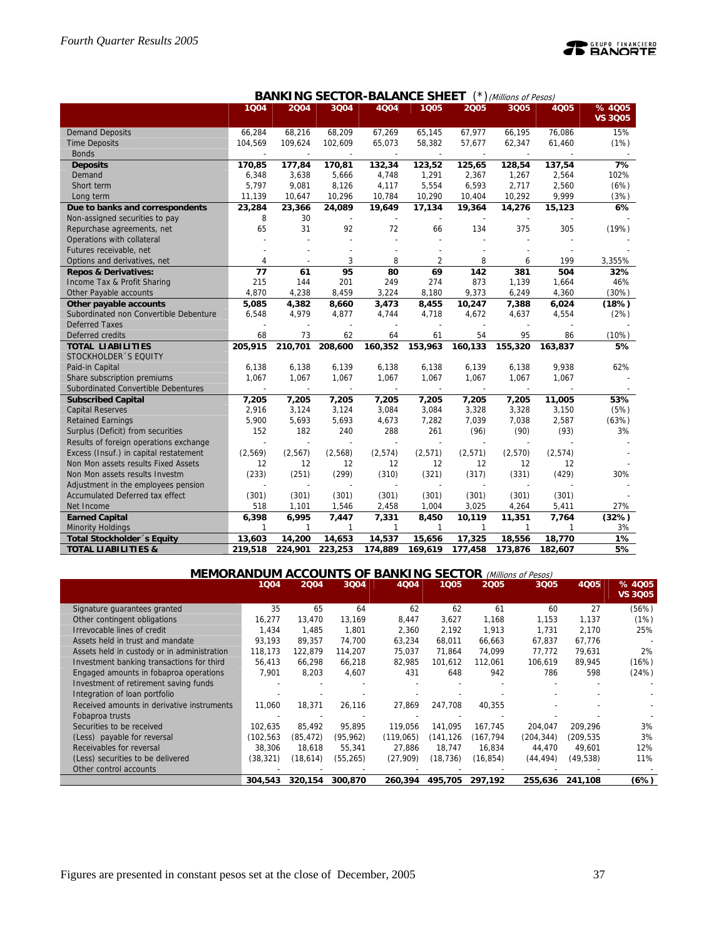

|                                        |                |                |         | <b>BANKING SECTOR-BALANCE SHEET</b> |                          |         | (Millions of Pesos) |         |                         |
|----------------------------------------|----------------|----------------|---------|-------------------------------------|--------------------------|---------|---------------------|---------|-------------------------|
|                                        | 1Q04           | 2004           | 3Q04    | 4Q04                                | 1Q05                     | 2005    | 3Q05                | 4Q05    | %4005<br><b>VS 3Q05</b> |
| <b>Demand Deposits</b>                 | 66,284         | 68,216         | 68,209  | 67,269                              | 65,145                   | 67,977  | 66,195              | 76,086  | 15%                     |
| <b>Time Deposits</b>                   | 104,569        | 109,624        | 102,609 | 65,073                              | 58,382                   | 57,677  | 62,347              | 61,460  | (1%)                    |
| <b>Bonds</b>                           |                |                |         |                                     |                          |         |                     |         |                         |
| <b>Deposits</b>                        | 170,85         | 177,84         | 170,81  | 132,34                              | 123,52                   | 125,65  | 128,54              | 137,54  | 7%                      |
| Demand                                 | 6,348          | 3,638          | 5,666   | 4,748                               | 1,291                    | 2,367   | 1,267               | 2,564   | 102%                    |
| Short term                             | 5,797          | 9,081          | 8,126   | 4,117                               | 5,554                    | 6,593   | 2,717               | 2,560   | (6%)                    |
| Long term                              | 11,139         | 10,647         | 10,296  | 10,784                              | 10,290                   | 10,404  | 10,292              | 9,999   | (3%)                    |
| Due to banks and correspondents        | 23,284         | 23,366         | 24,089  | 19,649                              | 17,134                   | 19,364  | 14,276              | 15,123  | 6%                      |
| Non-assigned securities to pay         | 8              | 30             | $\sim$  | $\overline{\phantom{a}}$            | $\overline{\phantom{a}}$ |         |                     |         |                         |
| Repurchase agreements, net             | 65             | 31             | 92      | 72                                  | 66                       | 134     | 375                 | 305     | (19%)                   |
| Operations with collateral             |                |                |         |                                     |                          |         |                     |         |                         |
| Futures receivable, net                |                |                | L,      |                                     |                          |         |                     |         |                         |
| Options and derivatives, net           | $\overline{4}$ |                | 3       | 8                                   | $\overline{2}$           | 8       | 6                   | 199     | 3,355%                  |
| <b>Repos &amp; Derivatives:</b>        | 77             | 61             | 95      | 80                                  | 69                       | 142     | 381                 | 504     | 32%                     |
| Income Tax & Profit Sharing            | 215            | 144            | 201     | 249                                 | 274                      | 873     | 1,139               | 1,664   | 46%                     |
| Other Payable accounts                 | 4,870          | 4,238          | 8,459   | 3,224                               | 8,180                    | 9,373   | 6,249               | 4,360   | (30%)                   |
| Other payable accounts                 | 5,085          | 4,382          | 8,660   | 3,473                               | 8,455                    | 10,247  | 7,388               | 6,024   | (18%)                   |
| Subordinated non Convertible Debenture | 6,548          | 4,979          | 4,877   | 4,744                               | 4,718                    | 4,672   | 4,637               | 4,554   | (2%)                    |
| <b>Deferred Taxes</b>                  |                |                |         |                                     |                          |         |                     |         |                         |
| Deferred credits                       | 68             | 73             | 62      | 64                                  | 61                       | 54      | 95                  | 86      | (10%)                   |
| <b>TOTAL LIABILITIES</b>               | 205,915        | 210,701        | 208,600 | 160,352                             | 153,963                  | 160,133 | 155,320             | 163,837 | 5%                      |
| STOCKHOLDER 'S EQUITY                  |                |                |         |                                     |                          |         |                     |         |                         |
| Paid-in Capital                        | 6,138          | 6,138          | 6,139   | 6,138                               | 6,138                    | 6,139   | 6,138               | 9,938   | 62%                     |
| Share subscription premiums            | 1,067          | 1,067          | 1,067   | 1,067                               | 1,067                    | 1,067   | 1,067               | 1,067   |                         |
| Subordinated Convertible Debentures    |                |                |         |                                     |                          |         |                     |         |                         |
| <b>Subscribed Capital</b>              | 7,205          | 7,205          | 7,205   | 7,205                               | 7,205                    | 7,205   | 7,205               | 11,005  | 53%                     |
| <b>Capital Reserves</b>                | 2,916          | 3,124          | 3,124   | 3,084                               | 3,084                    | 3,328   | 3,328               | 3,150   | (5%)                    |
| <b>Retained Earnings</b>               | 5,900          | 5,693          | 5,693   | 4,673                               | 7,282                    | 7,039   | 7,038               | 2,587   | (63%)                   |
| Surplus (Deficit) from securities      | 152            | 182            | 240     | 288                                 | 261                      | (96)    | (90)                | (93)    | 3%                      |
| Results of foreign operations exchange | ÷              | $\overline{a}$ |         |                                     | $\overline{a}$           |         |                     |         |                         |
| Excess (Insuf.) in capital restatement | (2, 569)       | (2, 567)       | (2,568) | (2,574)                             | (2,571)                  | (2,571) | (2,570)             | (2,574) |                         |
| Non Mon assets results Fixed Assets    | 12             | 12             | 12      | 12                                  | 12                       | 12      | 12                  | 12      |                         |
| Non Mon assets results Investm         | (233)          | (251)          | (299)   | (310)                               | (321)                    | (317)   | (331)               | (429)   | 30%                     |
| Adjustment in the employees pension    |                |                |         |                                     |                          |         |                     |         |                         |
| Accumulated Deferred tax effect        | (301)          | (301)          | (301)   | (301)                               | (301)                    | (301)   | (301)               | (301)   |                         |
| Net Income                             | 518            | 1,101          | 1,546   | 2,458                               | 1,004                    | 3,025   | 4,264               | 5,411   | 27%                     |
| <b>Earned Capital</b>                  | 6,398          | 6,995          | 7,447   | 7,331                               | 8,450                    | 10,119  | 11,351              | 7,764   | (32%)                   |
| <b>Minority Holdings</b>               | $\mathbf{1}$   | 1              | 1       | 1                                   | 1                        | 1       | 1                   | 1       | 3%                      |
| Total Stockholder 's Equity            | 13,603         | 14,200         | 14,653  | 14,537                              | 15,656                   | 17,325  | 18,556              | 18,770  | 1%                      |
| <b>TOTAL LIABILITIES &amp;</b>         | 219,518        | 224,901        | 223,253 | 174,889                             | 169,619                  | 177,458 | 173,876             | 182,607 | 5%                      |

| <b>MEMORANDUM ACCOUNTS OF BANKING SECTOR</b><br>(Millions of Pesos) |          |           |           |           |          |          |            |           |                          |
|---------------------------------------------------------------------|----------|-----------|-----------|-----------|----------|----------|------------|-----------|--------------------------|
|                                                                     | 1004     | 2004      | 3Q04      | 4004      | 1005     | 2005     | 3Q05       | 4005      | % 4Q05<br><b>VS 3005</b> |
| Signature guarantees granted                                        | 35       | 65        | 64        | 62        | 62       | 61       | 60         | 27        | (56%)                    |
| Other contingent obligations                                        | 16,277   | 13,470    | 13,169    | 8,447     | 3,627    | 1.168    | 1,153      | 1.137     | (1%)                     |
| Irrevocable lines of credit                                         | 1,434    | 1.485     | 1,801     | 2,360     | 2,192    | 1,913    | 1,731      | 2,170     | 25%                      |
| Assets held in trust and mandate                                    | 93.193   | 89,357    | 74,700    | 63,234    | 68,011   | 66,663   | 67,837     | 67,776    |                          |
| Assets held in custody or in administration                         | 118.173  | 122,879   | 114.207   | 75,037    | 71.864   | 74.099   | 77,772     | 79,631    | 2%                       |
| Investment banking transactions for third                           | 56,413   | 66,298    | 66,218    | 82,985    | 101.612  | 112.061  | 106.619    | 89,945    | (16%)                    |
| Engaged amounts in fobaproa operations                              | 7,901    | 8,203     | 4,607     | 431       | 648      | 942      | 786        | 598       | (24%)                    |
| Investment of retirement saving funds                               |          |           |           |           |          |          |            |           |                          |
| Integration of loan portfolio                                       |          |           |           |           |          |          |            |           |                          |
| Received amounts in derivative instruments                          | 11.060   | 18.371    | 26,116    | 27,869    | 247.708  | 40.355   |            |           |                          |
| Fobaproa trusts                                                     |          |           |           |           |          |          |            |           |                          |
| Securities to be received                                           | 102.635  | 85,492    | 95.895    | 119.056   | 141,095  | 167.745  | 204,047    | 209.296   | 3%                       |
| (Less) payable for reversal                                         | (102,563 | (85, 472) | (95, 962) | (119,065) | (141,126 | (167,794 | (204, 344) | (209,535  | 3%                       |
| Receivables for reversal                                            | 38,306   | 18,618    | 55,341    | 27,886    | 18,747   | 16,834   | 44,470     | 49,601    | 12%                      |
| (Less) securities to be delivered                                   | (38,321) | (18,614)  | (55, 265) | (27,909)  | (18,736) | (16,854) | (44, 494)  | (49, 538) | 11%                      |
| Other control accounts                                              |          |           |           |           |          |          |            |           |                          |
|                                                                     | 304,543  | 320.154   | 300,870   | 260,394   | 495,705  | 297.192  | 255,636    | 241.108   | (6%)                     |

## Figures are presented in constant pesos set at the close of December, 2005 37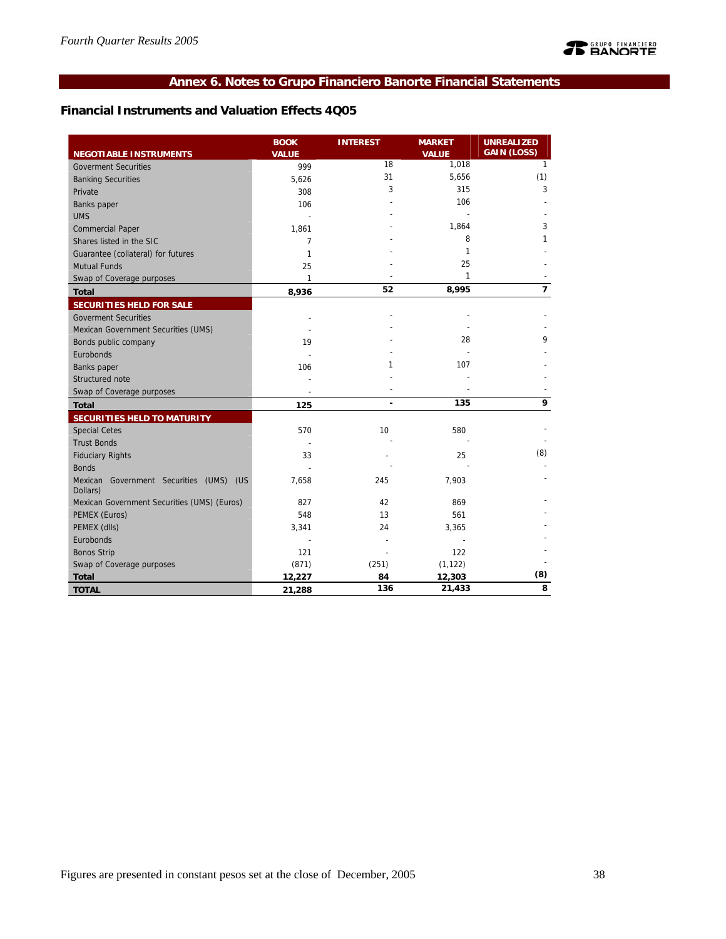## **Annex 6. Notes to Grupo Financiero Banorte Financial Statements**

## **Financial Instruments and Valuation Effects 4Q05**

|                                                     | <b>BOOK</b>  | <b>INTEREST</b> | <b>MARKET</b> | <b>UNREALIZED</b>  |
|-----------------------------------------------------|--------------|-----------------|---------------|--------------------|
| <b>NEGOTIABLE INSTRUMENTS</b>                       | <b>VALUE</b> |                 | <b>VALUE</b>  | <b>GAIN (LOSS)</b> |
| <b>Goverment Securities</b>                         | 999          | 18              | 1,018         | $\mathbf{1}$       |
| <b>Banking Securities</b>                           | 5,626        | 31              | 5,656         | (1)                |
| Private                                             | 308          | 3               | 315           | 3                  |
| <b>Banks</b> paper                                  | 106          |                 | 106           |                    |
| <b>UMS</b>                                          |              |                 |               |                    |
| <b>Commercial Paper</b>                             | 1,861        |                 | 1,864         | 3                  |
| Shares listed in the SIC                            | 7            |                 | 8             | 1                  |
| Guarantee (collateral) for futures                  | 1            |                 | 1             |                    |
| <b>Mutual Funds</b>                                 | 25           |                 | 25            |                    |
| Swap of Coverage purposes                           | 1            |                 | 1             |                    |
| <b>Total</b>                                        | 8,936        | 52              | 8,995         | $\overline{7}$     |
| <b>SECURITIES HELD FOR SALE</b>                     |              |                 |               |                    |
| <b>Goverment Securities</b>                         |              |                 |               |                    |
| Mexican Government Securities (UMS)                 |              |                 |               |                    |
| Bonds public company                                | 19           |                 | 28            | 9                  |
| Eurobonds                                           |              |                 |               |                    |
| Banks paper                                         | 106          | 1               | 107           |                    |
| Structured note                                     |              |                 |               |                    |
| Swap of Coverage purposes                           |              |                 |               |                    |
| <b>Total</b>                                        | 125          | $\blacksquare$  | 135           | 9                  |
| SECURITIES HELD TO MATURITY                         |              |                 |               |                    |
| <b>Special Cetes</b>                                | 570          | 10              | 580           |                    |
| <b>Trust Bonds</b>                                  |              |                 |               |                    |
| <b>Fiduciary Rights</b>                             | 33           |                 | 25            | (8)                |
| <b>Bonds</b>                                        |              |                 |               |                    |
| Mexican Government Securities (UMS) (US<br>Dollars) | 7,658        | 245             | 7,903         |                    |
| Mexican Government Securities (UMS) (Euros)         | 827          | 42              | 869           |                    |
| PEMEX (Euros)                                       | 548          | 13              | 561           |                    |
| PEMEX (dlls)                                        | 3,341        | 24              | 3,365         |                    |
| Eurobonds                                           |              |                 |               |                    |
| <b>Bonos Strip</b>                                  | 121          |                 | 122           |                    |
| Swap of Coverage purposes                           | (871)        | (251)           | (1, 122)      |                    |
| <b>Total</b>                                        | 12,227       | 84              | 12,303        | (8)                |
| <b>TOTAL</b>                                        | 21,288       | 136             | 21,433        | 8                  |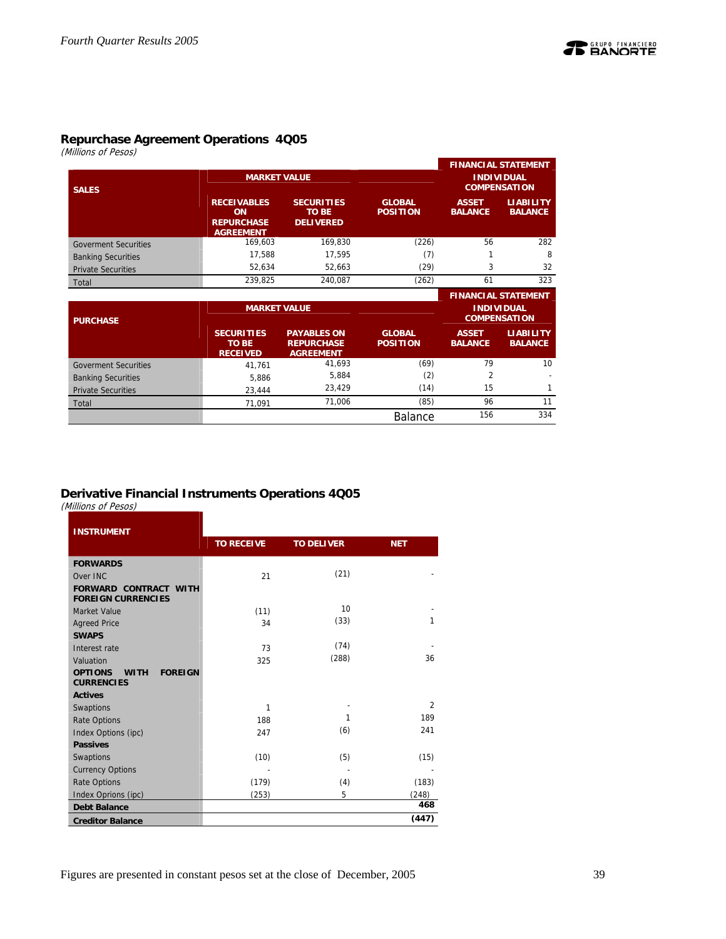

## **Repurchase Agreement Operations 4Q05**

(Millions of Pesos)

|                             |                                                                          |                                                       |                                  |                                          | <b>FINANCIAL STATEMENT</b>         |  |
|-----------------------------|--------------------------------------------------------------------------|-------------------------------------------------------|----------------------------------|------------------------------------------|------------------------------------|--|
| <b>SALES</b>                | <b>MARKET VALUE</b>                                                      |                                                       |                                  | <b>INDIVIDUAL</b><br><b>COMPENSATION</b> |                                    |  |
|                             | <b>RECEIVABLES</b><br><b>ON</b><br><b>REPURCHASE</b><br><b>AGREEMENT</b> | <b>SECURITIES</b><br><b>TO BE</b><br><b>DELIVERED</b> | <b>GLOBAL</b><br><b>POSITION</b> | <b>ASSET</b><br><b>BALANCE</b>           | <b>LIABILITY</b><br><b>BALANCE</b> |  |
| <b>Goverment Securities</b> | 169.603                                                                  | 169.830                                               | (226)                            | 56                                       | 282                                |  |
| <b>Banking Securities</b>   | 17.588                                                                   | 17.595                                                | (7)                              |                                          | 8                                  |  |
| <b>Private Securities</b>   | 52,634                                                                   | 52.663                                                | (29)                             | 3                                        | 32                                 |  |
| Total                       | 239.825                                                                  | 240.087                                               | (262)                            | 61                                       | 323                                |  |
|                             |                                                                          |                                                       |                                  |                                          | <b>FINANCIAL STATEMENT</b>         |  |
|                             | <b>MARKET VALUE</b>                                                      |                                                       |                                  |                                          | <b>INDIVIDUAL</b>                  |  |

| <b>PURCHASE</b>             |                                                      | IVIARREI VALUE                                              |                                  | <b>INDIVIDUAL</b><br><b>COMPENSATION</b> |                                    |  |
|-----------------------------|------------------------------------------------------|-------------------------------------------------------------|----------------------------------|------------------------------------------|------------------------------------|--|
|                             | <b>SECURITIES</b><br><b>TO BE</b><br><b>RECEIVED</b> | <b>PAYABLES ON</b><br><b>REPURCHASE</b><br><b>AGREEMENT</b> | <b>GLOBAL</b><br><b>POSITION</b> | <b>ASSET</b><br><b>BALANCE</b>           | <b>LIABILITY</b><br><b>BALANCE</b> |  |
| <b>Goverment Securities</b> | 41.761                                               | 41,693                                                      | (69)                             | 79                                       | 10                                 |  |
| <b>Banking Securities</b>   | 5.886                                                | 5,884                                                       | (2)                              |                                          |                                    |  |
| <b>Private Securities</b>   | 23.444                                               | 23.429                                                      | (14)                             | 15                                       |                                    |  |
| Total                       | 71.091                                               | 71.006                                                      | (85)                             | 96                                       | 11                                 |  |
|                             |                                                      |                                                             | <b>Balance</b>                   | 156                                      | 334                                |  |

## **Derivative Financial Instruments Operations 4Q05**

(Millions of Pesos)

| <b>INSTRUMENT</b>                                                    |                   |                   |                |
|----------------------------------------------------------------------|-------------------|-------------------|----------------|
|                                                                      | <b>TO RECEIVE</b> | <b>TO DELIVER</b> | <b>NET</b>     |
| <b>FORWARDS</b>                                                      |                   |                   |                |
| Over INC                                                             | 21                | (21)              |                |
| <b>FORWARD CONTRACT WITH</b><br><b>FOREIGN CURRENCIES</b>            |                   |                   |                |
| Market Value                                                         | (11)              | 10                |                |
| <b>Agreed Price</b>                                                  | 34                | (33)              | 1              |
| <b>SWAPS</b>                                                         |                   |                   |                |
| Interest rate                                                        | 73                | (74)              |                |
| Valuation                                                            | 325               | (288)             | 36             |
| <b>OPTIONS</b><br><b>FOREIGN</b><br><b>WITH</b><br><b>CURRENCIES</b> |                   |                   |                |
| <b>Actives</b>                                                       |                   |                   |                |
| Swaptions                                                            | $\mathbf{1}$      |                   | $\overline{2}$ |
| <b>Rate Options</b>                                                  | 188               | 1                 | 189            |
| Index Options (ipc)                                                  | 247               | (6)               | 241            |
| <b>Passives</b>                                                      |                   |                   |                |
| Swaptions                                                            | (10)              | (5)               | (15)           |
| <b>Currency Options</b>                                              |                   |                   |                |
| <b>Rate Options</b>                                                  | (179)             | (4)               | (183)          |
| Index Oprions (ipc)                                                  | (253)             | 5                 | (248)          |
| <b>Debt Balance</b>                                                  |                   |                   | 468            |
| <b>Creditor Balance</b>                                              |                   |                   | (447)          |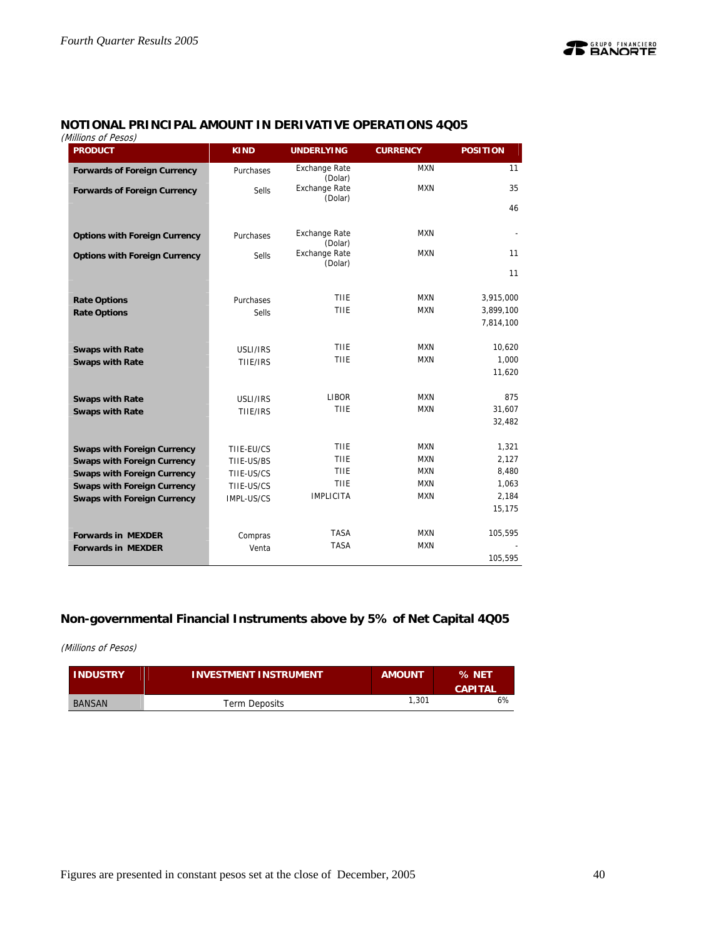## **NOTIONAL PRINCIPAL AMOUNT IN DERIVATIVE OPERATIONS 4Q05**

(Millions of Pesos)

| viiiiuuis ui resus)<br><b>PRODUCT</b> | <b>KIND</b>  | <b>UNDERLYING</b>                          | <b>CURRENCY</b> | <b>POSITION</b> |
|---------------------------------------|--------------|--------------------------------------------|-----------------|-----------------|
| <b>Forwards of Foreign Currency</b>   | Purchases    | <b>Exchange Rate</b><br>(Dolar)            | <b>MXN</b>      | 11              |
| <b>Forwards of Foreign Currency</b>   | <b>Sells</b> | <b>Exchange Rate</b>                       | <b>MXN</b>      | 35              |
|                                       |              | (Dolar)                                    |                 | 46              |
| <b>Options with Foreign Currency</b>  | Purchases    | <b>Exchange Rate</b>                       | <b>MXN</b>      |                 |
| <b>Options with Foreign Currency</b>  | <b>Sells</b> | (Dolar)<br><b>Exchange Rate</b><br>(Dolar) | <b>MXN</b>      | 11              |
|                                       |              |                                            |                 | 11              |
| <b>Rate Options</b>                   | Purchases    | THE                                        | <b>MXN</b>      | 3,915,000       |
| <b>Rate Options</b>                   | <b>Sells</b> | TIIE                                       | <b>MXN</b>      | 3,899,100       |
|                                       |              |                                            |                 | 7,814,100       |
| <b>Swaps with Rate</b>                | USLI/IRS     | TIIE                                       | <b>MXN</b>      | 10,620          |
| <b>Swaps with Rate</b>                | TIIE/IRS     | TIIE                                       | <b>MXN</b>      | 1,000           |
|                                       |              |                                            |                 | 11,620          |
| <b>Swaps with Rate</b>                | USLI/IRS     | <b>LIBOR</b>                               | <b>MXN</b>      | 875             |
| <b>Swaps with Rate</b>                | TIIE/IRS     | TIIE                                       | <b>MXN</b>      | 31,607          |
|                                       |              |                                            |                 | 32,482          |
| <b>Swaps with Foreign Currency</b>    | TIIE-EU/CS   | THE                                        | <b>MXN</b>      | 1,321           |
| <b>Swaps with Foreign Currency</b>    | TIIE-US/BS   | TIIE                                       | <b>MXN</b>      | 2,127           |
| <b>Swaps with Foreign Currency</b>    | TIIE-US/CS   | TIIE                                       | <b>MXN</b>      | 8,480           |
| <b>Swaps with Foreign Currency</b>    | TIIE-US/CS   | TIIE                                       | <b>MXN</b>      | 1,063           |
| <b>Swaps with Foreign Currency</b>    | IMPL-US/CS   | <b>IMPLICITA</b>                           | <b>MXN</b>      | 2,184           |
|                                       |              |                                            |                 | 15,175          |
| <b>Forwards in MEXDER</b>             | Compras      | <b>TASA</b>                                | <b>MXN</b>      | 105,595         |
| <b>Forwards in MEXDER</b>             | Venta        | <b>TASA</b>                                | <b>MXN</b>      |                 |
|                                       |              |                                            |                 | 105,595         |

## **Non-governmental Financial Instruments above by 5% of Net Capital 4Q05**

(Millions of Pesos)

| <b>INDUSTRY</b> | <b>INVESTMENT INSTRUMENT</b> | <b>AMOUNT</b> | % NET<br><b>CAPITAL</b> |
|-----------------|------------------------------|---------------|-------------------------|
| <b>BANSAN</b>   | <b>Term Deposits</b>         | 1.301         | 6%                      |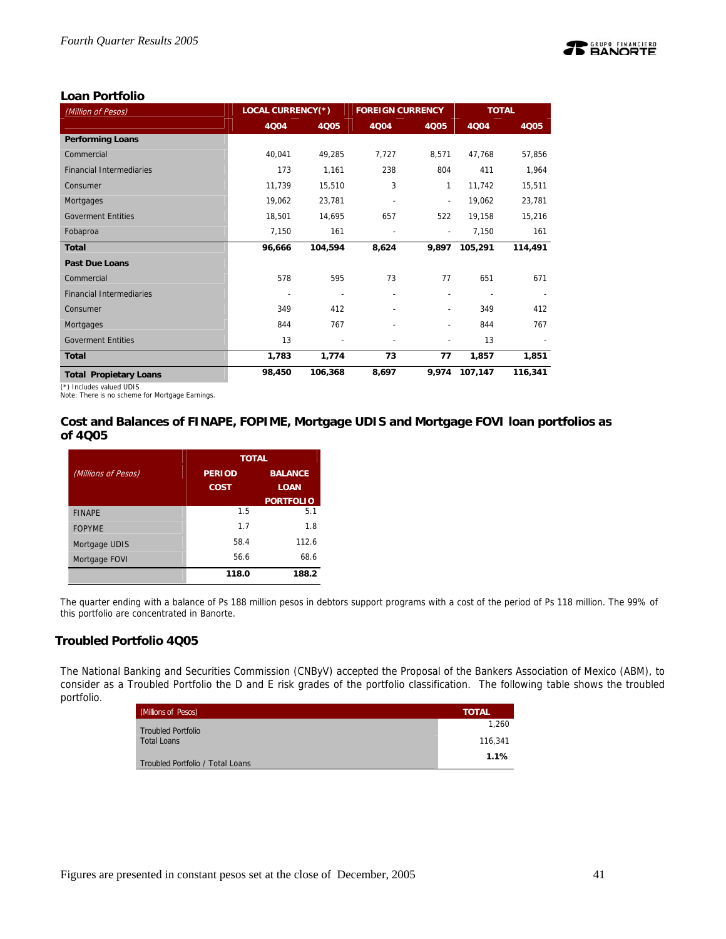

## **Loan Portfolio**

| (Million of Pesos)              | <b>LOCAL CURRENCY(*)</b> |                | <b>FOREIGN CURRENCY</b> |                          | <b>TOTAL</b> |         |  |
|---------------------------------|--------------------------|----------------|-------------------------|--------------------------|--------------|---------|--|
|                                 | 4004                     | 4Q05           | 4Q04                    | 4Q05                     | 4Q04         | 4Q05    |  |
| <b>Performing Loans</b>         |                          |                |                         |                          |              |         |  |
| Commercial                      | 40,041                   | 49,285         | 7,727                   | 8,571                    | 47,768       | 57,856  |  |
| <b>Financial Intermediaries</b> | 173                      | 1,161          | 238                     | 804                      | 411          | 1,964   |  |
| Consumer                        | 11,739                   | 15,510         | 3                       | 1                        | 11,742       | 15,511  |  |
| Mortgages                       | 19,062                   | 23,781         |                         | $\overline{a}$           | 19,062       | 23,781  |  |
| <b>Goverment Entities</b>       | 18,501                   | 14,695         | 657                     | 522                      | 19,158       | 15,216  |  |
| Fobaproa                        | 7,150                    | 161            |                         | $\overline{\phantom{a}}$ | 7,150        | 161     |  |
| <b>Total</b>                    | 96,666                   | 104,594        | 8,624                   | 9,897                    | 105,291      | 114,491 |  |
| <b>Past Due Loans</b>           |                          |                |                         |                          |              |         |  |
| Commercial                      | 578                      | 595            | 73                      | 77                       | 651          | 671     |  |
| <b>Financial Intermediaries</b> |                          |                |                         | $\overline{a}$           |              |         |  |
| Consumer                        | 349                      | 412            |                         | $\overline{\phantom{a}}$ | 349          | 412     |  |
| Mortgages                       | 844                      | 767            |                         | $\overline{\phantom{a}}$ | 844          | 767     |  |
| <b>Goverment Entities</b>       | 13                       | $\overline{a}$ |                         | $\overline{a}$           | 13           |         |  |
| <b>Total</b>                    | 1,783                    | 1,774          | 73                      | 77                       | 1,857        | 1,851   |  |
| <b>Total Propietary Loans</b>   | 98,450                   | 106,368        | 8,697                   | 9,974                    | 107,147      | 116,341 |  |

(\*) Includes valued UDIS

Note: There is no scheme for Mortgage Earnings.

## **Cost and Balances of FINAPE, FOPIME, Mortgage UDIS and Mortgage FOVI loan portfolios as of 4Q05**

|                     | <b>TOTAL</b>                    |                  |  |  |  |
|---------------------|---------------------------------|------------------|--|--|--|
| (Millions of Pesos) | <b>BALANCE</b><br><b>PERIOD</b> |                  |  |  |  |
|                     | <b>COST</b>                     | <b>LOAN</b>      |  |  |  |
|                     |                                 | <b>PORTFOLIO</b> |  |  |  |
| <b>FINAPE</b>       | 1.5                             | 5.1              |  |  |  |
| <b>FOPYME</b>       | 1.7                             | 1.8              |  |  |  |
| Mortgage UDIS       | 58.4                            | 112.6            |  |  |  |
| Mortgage FOVI       | 56.6                            | 68.6             |  |  |  |
|                     | 118.0                           | 188.2            |  |  |  |

The quarter ending with a balance of Ps 188 million pesos in debtors support programs with a cost of the period of Ps 118 million. The 99% of this portfolio are concentrated in Banorte.

## **Troubled Portfolio 4Q05**

The National Banking and Securities Commission (CNByV) accepted the Proposal of the Bankers Association of Mexico (ABM), to consider as a Troubled Portfolio the D and E risk grades of the portfolio classification. The following table shows the troubled portfolio.

| (Millions of Pesos)              | <b>TOTAL</b> |
|----------------------------------|--------------|
| <b>Troubled Portfolio</b>        | 1,260        |
| <b>Total Loans</b>               | 116.341      |
| Troubled Portfolio / Total Loans | 1.1%         |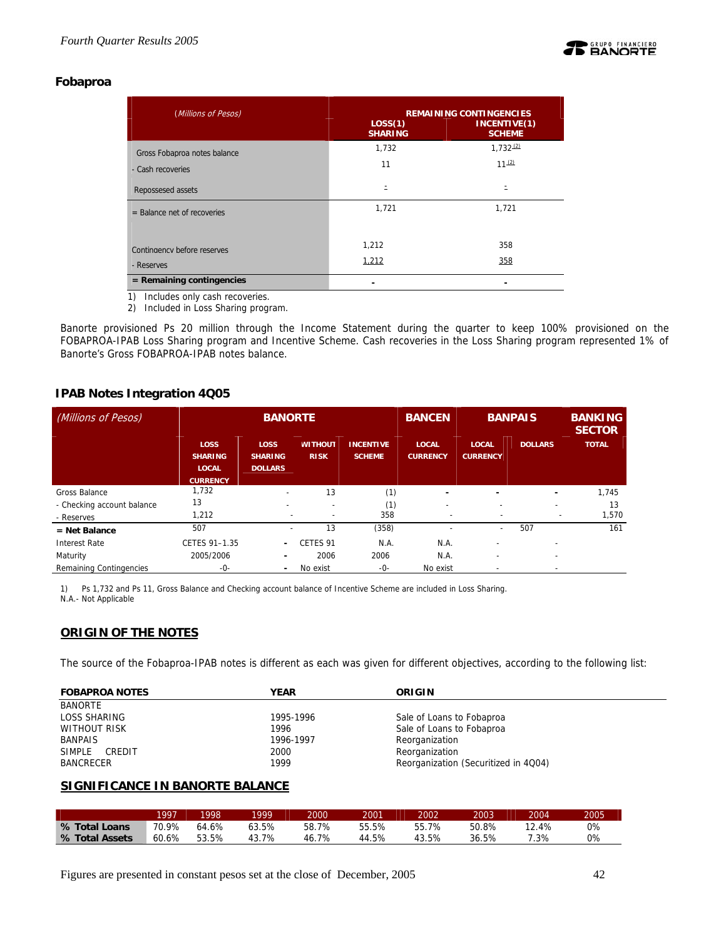

## **Fobaproa**

| (Millions of Pesos)           | LOS(1)<br><b>SHARING</b> | <b>REMAINING CONTINGENCIES</b><br>INCENTIVE(1)<br><b>SCHEME</b> |
|-------------------------------|--------------------------|-----------------------------------------------------------------|
| Gross Fobaproa notes balance  | 1,732                    | $1,732^{(2)}$                                                   |
| - Cash recoveries             | 11                       | $11^{(2)}$                                                      |
| Repossesed assets             | Ξ                        |                                                                 |
| $=$ Balance net of recoveries | 1,721                    | 1,721                                                           |
|                               |                          |                                                                 |
| Contingency before reserves   | 1,212                    | 358                                                             |
| - Reserves                    | 1,212                    | 358                                                             |
| $=$ Remaining contingencies   |                          |                                                                 |

1) Includes only cash recoveries.

2) Included in Loss Sharing program.

Banorte provisioned Ps 20 million through the Income Statement during the quarter to keep 100% provisioned on the FOBAPROA-IPAB Loss Sharing program and Incentive Scheme. Cash recoveries in the Loss Sharing program represented 1% of Banorte's Gross FOBAPROA-IPAB notes balance.

## **IPAB Notes Integration 4Q05**

| (Millions of Pesos)        | <b>BANORTE</b>                                                   |                                                 |                               |                                   | <b>BANCEN</b>                   | <b>BANPAIS</b>                  |                          | <b>BANKING</b><br><b>SECTOR</b> |
|----------------------------|------------------------------------------------------------------|-------------------------------------------------|-------------------------------|-----------------------------------|---------------------------------|---------------------------------|--------------------------|---------------------------------|
|                            | <b>LOSS</b><br><b>SHARING</b><br><b>LOCAL</b><br><b>CURRENCY</b> | <b>LOSS</b><br><b>SHARING</b><br><b>DOLLARS</b> | <b>WITHOUT</b><br><b>RISK</b> | <b>INCENTIVE</b><br><b>SCHEME</b> | <b>LOCAL</b><br><b>CURRENCY</b> | <b>LOCAL</b><br><b>CURRENCY</b> | <b>DOLLARS</b>           | <b>TOTAL</b>                    |
| Gross Balance              | 1,732                                                            | $\overline{\phantom{a}}$                        | 13                            | (1)                               | ۰                               |                                 | $\overline{\phantom{0}}$ | 1.745                           |
| - Checking account balance | 13                                                               |                                                 |                               | (1)                               | $\overline{\phantom{a}}$        | $\overline{\phantom{0}}$        |                          | 13                              |
| - Reserves                 | 1,212                                                            |                                                 | $\overline{\phantom{a}}$      | 358                               | ۰                               | $\overline{\phantom{0}}$        | $\overline{\phantom{a}}$ | 1,570                           |
| $=$ Net Balance            | 507                                                              |                                                 | 13                            | (358)                             |                                 | ۰                               | 507                      | 161                             |
| <b>Interest Rate</b>       | CETES 91-1.35                                                    | $\overline{\phantom{0}}$                        | CETES 91                      | N.A.                              | N.A.                            | $\overline{\phantom{0}}$        | $\overline{\phantom{0}}$ |                                 |
| Maturity                   | 2005/2006                                                        |                                                 | 2006                          | 2006                              | N.A.                            | $\overline{\phantom{a}}$        | $\overline{\phantom{a}}$ |                                 |
| Remaining Contingencies    | -0-                                                              | ٠                                               | No exist                      | -0-                               | No exist                        |                                 |                          |                                 |

1) Ps 1,732 and Ps 11, Gross Balance and Checking account balance of Incentive Scheme are included in Loss Sharing. N.A.- Not Applicable

## **ORIGIN OF THE NOTES**

The source of the Fobaproa-IPAB notes is different as each was given for different objectives, according to the following list:

| <b>FOBAPROA NOTES</b> | <b>YEAR</b> | ORIGIN                               |
|-----------------------|-------------|--------------------------------------|
| <b>BANORTE</b>        |             |                                      |
| <b>LOSS SHARING</b>   | 1995-1996   | Sale of Loans to Fobaproa            |
| <b>WITHOUT RISK</b>   | 1996        | Sale of Loans to Fobaproa            |
| <b>BANPAIS</b>        | 1996-1997   | Reorganization                       |
| SIMPLE<br>CREDIT      | 2000        | Reorganization                       |
| <b>BANCRECER</b>      | 1999        | Reorganization (Securitized in 4Q04) |

## **SIGNIFICANCE IN BANORTE BALANCE**

|                | 1997  | 1998  | 1999  | 2000  | 2001  | 2002      | 2003  | 2004  | 2005  |
|----------------|-------|-------|-------|-------|-------|-----------|-------|-------|-------|
| % Total Loans  | 70.9% | 64.6% | 53.5% | 58.7% | 55.5% | 7%<br>55. | 50.8% | 12.4% | $0\%$ |
| % Total Assets | 60.6% | 53.5% | 7%    | 46.7% | 44.5% | 3.5%      | 36.5% | .3%   | 0%    |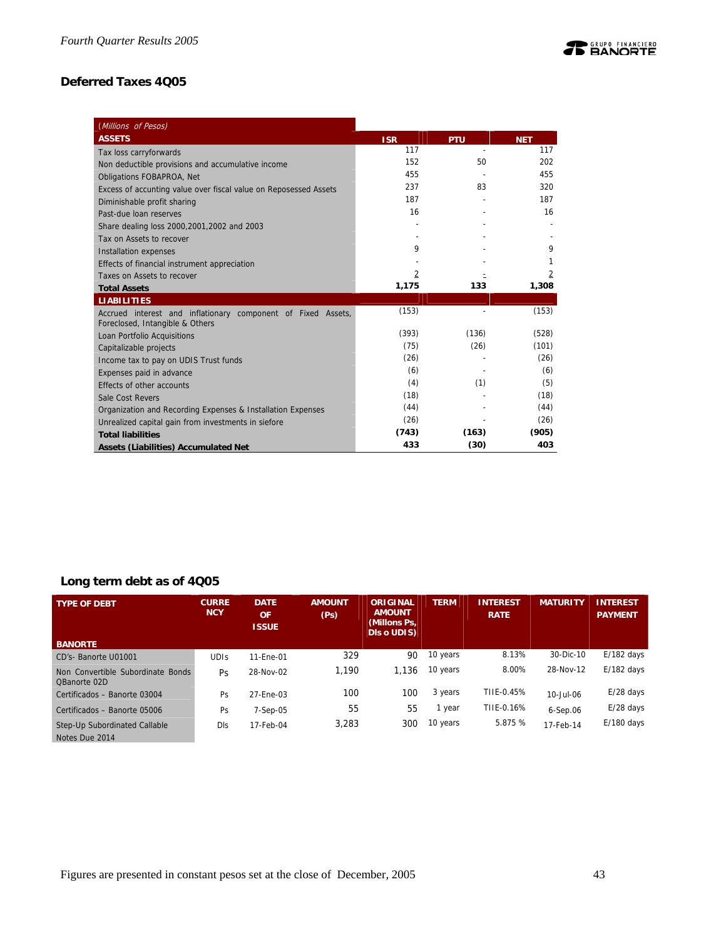## **Deferred Taxes 4Q05**

| (Millions of Pesos)                                                                             |            |                |            |
|-------------------------------------------------------------------------------------------------|------------|----------------|------------|
| <b>ASSETS</b>                                                                                   | <b>ISR</b> | <b>PTU</b>     | <b>NET</b> |
| Tax loss carryforwards                                                                          | 117        | $\overline{a}$ | 117        |
| Non deductible provisions and accumulative income                                               | 152        | 50             | 202        |
| Obligations FOBAPROA, Net                                                                       | 455        |                | 455        |
| Excess of accunting value over fiscal value on Reposessed Assets                                | 237        | 83             | 320        |
| Diminishable profit sharing                                                                     | 187        |                | 187        |
| Past-due loan reserves                                                                          | 16         |                | 16         |
| Share dealing loss 2000, 2001, 2002 and 2003                                                    |            |                |            |
| Tax on Assets to recover                                                                        |            |                |            |
| Installation expenses                                                                           | 9          |                | 9          |
| Effects of financial instrument appreciation                                                    |            |                |            |
| Taxes on Assets to recover                                                                      | 2          |                | 2          |
| <b>Total Assets</b>                                                                             | 1,175      | 133            | 1,308      |
| <b>LIABILITIES</b>                                                                              |            |                |            |
| Accrued interest and inflationary component of Fixed Assets,<br>Foreclosed, Intangible & Others | (153)      |                | (153)      |
| Loan Portfolio Acquisitions                                                                     | (393)      | (136)          | (528)      |
| Capitalizable projects                                                                          | (75)       | (26)           | (101)      |
| Income tax to pay on UDIS Trust funds                                                           | (26)       |                | (26)       |
| Expenses paid in advance                                                                        | (6)        |                | (6)        |
| Effects of other accounts                                                                       | (4)        | (1)            | (5)        |
| Sale Cost Revers                                                                                | (18)       |                | (18)       |
| Organization and Recording Expenses & Installation Expenses                                     | (44)       |                | (44)       |
| Unrealized capital gain from investments in siefore                                             | (26)       |                | (26)       |
| <b>Total liabilities</b>                                                                        | (743)      | (163)          | (905)      |
|                                                                                                 |            |                |            |

## **Long term debt as of 4Q05**

| <b>TYPE OF DEBT</b>                               | <b>CURRE</b><br><b>NCY</b> | <b>DATE</b><br><b>OF</b><br><b>ISSUE</b> | <b>AMOUNT</b><br>(Ps) | <b>ORIGINAL</b><br><b>AMOUNT</b><br>(Millons Ps,<br><b>DIS o UDIS)</b> | <b>TERM</b> | <b>INTEREST</b><br><b>RATE</b> | <b>MATURITY</b> | <b>INTEREST</b><br><b>PAYMENT</b> |
|---------------------------------------------------|----------------------------|------------------------------------------|-----------------------|------------------------------------------------------------------------|-------------|--------------------------------|-----------------|-----------------------------------|
| <b>BANORTE</b>                                    |                            |                                          |                       |                                                                        |             |                                |                 |                                   |
| CD's-Banorte U01001                               | <b>UDIS</b>                | 11-Ene-01                                | 329                   | 90                                                                     | 10 years    | 8.13%                          | 30-Dic-10       | $E/182$ days                      |
| Non Convertible Subordinate Bonds<br>OBanorte 02D | Ps                         | 28-Nov-02                                | 1.190                 | 1.136                                                                  | 10 years    | 8.00%                          | 28-Nov-12       | $E/182$ days                      |
| Certificados - Banorte 03004                      | Ps                         | 27-Ene-03                                | 100                   | 100                                                                    | 3 years     | TIIE-0.45%                     | 10-Jul-06       | $E/28$ days                       |
| Certificados - Banorte 05006                      | Ps                         | $7-Sep-05$                               | 55                    | 55                                                                     | l year      | TIIE-0.16%                     | $6-Sep.06$      | $E/28$ days                       |
| Step-Up Subordinated Callable<br>Notes Due 2014   | Dls                        | 17-Feb-04                                | 3,283                 | 300                                                                    | 10 years    | 5.875 %                        | 17-Feb-14       | $E/180$ days                      |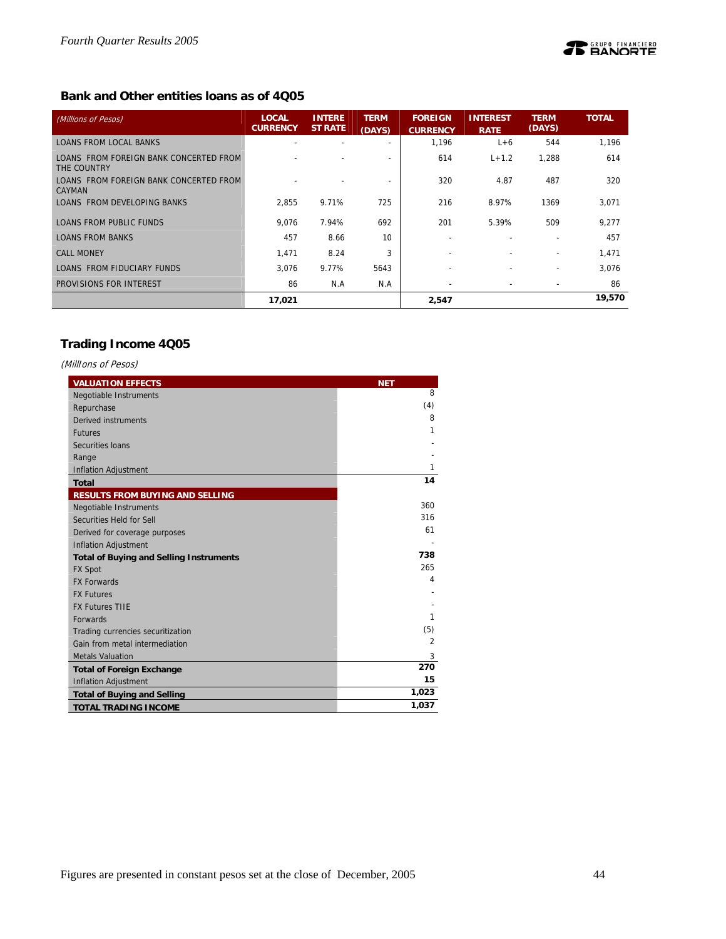## **Bank and Other entities loans as of 4Q05**

| (Millions of Pesos)                                     | <b>LOCAL</b><br><b>CURRENCY</b> | <b>INTERE</b><br><b>ST RATE</b> | <b>TERM</b><br>(DAYS) | <b>FOREIGN</b><br><b>CURRENCY</b> | <b>INTEREST</b><br><b>RATE</b> | <b>TERM</b><br>(DAYS)    | <b>TOTAL</b> |
|---------------------------------------------------------|---------------------------------|---------------------------------|-----------------------|-----------------------------------|--------------------------------|--------------------------|--------------|
| <b>LOANS FROM LOCAL BANKS</b>                           |                                 |                                 |                       | 1,196                             | $L+6$                          | 544                      | 1,196        |
| LOANS FROM FOREIGN BANK CONCERTED FROM<br>THE COUNTRY   |                                 |                                 |                       | 614                               | $L + 1.2$                      | 1,288                    | 614          |
| LOANS FROM FOREIGN BANK CONCERTED FROM<br><b>CAYMAN</b> |                                 |                                 |                       | 320                               | 4.87                           | 487                      | 320          |
| LOANS FROM DEVELOPING BANKS                             | 2.855                           | 9.71%                           | 725                   | 216                               | 8.97%                          | 1369                     | 3,071        |
| LOANS FROM PUBLIC FUNDS                                 | 9.076                           | 7.94%                           | 692                   | 201                               | 5.39%                          | 509                      | 9,277        |
| <b>LOANS FROM BANKS</b>                                 | 457                             | 8.66                            | 10                    |                                   |                                |                          | 457          |
| <b>CALL MONEY</b>                                       | 1,471                           | 8.24                            | 3                     | $\overline{\phantom{0}}$          |                                | ۰                        | 1,471        |
| LOANS FROM FIDUCIARY FUNDS                              | 3.076                           | 9.77%                           | 5643                  | $\overline{\phantom{0}}$          |                                | $\overline{\phantom{0}}$ | 3.076        |
| PROVISIONS FOR INTEREST                                 | 86                              | N.A                             | N.A                   | $\overline{\phantom{a}}$          | $\sim$                         | $\overline{\phantom{a}}$ | 86           |
|                                                         | 17,021                          |                                 |                       | 2,547                             |                                |                          | 19,570       |

## **Trading Income 4Q05**

(MillIons of Pesos)

| <b>VALUATION EFFECTS</b>                       | <b>NET</b>     |
|------------------------------------------------|----------------|
| <b>Negotiable Instruments</b>                  | 8              |
| Repurchase                                     | (4)            |
| Derived instruments                            | 8              |
| <b>Futures</b>                                 | 1              |
| Securities Ioans                               |                |
| Range                                          |                |
| <b>Inflation Adjustment</b>                    | 1              |
| <b>Total</b>                                   | 14             |
| <b>RESULTS FROM BUYING AND SELLING</b>         |                |
| Negotiable Instruments                         | 360            |
| Securities Held for Sell                       | 316            |
| Derived for coverage purposes                  | 61             |
| <b>Inflation Adjustment</b>                    |                |
| <b>Total of Buying and Selling Instruments</b> | 738            |
| <b>FX Spot</b>                                 | 265            |
| <b>FX Forwards</b>                             | 4              |
| <b>FX Futures</b>                              |                |
| <b>FX Futures TIIE</b>                         |                |
| <b>Forwards</b>                                | 1              |
| Trading currencies securitization              | (5)            |
| Gain from metal intermediation                 | $\overline{2}$ |
| <b>Metals Valuation</b>                        | 3              |
| <b>Total of Foreign Exchange</b>               | 270            |
| <b>Inflation Adjustment</b>                    | 15             |
| <b>Total of Buying and Selling</b>             | 1,023          |
| <b>TOTAL TRADING INCOME</b>                    | 1,037          |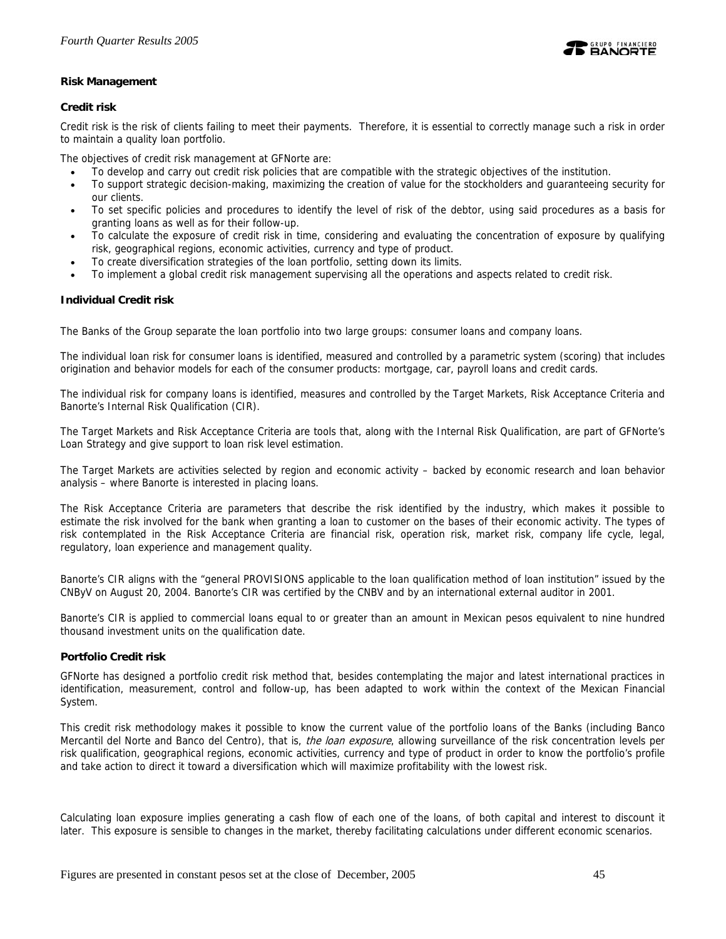

## **Risk Management**

## **Credit risk**

Credit risk is the risk of clients failing to meet their payments. Therefore, it is essential to correctly manage such a risk in order to maintain a quality loan portfolio.

The objectives of credit risk management at GFNorte are:

- To develop and carry out credit risk policies that are compatible with the strategic objectives of the institution.
- To support strategic decision-making, maximizing the creation of value for the stockholders and guaranteeing security for our clients.
- To set specific policies and procedures to identify the level of risk of the debtor, using said procedures as a basis for granting loans as well as for their follow-up.
- To calculate the exposure of credit risk in time, considering and evaluating the concentration of exposure by qualifying risk, geographical regions, economic activities, currency and type of product.
- To create diversification strategies of the loan portfolio, setting down its limits.
- To implement a global credit risk management supervising all the operations and aspects related to credit risk.

## **Individual Credit risk**

The Banks of the Group separate the loan portfolio into two large groups: consumer loans and company loans.

The individual loan risk for consumer loans is identified, measured and controlled by a parametric system (scoring) that includes origination and behavior models for each of the consumer products: mortgage, car, payroll loans and credit cards.

The individual risk for company loans is identified, measures and controlled by the Target Markets, Risk Acceptance Criteria and Banorte's Internal Risk Qualification (CIR).

The Target Markets and Risk Acceptance Criteria are tools that, along with the Internal Risk Qualification, are part of GFNorte's Loan Strategy and give support to loan risk level estimation.

The Target Markets are activities selected by region and economic activity – backed by economic research and loan behavior analysis – where Banorte is interested in placing loans.

The Risk Acceptance Criteria are parameters that describe the risk identified by the industry, which makes it possible to estimate the risk involved for the bank when granting a loan to customer on the bases of their economic activity. The types of risk contemplated in the Risk Acceptance Criteria are financial risk, operation risk, market risk, company life cycle, legal, regulatory, loan experience and management quality.

Banorte's CIR aligns with the "general PROVISIONS applicable to the loan qualification method of loan institution" issued by the CNByV on August 20, 2004. Banorte's CIR was certified by the CNBV and by an international external auditor in 2001.

Banorte's CIR is applied to commercial loans equal to or greater than an amount in Mexican pesos equivalent to nine hundred thousand investment units on the qualification date.

### **Portfolio Credit risk**

GFNorte has designed a portfolio credit risk method that, besides contemplating the major and latest international practices in identification, measurement, control and follow-up, has been adapted to work within the context of the Mexican Financial System.

This credit risk methodology makes it possible to know the current value of the portfolio loans of the Banks (including Banco Mercantil del Norte and Banco del Centro), that is, *the loan exposure*, allowing surveillance of the risk concentration levels per risk qualification, geographical regions, economic activities, currency and type of product in order to know the portfolio's profile and take action to direct it toward a diversification which will maximize profitability with the lowest risk.

Calculating loan exposure implies generating a cash flow of each one of the loans, of both capital and interest to discount it later. This exposure is sensible to changes in the market, thereby facilitating calculations under different economic scenarios.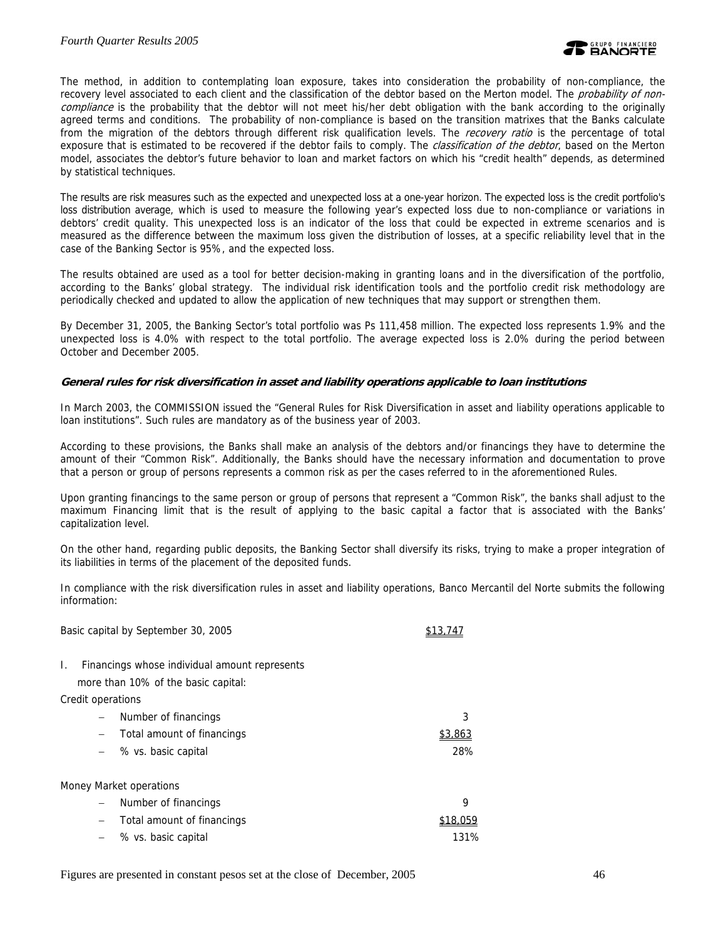The method, in addition to contemplating loan exposure, takes into consideration the probability of non-compliance, the recovery level associated to each client and the classification of the debtor based on the Merton model. The *probability of non*compliance is the probability that the debtor will not meet his/her debt obligation with the bank according to the originally agreed terms and conditions. The probability of non-compliance is based on the transition matrixes that the Banks calculate from the migration of the debtors through different risk qualification levels. The recovery ratio is the percentage of total exposure that is estimated to be recovered if the debtor fails to comply. The *classification of the debtor*, based on the Merton model, associates the debtor's future behavior to loan and market factors on which his "credit health" depends, as determined by statistical techniques.

The results are risk measures such as the expected and unexpected loss at a one-year horizon. The expected loss is the credit portfolio's loss distribution average, which is used to measure the following year's expected loss due to non-compliance or variations in debtors' credit quality. This unexpected loss is an indicator of the loss that could be expected in extreme scenarios and is measured as the difference between the maximum loss given the distribution of losses, at a specific reliability level that in the case of the Banking Sector is 95%, and the expected loss.

The results obtained are used as a tool for better decision-making in granting loans and in the diversification of the portfolio, according to the Banks' global strategy. The individual risk identification tools and the portfolio credit risk methodology are periodically checked and updated to allow the application of new techniques that may support or strengthen them.

By December 31, 2005, the Banking Sector's total portfolio was Ps 111,458 million. The expected loss represents 1.9% and the unexpected loss is 4.0% with respect to the total portfolio. The average expected loss is 2.0% during the period between October and December 2005.

### **General rules for risk diversification in asset and liability operations applicable to loan institutions**

In March 2003, the COMMISSION issued the "General Rules for Risk Diversification in asset and liability operations applicable to loan institutions". Such rules are mandatory as of the business year of 2003.

According to these provisions, the Banks shall make an analysis of the debtors and/or financings they have to determine the amount of their "Common Risk". Additionally, the Banks should have the necessary information and documentation to prove that a person or group of persons represents a common risk as per the cases referred to in the aforementioned Rules.

Upon granting financings to the same person or group of persons that represent a "Common Risk", the banks shall adjust to the maximum Financing limit that is the result of applying to the basic capital a factor that is associated with the Banks' capitalization level.

On the other hand, regarding public deposits, the Banking Sector shall diversify its risks, trying to make a proper integration of its liabilities in terms of the placement of the deposited funds.

In compliance with the risk diversification rules in asset and liability operations, Banco Mercantil del Norte submits the following information:

|    | Basic capital by September 30, 2005                                                  |          |
|----|--------------------------------------------------------------------------------------|----------|
| I. | Financings whose individual amount represents<br>more than 10% of the basic capital: |          |
|    | Credit operations                                                                    |          |
|    | Number of financings                                                                 | 3        |
|    | Total amount of financings<br>$\overline{\phantom{m}}$                               | \$3,863  |
|    | % vs. basic capital                                                                  | 28%      |
|    | Money Market operations                                                              |          |
|    | Number of financings<br>$\qquad \qquad -$                                            | 9        |
|    | Total amount of financings<br>$\overline{\phantom{m}}$                               | \$18,059 |
|    | % vs. basic capital                                                                  | 131%     |
|    |                                                                                      |          |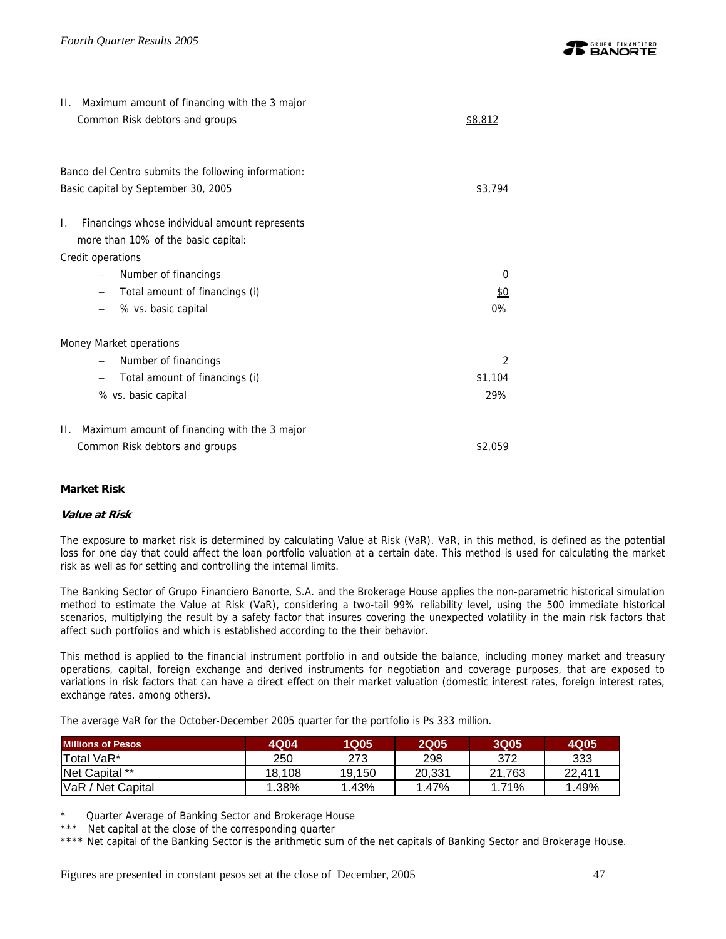| II. Maximum amount of financing with the 3 major<br>Common Risk debtors and groups         | \$8,812    |
|--------------------------------------------------------------------------------------------|------------|
| Banco del Centro submits the following information:<br>Basic capital by September 30, 2005 | \$3,794    |
| Financings whose individual amount represents<br>I.                                        |            |
| more than 10% of the basic capital:                                                        |            |
| Credit operations                                                                          |            |
| Number of financings                                                                       | 0          |
| Total amount of financings (i)                                                             | <u>\$0</u> |
| % vs. basic capital                                                                        | $0\%$      |
| Money Market operations                                                                    |            |
| Number of financings                                                                       | 2          |
| Total amount of financings (i)                                                             | \$1,104    |
| % vs. basic capital                                                                        | 29%        |
| Maximum amount of financing with the 3 major<br>Н.                                         |            |
| Common Risk debtors and groups                                                             | \$2,059    |

## **Market Risk**

### **Value at Risk**

The exposure to market risk is determined by calculating Value at Risk (VaR). VaR, in this method, is defined as the potential loss for one day that could affect the loan portfolio valuation at a certain date. This method is used for calculating the market risk as well as for setting and controlling the internal limits.

The Banking Sector of Grupo Financiero Banorte, S.A. and the Brokerage House applies the non-parametric historical simulation method to estimate the Value at Risk (VaR), considering a two-tail 99% reliability level, using the 500 immediate historical scenarios, multiplying the result by a safety factor that insures covering the unexpected volatility in the main risk factors that affect such portfolios and which is established according to the their behavior.

This method is applied to the financial instrument portfolio in and outside the balance, including money market and treasury operations, capital, foreign exchange and derived instruments for negotiation and coverage purposes, that are exposed to variations in risk factors that can have a direct effect on their market valuation (domestic interest rates, foreign interest rates, exchange rates, among others).

The average VaR for the October-December 2005 quarter for the portfolio is Ps 333 million.

| <b>Millions of Pesos</b> | 4Q04   | <b>1Q05</b> | <b>2Q05</b> | <b>3Q05</b> | 4Q05   |
|--------------------------|--------|-------------|-------------|-------------|--------|
| Total VaR*               | 250    | 273         | 298         | 372         | 333    |
| Net Capital **           | 18.108 | 19.150      | 20.331      | 21.763      | 22.411 |
| VaR / Net Capital        | 1.38%  | 1.43%       | 1.47%       | 1.71%       | 1.49%  |

Quarter Average of Banking Sector and Brokerage House

Net capital at the close of the corresponding quarter

\*\*\*\* Net capital of the Banking Sector is the arithmetic sum of the net capitals of Banking Sector and Brokerage House.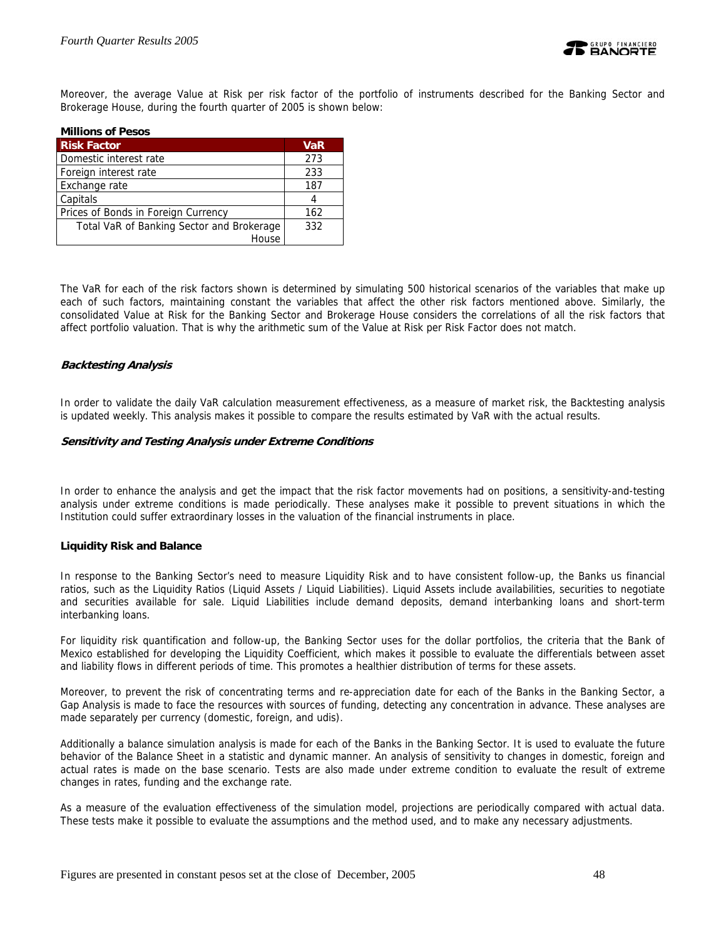

Moreover, the average Value at Risk per risk factor of the portfolio of instruments described for the Banking Sector and Brokerage House, during the fourth quarter of 2005 is shown below:

| <b>Millions of Pesos</b>                  |            |
|-------------------------------------------|------------|
| <b>Risk Factor</b>                        | <b>VaR</b> |
| Domestic interest rate                    | 273        |
| Foreign interest rate                     | 233        |
| Exchange rate                             | 187        |
| Capitals                                  | 4          |
| Prices of Bonds in Foreign Currency       | 162        |
| Total VaR of Banking Sector and Brokerage | 332        |
| House                                     |            |

The VaR for each of the risk factors shown is determined by simulating 500 historical scenarios of the variables that make up each of such factors, maintaining constant the variables that affect the other risk factors mentioned above. Similarly, the consolidated Value at Risk for the Banking Sector and Brokerage House considers the correlations of all the risk factors that affect portfolio valuation. That is why the arithmetic sum of the Value at Risk per Risk Factor does not match.

### **Backtesting Analysis**

In order to validate the daily VaR calculation measurement effectiveness, as a measure of market risk, the Backtesting analysis is updated weekly. This analysis makes it possible to compare the results estimated by VaR with the actual results.

### **Sensitivity and Testing Analysis under Extreme Conditions**

In order to enhance the analysis and get the impact that the risk factor movements had on positions, a sensitivity-and-testing analysis under extreme conditions is made periodically. These analyses make it possible to prevent situations in which the Institution could suffer extraordinary losses in the valuation of the financial instruments in place.

### **Liquidity Risk and Balance**

In response to the Banking Sector's need to measure Liquidity Risk and to have consistent follow-up, the Banks us financial ratios, such as the Liquidity Ratios (Liquid Assets / Liquid Liabilities). Liquid Assets include availabilities, securities to negotiate and securities available for sale. Liquid Liabilities include demand deposits, demand interbanking loans and short-term interbanking loans.

For liquidity risk quantification and follow-up, the Banking Sector uses for the dollar portfolios, the criteria that the Bank of Mexico established for developing the Liquidity Coefficient, which makes it possible to evaluate the differentials between asset and liability flows in different periods of time. This promotes a healthier distribution of terms for these assets.

Moreover, to prevent the risk of concentrating terms and re-appreciation date for each of the Banks in the Banking Sector, a Gap Analysis is made to face the resources with sources of funding, detecting any concentration in advance. These analyses are made separately per currency (domestic, foreign, and udis).

Additionally a balance simulation analysis is made for each of the Banks in the Banking Sector. It is used to evaluate the future behavior of the Balance Sheet in a statistic and dynamic manner. An analysis of sensitivity to changes in domestic, foreign and actual rates is made on the base scenario. Tests are also made under extreme condition to evaluate the result of extreme changes in rates, funding and the exchange rate.

As a measure of the evaluation effectiveness of the simulation model, projections are periodically compared with actual data. These tests make it possible to evaluate the assumptions and the method used, and to make any necessary adjustments.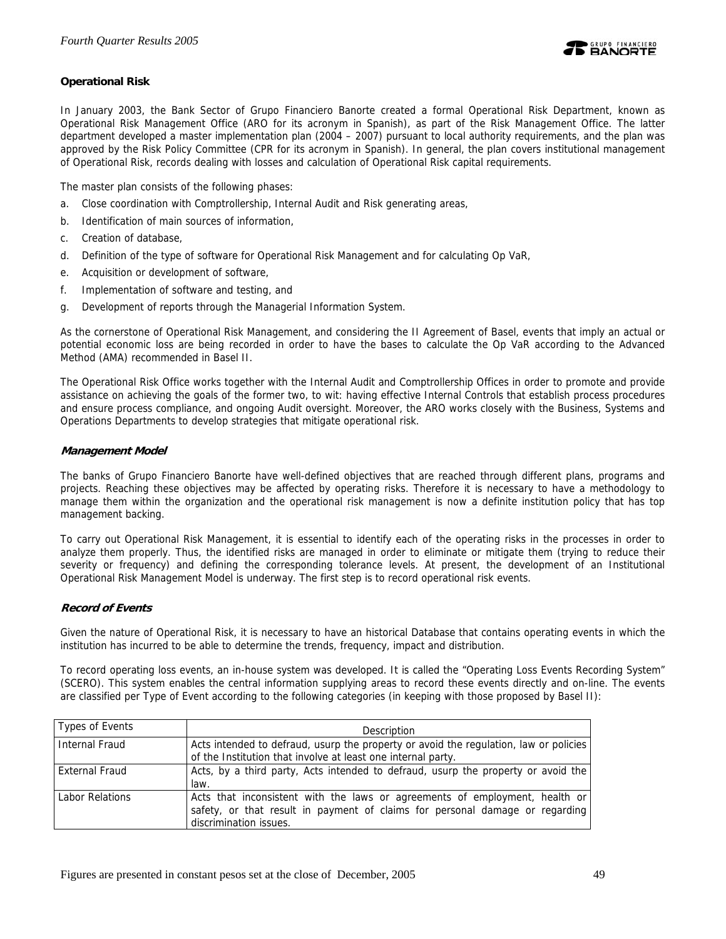

## **Operational Risk**

In January 2003, the Bank Sector of Grupo Financiero Banorte created a formal Operational Risk Department, known as Operational Risk Management Office (ARO for its acronym in Spanish), as part of the Risk Management Office. The latter department developed a master implementation plan (2004 – 2007) pursuant to local authority requirements, and the plan was approved by the Risk Policy Committee (CPR for its acronym in Spanish). In general, the plan covers institutional management of Operational Risk, records dealing with losses and calculation of Operational Risk capital requirements.

The master plan consists of the following phases:

- a. Close coordination with Comptrollership, Internal Audit and Risk generating areas,
- b. Identification of main sources of information,
- c. Creation of database,
- d. Definition of the type of software for Operational Risk Management and for calculating Op VaR,
- e. Acquisition or development of software,
- f. Implementation of software and testing, and
- g. Development of reports through the Managerial Information System.

As the cornerstone of Operational Risk Management, and considering the II Agreement of Basel, events that imply an actual or potential economic loss are being recorded in order to have the bases to calculate the Op VaR according to the Advanced Method (AMA) recommended in Basel II.

The Operational Risk Office works together with the Internal Audit and Comptrollership Offices in order to promote and provide assistance on achieving the goals of the former two, to wit: having effective Internal Controls that establish process procedures and ensure process compliance, and ongoing Audit oversight. Moreover, the ARO works closely with the Business, Systems and Operations Departments to develop strategies that mitigate operational risk.

## **Management Model**

The banks of Grupo Financiero Banorte have well-defined objectives that are reached through different plans, programs and projects. Reaching these objectives may be affected by operating risks. Therefore it is necessary to have a methodology to manage them within the organization and the operational risk management is now a definite institution policy that has top management backing.

To carry out Operational Risk Management, it is essential to identify each of the operating risks in the processes in order to analyze them properly. Thus, the identified risks are managed in order to eliminate or mitigate them (trying to reduce their severity or frequency) and defining the corresponding tolerance levels. At present, the development of an Institutional Operational Risk Management Model is underway. The first step is to record operational risk events.

### **Record of Events**

Given the nature of Operational Risk, it is necessary to have an historical Database that contains operating events in which the institution has incurred to be able to determine the trends, frequency, impact and distribution.

To record operating loss events, an in-house system was developed. It is called the "Operating Loss Events Recording System" (SCERO). This system enables the central information supplying areas to record these events directly and on-line. The events are classified per Type of Event according to the following categories (in keeping with those proposed by Basel II):

| Types of Events       | Description                                                                                                                                                                           |
|-----------------------|---------------------------------------------------------------------------------------------------------------------------------------------------------------------------------------|
| <b>Internal Fraud</b> | Acts intended to defraud, usurp the property or avoid the regulation, law or policies<br>of the Institution that involve at least one internal party.                                 |
| <b>External Fraud</b> | Acts, by a third party, Acts intended to defraud, usurp the property or avoid the<br>law.                                                                                             |
| Labor Relations       | Acts that inconsistent with the laws or agreements of employment, health or<br>safety, or that result in payment of claims for personal damage or regarding<br>discrimination issues. |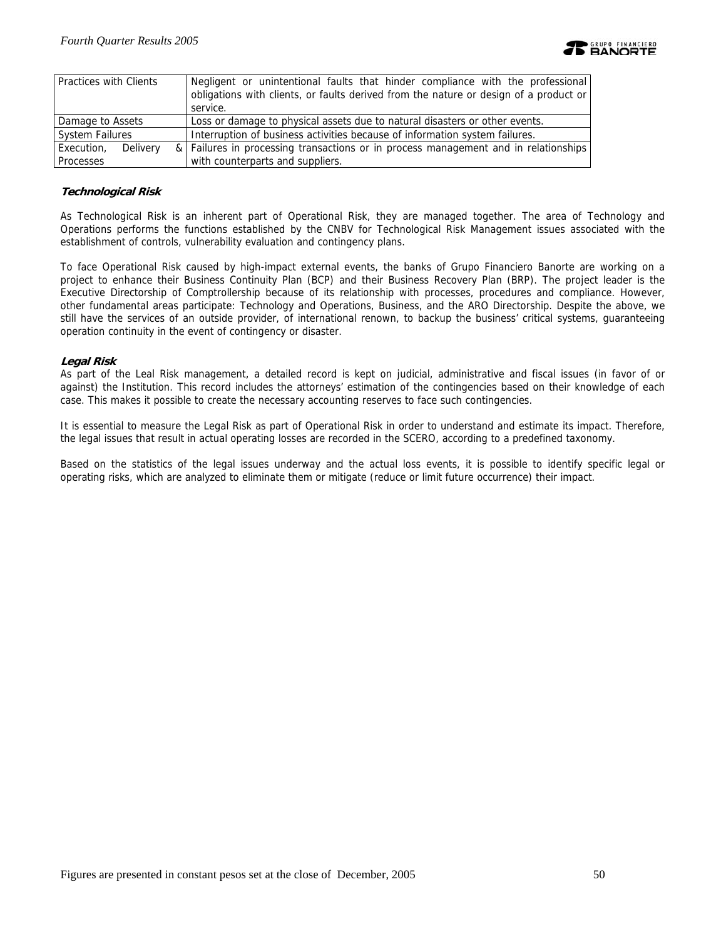

| Practices with Clients | Negligent or unintentional faults that hinder compliance with the professional<br>obligations with clients, or faults derived from the nature or design of a product or<br>service. |
|------------------------|-------------------------------------------------------------------------------------------------------------------------------------------------------------------------------------|
| Damage to Assets       | Loss or damage to physical assets due to natural disasters or other events.                                                                                                         |
| <b>System Failures</b> | Interruption of business activities because of information system failures.                                                                                                         |
| Execution, Delivery    | & Failures in processing transactions or in process management and in relationships                                                                                                 |
| Processes              | with counterparts and suppliers.                                                                                                                                                    |

### **Technological Risk**

As Technological Risk is an inherent part of Operational Risk, they are managed together. The area of Technology and Operations performs the functions established by the CNBV for Technological Risk Management issues associated with the establishment of controls, vulnerability evaluation and contingency plans.

To face Operational Risk caused by high-impact external events, the banks of Grupo Financiero Banorte are working on a project to enhance their Business Continuity Plan (BCP) and their Business Recovery Plan (BRP). The project leader is the Executive Directorship of Comptrollership because of its relationship with processes, procedures and compliance. However, other fundamental areas participate: Technology and Operations, Business, and the ARO Directorship. Despite the above, we still have the services of an outside provider, of international renown, to backup the business' critical systems, guaranteeing operation continuity in the event of contingency or disaster.

### **Legal Risk**

As part of the Leal Risk management, a detailed record is kept on judicial, administrative and fiscal issues (in favor of or against) the Institution. This record includes the attorneys' estimation of the contingencies based on their knowledge of each case. This makes it possible to create the necessary accounting reserves to face such contingencies.

It is essential to measure the Legal Risk as part of Operational Risk in order to understand and estimate its impact. Therefore, the legal issues that result in actual operating losses are recorded in the SCERO, according to a predefined taxonomy.

Based on the statistics of the legal issues underway and the actual loss events, it is possible to identify specific legal or operating risks, which are analyzed to eliminate them or mitigate (reduce or limit future occurrence) their impact.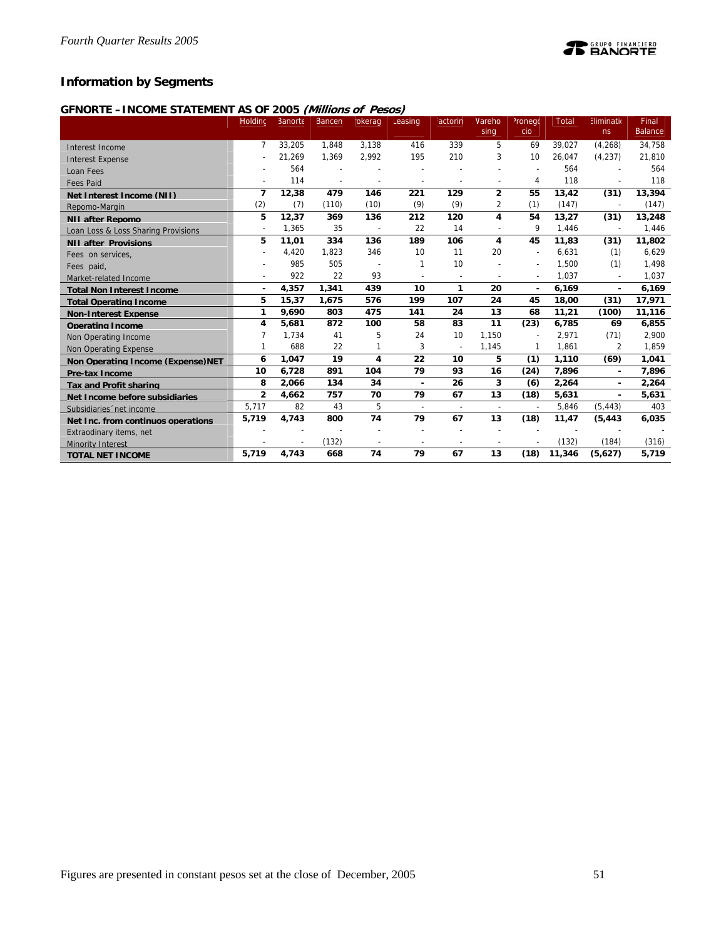## **Information by Segments**

## **GFNORTE –INCOME STATEMENT AS OF 2005 (Millions of Pesos)**

|                                     | Holding        | Banorte | Bancen         | okerag                   | Leasing                  | actorin                  | Vareho                   | <sup>2</sup> ronego      | <b>Total</b> | Eliminatio               | Final          |
|-------------------------------------|----------------|---------|----------------|--------------------------|--------------------------|--------------------------|--------------------------|--------------------------|--------------|--------------------------|----------------|
|                                     |                |         |                |                          |                          |                          | sing                     | cio                      |              | ns                       | <b>Balance</b> |
| Interest Income                     | 7              | 33,205  | 1.848          | 3.138                    | 416                      | 339                      | 5                        | 69                       | 39.027       | (4, 268)                 | 34,758         |
| <b>Interest Expense</b>             |                | 21,269  | 1,369          | 2,992                    | 195                      | 210                      | 3                        | 10                       | 26,047       | (4, 237)                 | 21,810         |
| Loan Fees                           |                | 564     |                |                          | $\overline{\phantom{a}}$ |                          |                          | $\overline{\phantom{a}}$ | 564          |                          | 564            |
| <b>Fees Paid</b>                    |                | 114     | $\overline{a}$ | $\overline{\phantom{a}}$ | $\overline{a}$           | $\overline{a}$           |                          | 4                        | 118          | L,                       | 118            |
| Net Interest Income (NII)           | $\overline{7}$ | 12,38   | 479            | 146                      | 221                      | 129                      | $\overline{2}$           | 55                       | 13,42        | (31)                     | 13,394         |
| Repomo-Margin                       | (2)            | (7)     | (110)          | (10)                     | (9)                      | (9)                      | 2                        | (1)                      | (147)        | $\overline{\phantom{a}}$ | (147)          |
| <b>NII after Repomo</b>             | 5              | 12,37   | 369            | 136                      | 212                      | 120                      | 4                        | 54                       | 13,27        | (31)                     | 13,248         |
| Loan Loss & Loss Sharing Provisions | $\sim$         | 1,365   | 35             | $\overline{\phantom{a}}$ | 22                       | 14                       |                          | 9                        | 1,446        | $\overline{\phantom{a}}$ | 1,446          |
| <b>NII after Provisions</b>         | 5              | 11,01   | 334            | 136                      | 189                      | 106                      | 4                        | 45                       | 11,83        | (31)                     | 11,802         |
| Fees on services,                   |                | 4,420   | 1,823          | 346                      | 10                       | 11                       | 20                       | $\overline{\phantom{a}}$ | 6,631        | (1)                      | 6,629          |
| Fees paid.                          |                | 985     | 505            | ÷                        | 1                        | 10                       |                          | $\overline{\phantom{a}}$ | 1,500        | (1)                      | 1,498          |
| Market-related Income               |                | 922     | 22             | 93                       |                          | $\overline{a}$           |                          | $\overline{\phantom{a}}$ | 1,037        | $\overline{a}$           | 1,037          |
| <b>Total Non Interest Income</b>    | ٠              | 4,357   | 1,341          | 439                      | 10                       | $\mathbf{1}$             | 20                       | ٠                        | 6,169        | $\blacksquare$           | 6,169          |
| <b>Total Operating Income</b>       | 5              | 15,37   | 1,675          | 576                      | 199                      | 107                      | 24                       | 45                       | 18,00        | (31)                     | 17,971         |
| <b>Non-Interest Expense</b>         | 1              | 9,690   | 803            | 475                      | 141                      | 24                       | 13                       | 68                       | 11,21        | (100)                    | 11,116         |
| <b>Operating Income</b>             | 4              | 5,681   | 872            | 100                      | 58                       | 83                       | 11                       | (23)                     | 6,785        | 69                       | 6,855          |
| Non Operating Income                | 7              | 1,734   | 41             | 5                        | 24                       | 10                       | 1.150                    |                          | 2,971        | (71)                     | 2,900          |
| Non Operating Expense               | 1              | 688     | 22             | 1                        | 3                        | $\sim$                   | 1,145                    | 1                        | 1,861        | 2                        | 1,859          |
| Non Operating Income (Expense) NET  | 6              | 1,047   | 19             | 4                        | 22                       | 10                       | 5                        | (1)                      | 1,110        | (69)                     | 1,041          |
| Pre-tax Income                      | 10             | 6.728   | 891            | 104                      | 79                       | 93                       | 16                       | (24)                     | 7.896        | $\blacksquare$           | 7,896          |
| <b>Tax and Profit sharing</b>       | 8              | 2,066   | 134            | 34                       | ٠                        | 26                       | 3                        | (6)                      | 2,264        | $\blacksquare$           | 2,264          |
| Net Income before subsidiaries      | $\overline{2}$ | 4,662   | 757            | 70                       | 79                       | 67                       | 13                       | (18)                     | 5,631        | ٠                        | 5,631          |
| Subsidiaries 'net income            | 5,717          | 82      | 43             | 5                        | $\overline{a}$           | $\overline{\phantom{a}}$ | $\overline{\phantom{a}}$ | $\overline{\phantom{a}}$ | 5,846        | (5, 443)                 | 403            |
| Net Inc. from continuos operations  | 5,719          | 4,743   | 800            | 74                       | 79                       | 67                       | 13                       | (18)                     | 11,47        | (5, 443)                 | 6,035          |
| Extraodinary items, net             |                |         |                |                          |                          |                          |                          |                          |              |                          |                |
| <b>Minority Interest</b>            |                |         | (132)          |                          |                          |                          |                          |                          | (132)        | (184)                    | (316)          |
| <b>TOTAL NET INCOME</b>             | 5,719          | 4,743   | 668            | 74                       | 79                       | 67                       | 13                       | (18)                     | 11,346       | (5,627)                  | 5,719          |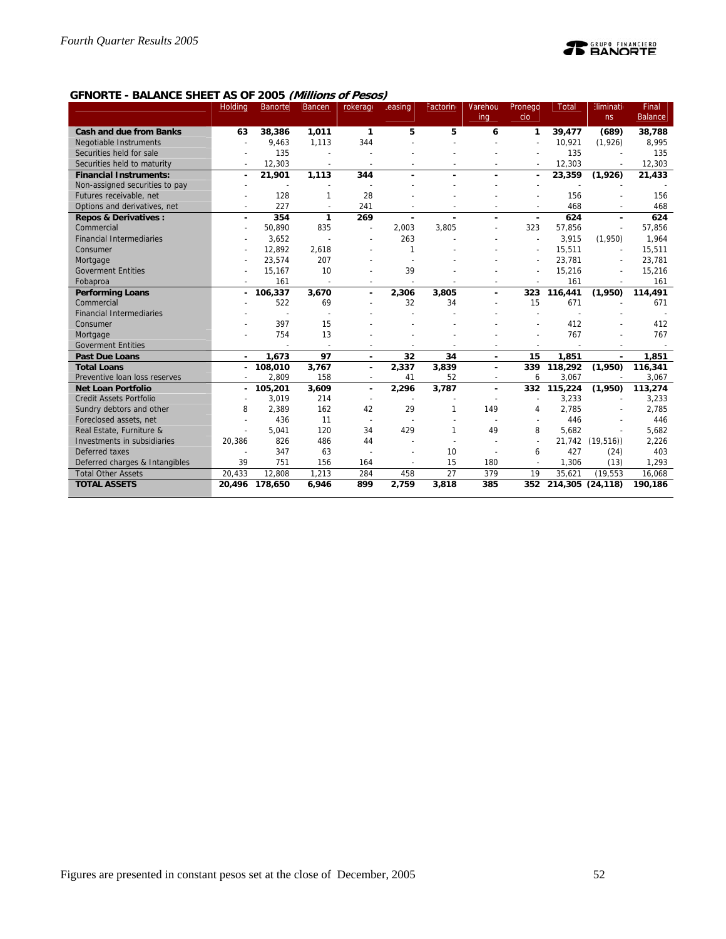

## **GFNORTE - BALANCE SHEET AS OF 2005 (Millions of Pesos)**

|                                 | Holding        | <b>Banorte</b> | <b>Bancen</b>            | rokerage                 | easing         | Factorin     | Varehou        | Pronego                  | <b>Total</b>         | <b>Eliminati</b>         | Final          |
|---------------------------------|----------------|----------------|--------------------------|--------------------------|----------------|--------------|----------------|--------------------------|----------------------|--------------------------|----------------|
|                                 |                |                |                          |                          |                |              | ing            | cio                      |                      | ns                       | <b>Balance</b> |
| <b>Cash and due from Banks</b>  | 63             | 38,386         | 1,011                    | $\mathbf{1}$             | 5              | 5            | 6              | 1                        | 39,477               | (689)                    | 38,788         |
| Negotiable Instruments          |                | 9,463          | 1,113                    | 344                      |                |              |                |                          | 10,921               | (1,926)                  | 8,995          |
| Securities held for sale        |                | 135            |                          |                          |                |              |                |                          | 135                  |                          | 135            |
| Securities held to maturity     |                | 12,303         |                          | $\overline{a}$           |                |              |                |                          | 12,303               |                          | 12,303         |
| <b>Financial Instruments:</b>   | $\blacksquare$ | 21,901         | 1,113                    | 344                      |                |              | $\overline{a}$ | ٠                        | 23,359               | (1,926)                  | 21,433         |
| Non-assigned securities to pay  |                |                |                          |                          |                |              |                |                          |                      |                          |                |
| Futures receivable, net         |                | 128            | 1                        | 28                       |                |              |                |                          | 156                  |                          | 156            |
| Options and derivatives, net    | $\overline{a}$ | 227            | $\overline{\phantom{a}}$ | 241                      |                |              |                | $\overline{\phantom{a}}$ | 468                  | $\overline{\phantom{a}}$ | 468            |
| <b>Repos &amp; Derivatives:</b> | $\blacksquare$ | 354            | 1                        | 269                      | $\blacksquare$ |              | ä,             | ÷,                       | 624                  | ä,                       | 624            |
| Commercial                      |                | 50.890         | 835                      | L,                       | 2.003          | 3.805        |                | 323                      | 57,856               | $\overline{a}$           | 57,856         |
| <b>Financial Intermediaries</b> |                | 3,652          |                          |                          | 263            |              |                | $\overline{a}$           | 3,915                | (1,950)                  | 1,964          |
| Consumer                        |                | 12.892         | 2,618                    |                          | 1              |              |                |                          | 15,511               | $\overline{a}$           | 15,511         |
| Mortgage                        |                | 23,574         | 207                      |                          |                |              |                |                          | 23,781               |                          | 23,781         |
| <b>Goverment Entities</b>       |                | 15,167         | 10                       |                          | 39             |              |                |                          | 15,216               |                          | 15,216         |
| Fobaproa                        |                | 161            |                          |                          |                |              |                |                          | 161                  | $\overline{\phantom{a}}$ | 161            |
| <b>Performing Loans</b>         |                | 106,337        | 3,670                    | $\blacksquare$           | 2,306          | 3,805        | ä,             | 323                      | 116,441              | (1,950)                  | 114,491        |
| Commercial                      |                | 522            | 69                       |                          | 32             | 34           |                | 15                       | 671                  |                          | 671            |
| <b>Financial Intermediaries</b> |                |                |                          |                          |                |              |                |                          |                      |                          |                |
| Consumer                        |                | 397            | 15                       |                          |                |              |                |                          | 412                  |                          | 412            |
| Mortgage                        |                | 754            | 13                       |                          |                |              |                |                          | 767                  |                          | 767            |
| <b>Goverment Entities</b>       |                |                |                          |                          |                |              |                |                          |                      |                          |                |
| <b>Past Due Loans</b>           |                | 1,673          | 97                       | $\blacksquare$           | 32             | 34           | $\blacksquare$ | 15                       | 1,851                | $\blacksquare$           | 1,851          |
| <b>Total Loans</b>              |                | 108,010        | 3,767                    | $\blacksquare$           | 2,337          | 3,839        |                | 339                      | 118,292              | (1,950)                  | 116,341        |
| Preventive loan loss reserves   |                | 2.809          | 158                      | $\overline{\phantom{a}}$ | 41             | 52           | $\overline{a}$ | 6                        | 3,067                |                          | 3,067          |
| <b>Net Loan Portfolio</b>       |                | 105,201        | 3,609                    | $\blacksquare$           | 2,296          | 3,787        |                | 332                      | 115,224              | (1,950)                  | 113,274        |
| <b>Credit Assets Portfolio</b>  |                | 3,019          | 214                      |                          |                |              |                |                          | 3,233                |                          | 3,233          |
| Sundry debtors and other        | 8              | 2,389          | 162                      | 42                       | 29             | $\mathbf{1}$ | 149            | 4                        | 2,785                |                          | 2,785          |
| Foreclosed assets, net          |                | 436            | 11                       | $\overline{\phantom{a}}$ |                |              |                |                          | 446                  |                          | 446            |
| Real Estate, Furniture &        |                | 5,041          | 120                      | 34                       | 429            | 1            | 49             | 8                        | 5.682                |                          | 5,682          |
| Investments in subsidiaries     | 20,386         | 826            | 486                      | 44                       |                |              |                | $\overline{a}$           | 21,742               | (19, 516)                | 2,226          |
| Deferred taxes                  |                | 347            | 63                       |                          |                | 10           |                | 6                        | 427                  | (24)                     | 403            |
| Deferred charges & Intangibles  | 39             | 751            | 156                      | 164                      |                | 15           | 180            |                          | 1,306                | (13)                     | 1,293          |
| <b>Total Other Assets</b>       | 20,433         | 12,808         | 1,213                    | 284                      | 458            | 27           | 379            | 19                       | 35,621               | (19, 553)                | 16,068         |
| <b>TOTAL ASSETS</b>             |                | 20,496 178,650 | 6,946                    | 899                      | 2,759          | 3,818        | 385            |                          | 352 214,305 (24,118) |                          | 190,186        |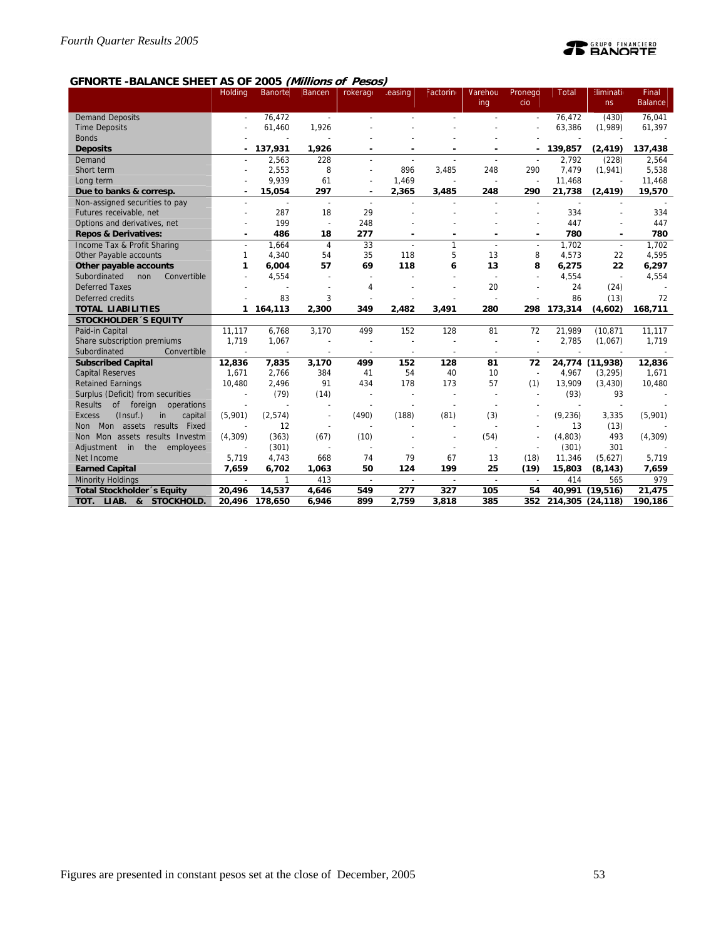## **PEANORTE**

## **GFNORTE -BALANCE SHEET AS OF 2005 (Millions of Pesos)**

|                                            | <b>Holding</b> | Banorte                  | <b>Bancen</b>            | rokerage                 | .easing        | Factorin                 | Varehou                  | Pronego                  | Total                    | <b>Eliminati</b>         | Final          |
|--------------------------------------------|----------------|--------------------------|--------------------------|--------------------------|----------------|--------------------------|--------------------------|--------------------------|--------------------------|--------------------------|----------------|
|                                            |                |                          |                          |                          |                |                          | ing                      | cio                      |                          | ns                       | <b>Balance</b> |
| <b>Demand Deposits</b>                     |                | 76.472                   | $\sim$                   |                          |                |                          |                          | ÷                        | 76.472                   | (430)                    | 76.041         |
| <b>Time Deposits</b>                       |                | 61,460                   | 1,926                    |                          |                |                          |                          |                          | 63,386                   | (1,989)                  | 61,397         |
| <b>Bonds</b>                               |                |                          |                          |                          |                |                          |                          |                          |                          |                          |                |
| <b>Deposits</b>                            |                | 137,931                  | 1,926                    |                          |                |                          |                          |                          | 139,857                  | (2, 419)                 | 137,438        |
| Demand                                     |                | 2,563                    | 228                      |                          |                |                          |                          |                          | 2,792                    | (228)                    | 2,564          |
| Short term                                 |                | 2,553                    | 8                        |                          | 896            | 3.485                    | 248                      | 290                      | 7,479                    | (1, 941)                 | 5,538          |
| Long term                                  |                | 9,939                    | 61                       |                          | 1,469          | ÷,                       | $\overline{\phantom{a}}$ | $\overline{\phantom{a}}$ | 11,468                   |                          | 11,468         |
| Due to banks & corresp.                    |                | 15,054                   | 297                      |                          | 2,365          | 3,485                    | 248                      | 290                      | 21,738                   | (2, 419)                 | 19,570         |
| Non-assigned securities to pay             |                | $\overline{\phantom{a}}$ | $\overline{\phantom{a}}$ | $\overline{\phantom{a}}$ |                |                          |                          | $\overline{\phantom{a}}$ | $\overline{\phantom{a}}$ | $\overline{\phantom{a}}$ |                |
| Futures receivable, net                    |                | 287                      | 18                       | 29                       |                |                          |                          |                          | 334                      |                          | 334            |
| Options and derivatives, net               |                | 199                      | $\overline{a}$           | 248                      |                |                          |                          |                          | 447                      |                          | 447            |
| <b>Repos &amp; Derivatives:</b>            | $\blacksquare$ | 486                      | 18                       | 277                      |                |                          | $\blacksquare$           |                          | 780                      | ۰                        | 780            |
| Income Tax & Profit Sharing                |                | 1.664                    | $\overline{4}$           | 33                       | $\overline{a}$ | 1                        |                          | $\overline{a}$           | 1.702                    | $\overline{\phantom{a}}$ | 1.702          |
| Other Payable accounts                     | 1              | 4,340                    | 54                       | 35                       | 118            | 5                        | 13                       | 8                        | 4,573                    | 22                       | 4,595          |
| Other payable accounts                     | 1              | 6,004                    | 57                       | 69                       | 118            | 6                        | 13                       | 8                        | 6,275                    | 22                       | 6,297          |
| Subordinated<br>Convertible<br>non         |                | 4,554                    |                          |                          |                |                          |                          |                          | 4,554                    | $\overline{\phantom{a}}$ | 4,554          |
| <b>Deferred Taxes</b>                      |                |                          |                          | 4                        |                |                          | 20                       |                          | 24                       | (24)                     |                |
| Deferred credits                           |                | 83                       | 3                        |                          |                |                          |                          |                          | 86                       | (13)                     | 72             |
| <b>TOTAL LIABILITIES</b>                   | 1              | 164,113                  | 2,300                    | 349                      | 2,482          | 3,491                    | 280                      | 298                      | 173,314                  | (4,602)                  | 168,711        |
| <b>STOCKHOLDER 'S EQUITY</b>               |                |                          |                          |                          |                |                          |                          |                          |                          |                          |                |
| Paid-in Capital                            | 11.117         | 6,768                    | 3,170                    | 499                      | 152            | 128                      | 81                       | 72                       | 21,989                   | (10, 871)                | 11,117         |
| Share subscription premiums                | 1,719          | 1,067                    |                          | $\overline{a}$           |                |                          |                          | $\overline{a}$           | 2,785                    | (1,067)                  | 1,719          |
| Convertible<br>Subordinated                |                |                          |                          | $\overline{\phantom{a}}$ |                |                          |                          |                          |                          |                          |                |
| <b>Subscribed Capital</b>                  | 12,836         | 7,835                    | 3,170                    | 499                      | 152            | 128                      | 81                       | 72                       |                          | 24,774 (11,938)          | 12,836         |
| <b>Capital Reserves</b>                    | 1,671          | 2,766                    | 384                      | 41                       | 54             | 40                       | 10                       | $\overline{\phantom{a}}$ | 4,967                    | (3, 295)                 | 1,671          |
| <b>Retained Earnings</b>                   | 10,480         | 2,496                    | 91                       | 434                      | 178            | 173                      | 57                       | (1)                      | 13,909                   | (3, 430)                 | 10,480         |
| Surplus (Deficit) from securities          |                | (79)                     | (14)                     | $\overline{\phantom{a}}$ |                |                          |                          |                          | (93)                     | 93                       |                |
| <b>Results</b><br>of foreign<br>operations |                |                          |                          |                          |                |                          |                          |                          |                          |                          |                |
| (Insuf.)<br><b>Excess</b><br>in<br>capital | (5,901)        | (2,574)                  |                          | (490)                    | (188)          | (81)                     | (3)                      |                          | (9, 236)                 | 3,335                    | (5,901)        |
| Fixed<br>Mon assets<br>results<br>Non      |                | 12                       | $\overline{a}$           |                          |                |                          |                          |                          | 13                       | (13)                     |                |
| Non Mon assets results Investm             | (4,309)        | (363)                    | (67)                     | (10)                     |                |                          | (54)                     |                          | (4,803)                  | 493                      | (4,309)        |
| Adjustment<br>the<br>in<br>employees       |                | (301)                    |                          | $\overline{\phantom{a}}$ |                | $\overline{\phantom{a}}$ |                          |                          | (301)                    | 301                      |                |
| Net Income                                 | 5,719          | 4,743                    | 668                      | 74                       | 79             | 67                       | 13                       | (18)                     | 11,346                   | (5,627)                  | 5,719          |
| <b>Earned Capital</b>                      | 7,659          | 6,702                    | 1,063                    | 50                       | 124            | 199                      | 25                       | (19)                     | 15,803                   | (8, 143)                 | 7,659          |
| <b>Minority Holdings</b>                   |                |                          | 413                      | $\overline{\phantom{a}}$ | $\overline{a}$ |                          | $\overline{\phantom{a}}$ |                          | 414                      | 565                      | 979            |
| Total Stockholder's Equity                 | 20,496         | 14,537                   | 4,646                    | 549                      | 277            | 327                      | 105                      | 54                       | 40,991                   | (19,516)                 | 21,475         |
| TOT. LIAB. & STOCKHOLD.                    | 20.496         | 178.650                  | 6.946                    | 899                      | 2.759          | 3,818                    | 385                      | 352                      | 214,305 (24,118)         |                          | 190.186        |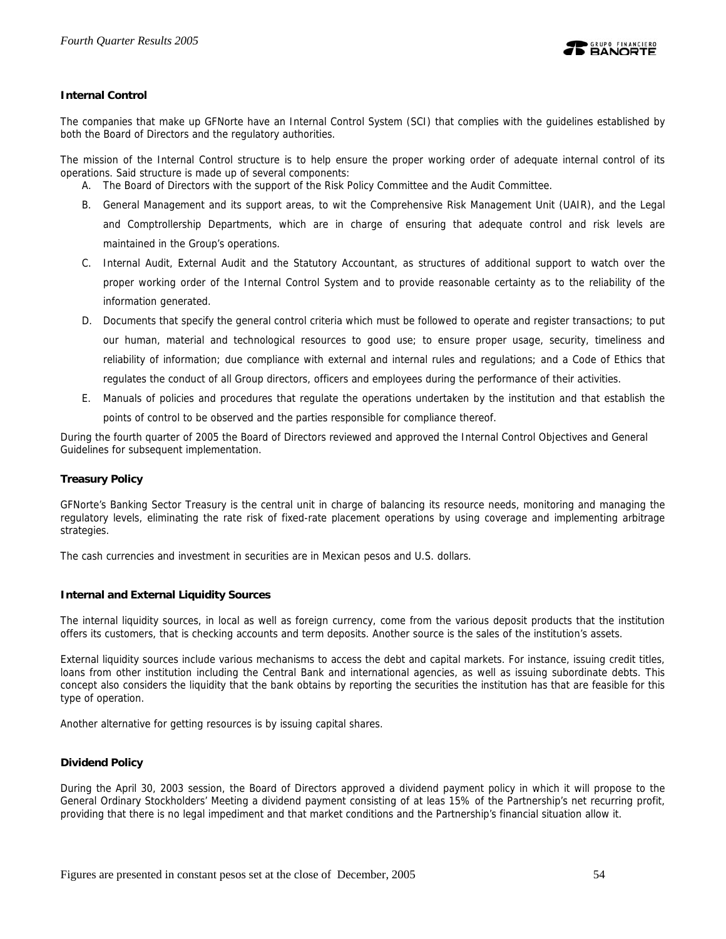

## **Internal Control**

The companies that make up GFNorte have an Internal Control System (SCI) that complies with the guidelines established by both the Board of Directors and the regulatory authorities.

The mission of the Internal Control structure is to help ensure the proper working order of adequate internal control of its operations. Said structure is made up of several components:

- A. The Board of Directors with the support of the Risk Policy Committee and the Audit Committee.
- B. General Management and its support areas, to wit the Comprehensive Risk Management Unit (UAIR), and the Legal and Comptrollership Departments, which are in charge of ensuring that adequate control and risk levels are maintained in the Group's operations.
- C. Internal Audit, External Audit and the Statutory Accountant, as structures of additional support to watch over the proper working order of the Internal Control System and to provide reasonable certainty as to the reliability of the information generated.
- D. Documents that specify the general control criteria which must be followed to operate and register transactions; to put our human, material and technological resources to good use; to ensure proper usage, security, timeliness and reliability of information; due compliance with external and internal rules and regulations; and a Code of Ethics that regulates the conduct of all Group directors, officers and employees during the performance of their activities.
- E. Manuals of policies and procedures that regulate the operations undertaken by the institution and that establish the points of control to be observed and the parties responsible for compliance thereof.

During the fourth quarter of 2005 the Board of Directors reviewed and approved the Internal Control Objectives and General Guidelines for subsequent implementation.

### **Treasury Policy**

GFNorte's Banking Sector Treasury is the central unit in charge of balancing its resource needs, monitoring and managing the regulatory levels, eliminating the rate risk of fixed-rate placement operations by using coverage and implementing arbitrage strategies.

The cash currencies and investment in securities are in Mexican pesos and U.S. dollars.

### **Internal and External Liquidity Sources**

The internal liquidity sources, in local as well as foreign currency, come from the various deposit products that the institution offers its customers, that is checking accounts and term deposits. Another source is the sales of the institution's assets.

External liquidity sources include various mechanisms to access the debt and capital markets. For instance, issuing credit titles, loans from other institution including the Central Bank and international agencies, as well as issuing subordinate debts. This concept also considers the liquidity that the bank obtains by reporting the securities the institution has that are feasible for this type of operation.

Another alternative for getting resources is by issuing capital shares.

### **Dividend Policy**

During the April 30, 2003 session, the Board of Directors approved a dividend payment policy in which it will propose to the General Ordinary Stockholders' Meeting a dividend payment consisting of at leas 15% of the Partnership's net recurring profit, providing that there is no legal impediment and that market conditions and the Partnership's financial situation allow it.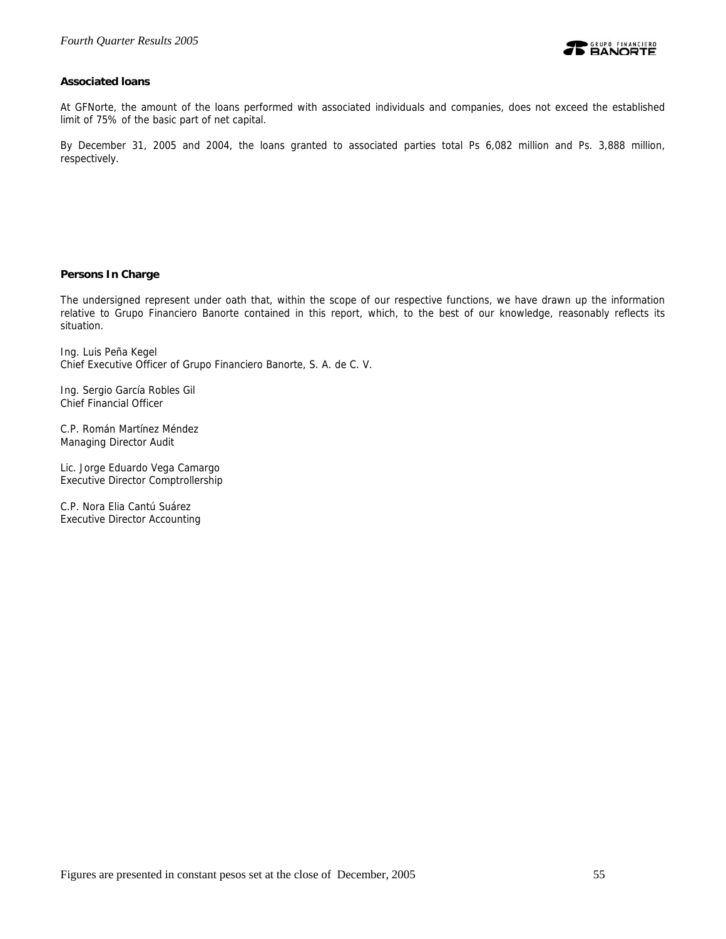## **Associated loans**

At GFNorte, the amount of the loans performed with associated individuals and companies, does not exceed the established limit of 75% of the basic part of net capital.

By December 31, 2005 and 2004, the loans granted to associated parties total Ps 6,082 million and Ps. 3,888 million, respectively.

### **Persons In Charge**

The undersigned represent under oath that, within the scope of our respective functions, we have drawn up the information relative to Grupo Financiero Banorte contained in this report, which, to the best of our knowledge, reasonably reflects its situation.

Ing. Luis Peña Kegel Chief Executive Officer of Grupo Financiero Banorte, S. A. de C. V.

Ing. Sergio García Robles Gil Chief Financial Officer

C.P. Román Martínez Méndez Managing Director Audit

Lic. Jorge Eduardo Vega Camargo Executive Director Comptrollership

C.P. Nora Elia Cantú Suárez Executive Director Accounting